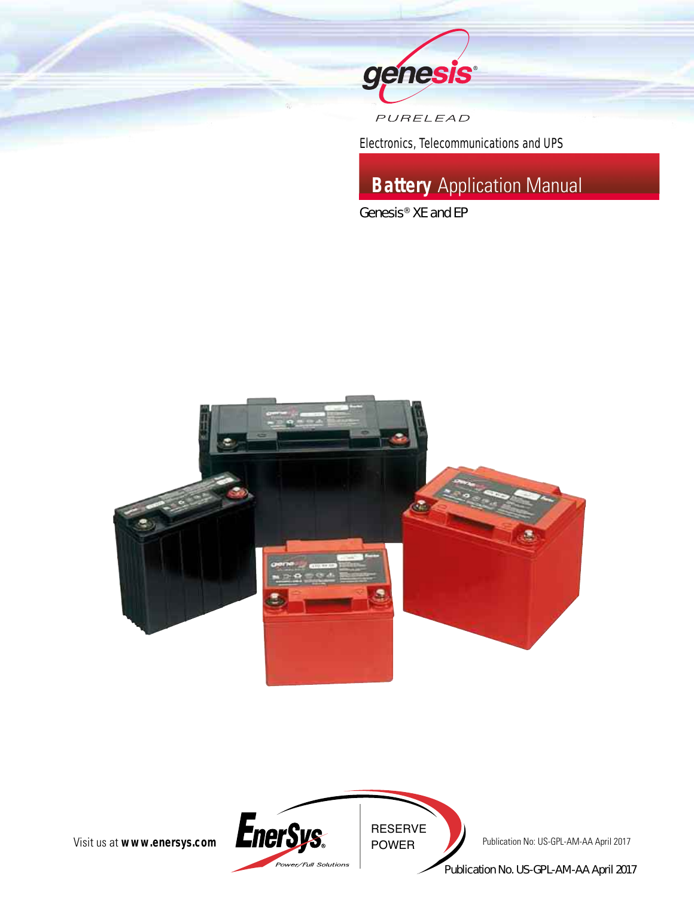

PURELEAD

*Electronics, Telecommunications and UPS*

# **Battery** Application Manual

*Genesis® XE and EP*





Publication No. US-GPL-AM-AA April 2017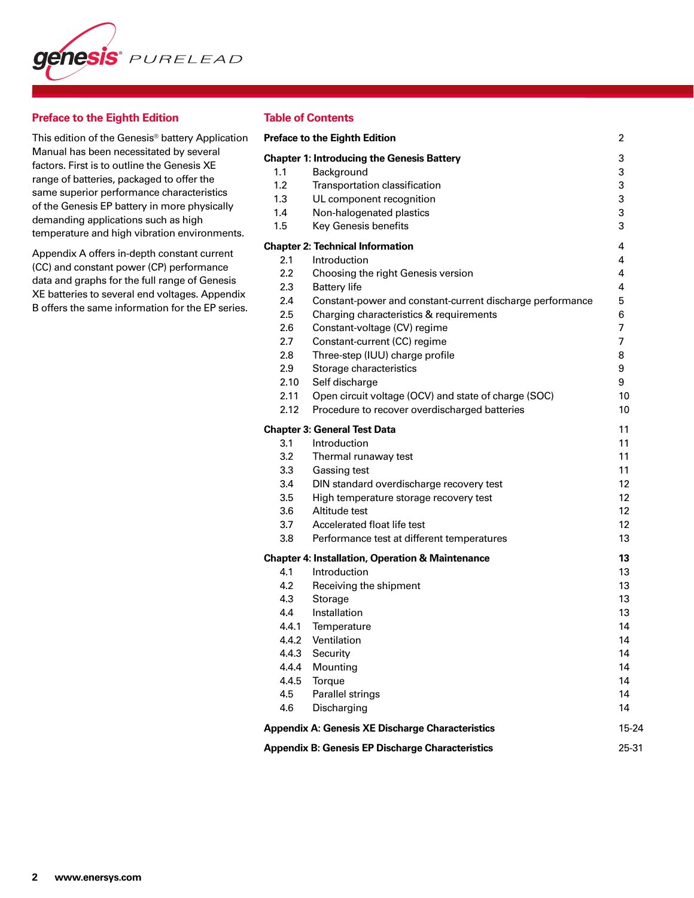

# **Preface to the Eighth Edition**

This edition of the Genesis® battery Application Manual has been necessitated by several factors. First is to outline the Genesis XE range of batteries, packaged to offer the same superior performance characteristics of the Genesis EP battery in more physically demanding applications such as high temperature and high vibration environments.

Appendix A offers in-depth constant current (CC) and constant power (CP) performance data and graphs for the full range of Genesis XE batteries to several end voltages. Appendix B offers the same information for the EP series.

# **Table of Contents**

|                | <b>Preface to the Eighth Edition</b>                                        | 2     |
|----------------|-----------------------------------------------------------------------------|-------|
|                | <b>Chapter 1: Introducing the Genesis Battery</b>                           | 3     |
| 1.1            | Background                                                                  | 3     |
| 1.2            | Transportation classification                                               | 3     |
| 1.3            | UL component recognition                                                    | 3     |
| 1.4            | Non-halogenated plastics                                                    | 3     |
| 1.5            | Key Genesis benefits                                                        | 3     |
|                | <b>Chapter 2: Technical Information</b>                                     | 4     |
| 2.1            | Introduction                                                                | 4     |
| 2.2            | Choosing the right Genesis version                                          | 4     |
| 2.3            | <b>Battery life</b>                                                         | 4     |
| 2.4            | Constant-power and constant-current discharge performance                   | 5     |
| 2.5            | Charging characteristics & requirements                                     | 6     |
| 2.6            | Constant-voltage (CV) regime                                                | 7     |
| 2.7            | Constant-current (CC) regime                                                | 7     |
| 2.8            | Three-step (IUU) charge profile                                             | 8     |
| 2.9            | Storage characteristics                                                     | 9     |
| 2.10           | Self discharge                                                              | 9     |
| 2.11           | Open circuit voltage (OCV) and state of charge (SOC)                        | 10    |
| 2.12           | Procedure to recover overdischarged batteries                               | 10    |
|                | <b>Chapter 3: General Test Data</b>                                         | 11    |
| 3.1            | Introduction                                                                | 11    |
| 3.2            | Thermal runaway test                                                        | 11    |
| 3.3            | Gassing test                                                                | 11    |
| 3.4            | DIN standard overdischarge recovery test                                    | 12    |
| 3.5            | High temperature storage recovery test                                      | 12    |
| 3.6            | Altitude test                                                               | 12    |
| 3.7            | Accelerated float life test                                                 | 12    |
| 3.8            | Performance test at different temperatures                                  | 13    |
|                |                                                                             | 13    |
| 4.1            | <b>Chapter 4: Installation, Operation &amp; Maintenance</b><br>Introduction | 13    |
| 4.2            | Receiving the shipment                                                      | 13    |
| 4.3            | Storage                                                                     | 13    |
| 4.4            | Installation                                                                | 13    |
| 4.4.1          | Temperature                                                                 | 14    |
| 4.4.2          | Ventilation                                                                 | 14    |
| 4.4.3          | Security                                                                    | 14    |
|                |                                                                             | 14    |
| 4.4.4<br>4.4.5 | Mounting                                                                    | 14    |
|                | Torque                                                                      |       |
| 4.5            | Parallel strings                                                            | 14    |
| 4.6            | Discharging                                                                 | 14    |
|                | <b>Appendix A: Genesis XE Discharge Characteristics</b>                     | 15-24 |
|                | <b>Appendix B: Genesis EP Discharge Characteristics</b>                     | 25-31 |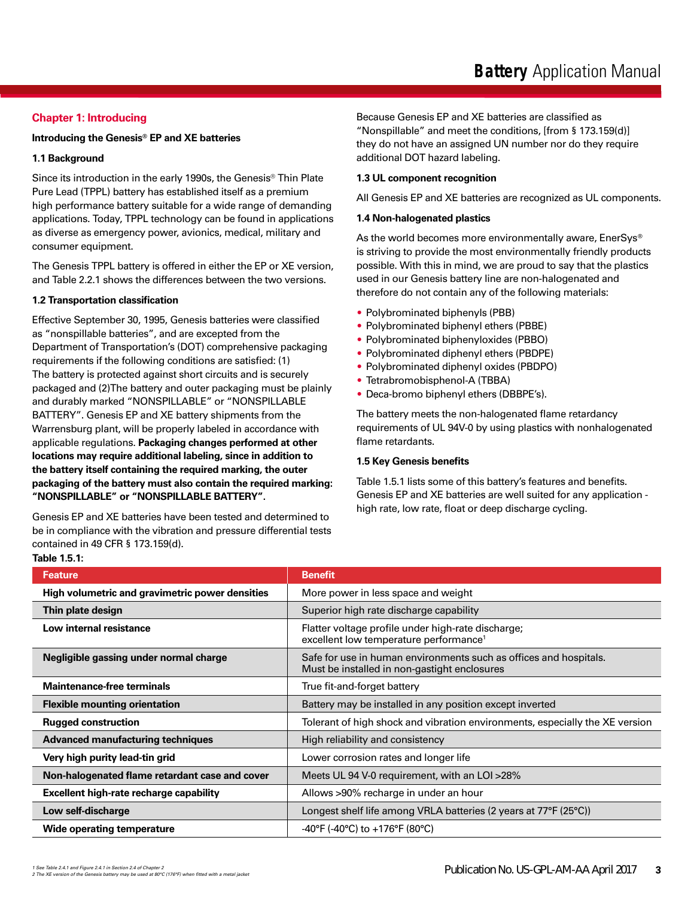# **Chapter 1: Introducing**

# **Introducing the Genesis® EP and XE batteries**

#### **1.1 Background**

Since its introduction in the early 1990s, the Genesis® Thin Plate Pure Lead (TPPL) battery has established itself as a premium high performance battery suitable for a wide range of demanding applications. Today, TPPL technology can be found in applications as diverse as emergency power, avionics, medical, military and consumer equipment.

The Genesis TPPL battery is offered in either the EP or XE version, and Table 2.2.1 shows the differences between the two versions.

#### **1.2 Transportation classification**

Effective September 30, 1995, Genesis batteries were classified as "nonspillable batteries", and are excepted from the Department of Transportation's (DOT) comprehensive packaging requirements if the following conditions are satisfied: (1) The battery is protected against short circuits and is securely packaged and (2)The battery and outer packaging must be plainly and durably marked "NONSPILLABLE" or "NONSPILLABLE BATTERY". Genesis EP and XE battery shipments from the Warrensburg plant, will be properly labeled in accordance with applicable regulations. **Packaging changes performed at other locations may require additional labeling, since in addition to the battery itself containing the required marking, the outer packaging of the battery must also contain the required marking: "NONSPILLABLE" or "NONSPILLABLE BATTERY".**

Genesis EP and XE batteries have been tested and determined to be in compliance with the vibration and pressure differential tests contained in 49 CFR § 173.159(d). **Table 1.5.1:** 

# Because Genesis EP and XE batteries are classified as "Nonspillable" and meet the conditions, [from § 173.159(d)] they do not have an assigned UN number nor do they require additional DOT hazard labeling.

#### **1.3 UL component recognition**

All Genesis EP and XE batteries are recognized as UL components.

#### **1.4 Non-halogenated plastics**

As the world becomes more environmentally aware, EnerSys® is striving to provide the most environmentally friendly products possible. With this in mind, we are proud to say that the plastics used in our Genesis battery line are non-halogenated and therefore do not contain any of the following materials:

- Polybrominated biphenyls (PBB)
- Polybrominated biphenyl ethers (PBBE)
- Polybrominated biphenyloxides (PBBO)
- Polybrominated diphenyl ethers (PBDPE)
- Polybrominated diphenyl oxides (PBDPO)
- Tetrabromobisphenol-A (TBBA)
- Deca-bromo biphenyl ethers (DBBPE's).

The battery meets the non-halogenated flame retardancy requirements of UL 94V-0 by using plastics with nonhalogenated flame retardants.

### **1.5 Key Genesis benefits**

Table 1.5.1 lists some of this battery's features and benefits. Genesis EP and XE batteries are well suited for any application high rate, low rate, float or deep discharge cycling.

| <b>Feature</b>                                  | <b>Benefit</b>                                                                                                    |
|-------------------------------------------------|-------------------------------------------------------------------------------------------------------------------|
| High volumetric and gravimetric power densities | More power in less space and weight                                                                               |
| Thin plate design                               | Superior high rate discharge capability                                                                           |
| Low internal resistance                         | Flatter voltage profile under high-rate discharge;<br>excellent low temperature performance <sup>1</sup>          |
| Negligible gassing under normal charge          | Safe for use in human environments such as offices and hospitals.<br>Must be installed in non-gastight enclosures |
| <b>Maintenance-free terminals</b>               | True fit-and-forget battery                                                                                       |
| <b>Flexible mounting orientation</b>            | Battery may be installed in any position except inverted                                                          |
| <b>Rugged construction</b>                      | Tolerant of high shock and vibration environments, especially the XE version                                      |
| <b>Advanced manufacturing techniques</b>        | High reliability and consistency                                                                                  |
| Very high purity lead-tin grid                  | Lower corrosion rates and longer life                                                                             |
| Non-halogenated flame retardant case and cover  | Meets UL 94 V-0 requirement, with an LOI >28%                                                                     |
| Excellent high-rate recharge capability         | Allows >90% recharge in under an hour                                                                             |
| Low self-discharge                              | Longest shelf life among VRLA batteries (2 years at 77°F (25°C))                                                  |
| <b>Wide operating temperature</b>               | -40°F (-40°C) to +176°F (80°C)                                                                                    |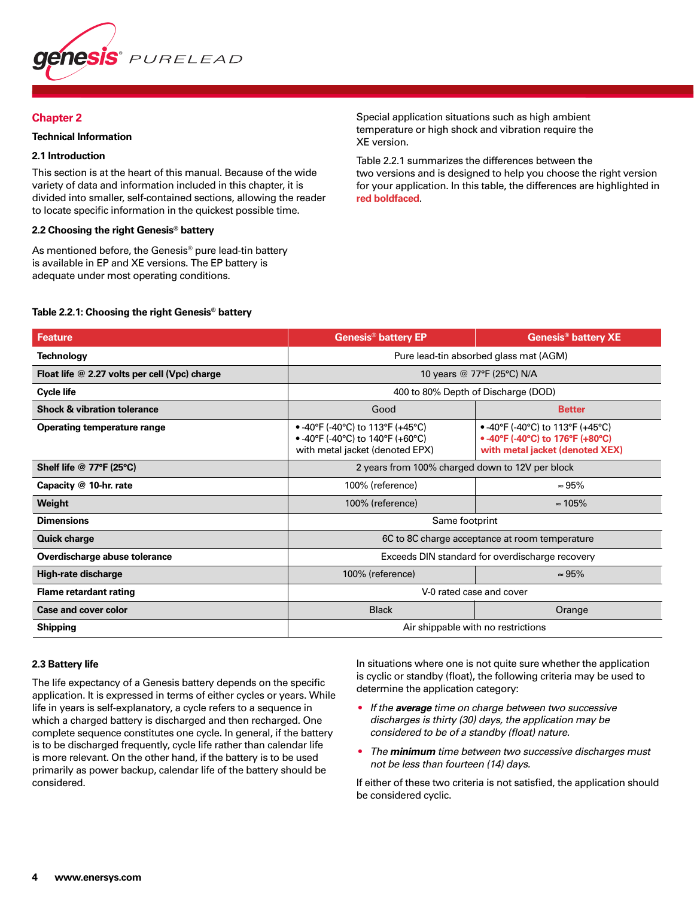

### **Chapter 2**

### **Technical Information**

# **2.1 Introduction**

This section is at the heart of this manual. Because of the wide variety of data and information included in this chapter, it is divided into smaller, self-contained sections, allowing the reader to locate specific information in the quickest possible time.

#### **2.2 Choosing the right Genesis® battery**

As mentioned before, the Genesis<sup>®</sup> pure lead-tin battery is available in EP and XE versions. The EP battery is adequate under most operating conditions.

Special application situations such as high ambient temperature or high shock and vibration require the XE version.

Table 2.2.1 summarizes the differences between the two versions and is designed to help you choose the right version for your application. In this table, the differences are highlighted in **red boldfaced**.

### **Table 2.2.1: Choosing the right Genesis® battery**

| <b>Feature</b>                                | <b>Genesis<sup>®</sup> battery EP</b>                                                                   | <b>Genesis<sup>®</sup> battery XE</b>                                                                   |  |
|-----------------------------------------------|---------------------------------------------------------------------------------------------------------|---------------------------------------------------------------------------------------------------------|--|
| <b>Technology</b>                             | Pure lead-tin absorbed glass mat (AGM)                                                                  |                                                                                                         |  |
| Float life @ 2.27 volts per cell (Vpc) charge |                                                                                                         | 10 years @ 77°F (25°C) N/A                                                                              |  |
| <b>Cycle life</b>                             | 400 to 80% Depth of Discharge (DOD)                                                                     |                                                                                                         |  |
| <b>Shock &amp; vibration tolerance</b>        | Good<br><b>Better</b>                                                                                   |                                                                                                         |  |
| <b>Operating temperature range</b>            | • -40°F (-40°C) to 113°F (+45°C)<br>• -40°F (-40°C) to 140°F (+60°C)<br>with metal jacket (denoted EPX) | • -40°F (-40°C) to 113°F (+45°C)<br>• -40°F (-40°C) to 176°F (+80°C)<br>with metal jacket (denoted XEX) |  |
| Shelf life @ 77°F (25°C)                      | 2 years from 100% charged down to 12V per block                                                         |                                                                                                         |  |
| Capacity @ 10-hr. rate                        | $\approx 95\%$<br>100% (reference)                                                                      |                                                                                                         |  |
| Weight                                        | 100% (reference)                                                                                        | $\approx 105\%$                                                                                         |  |
| <b>Dimensions</b>                             | Same footprint                                                                                          |                                                                                                         |  |
| <b>Quick charge</b>                           |                                                                                                         | 6C to 8C charge acceptance at room temperature                                                          |  |
| Overdischarge abuse tolerance                 |                                                                                                         | Exceeds DIN standard for overdischarge recovery                                                         |  |
| High-rate discharge                           | 100% (reference)                                                                                        | $\approx 95\%$                                                                                          |  |
| <b>Flame retardant rating</b>                 | V-0 rated case and cover                                                                                |                                                                                                         |  |
| <b>Case and cover color</b>                   | <b>Black</b><br>Orange                                                                                  |                                                                                                         |  |
| <b>Shipping</b>                               | Air shippable with no restrictions                                                                      |                                                                                                         |  |

#### **2.3 Battery life**

The life expectancy of a Genesis battery depends on the specific application. It is expressed in terms of either cycles or years. While life in years is self-explanatory, a cycle refers to a sequence in which a charged battery is discharged and then recharged. One complete sequence constitutes one cycle. In general, if the battery is to be discharged frequently, cycle life rather than calendar life is more relevant. On the other hand, if the battery is to be used primarily as power backup, calendar life of the battery should be considered.

In situations where one is not quite sure whether the application is cyclic or standby (float), the following criteria may be used to determine the application category:

- *If the average time on charge between two successive discharges is thirty (30) days, the application may be considered to be of a standby (float) nature.*
- *The minimum time between two successive discharges must not be less than fourteen (14) days.*

If either of these two criteria is not satisfied, the application should be considered cyclic.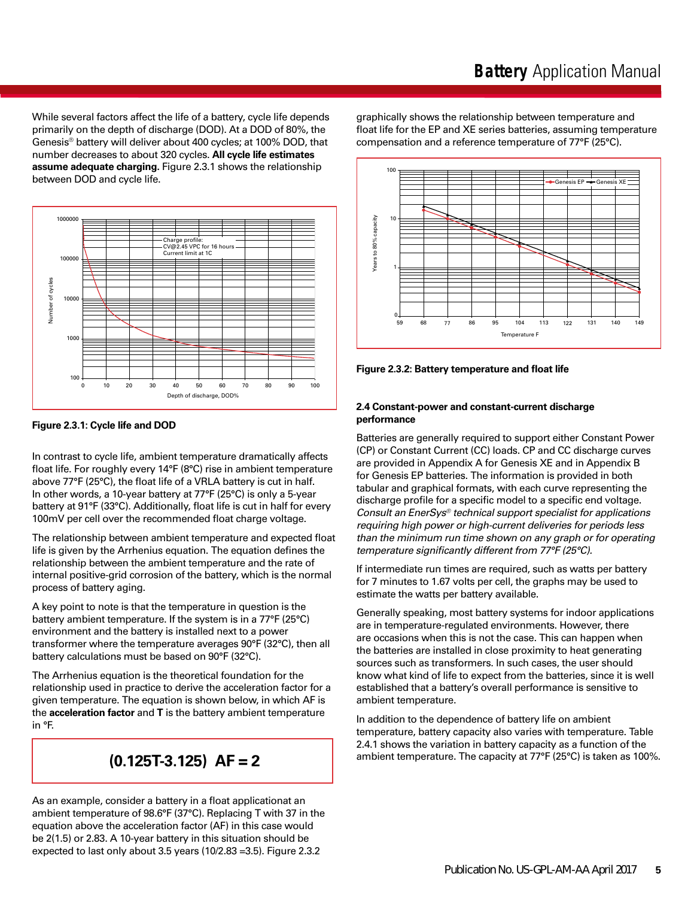While several factors affect the life of a battery, cycle life depends primarily on the depth of discharge (DOD). At a DOD of 80%, the Genesis® battery will deliver about 400 cycles; at 100% DOD, that number decreases to about 320 cycles. **All cycle life estimates assume adequate charging.** Figure 2.3.1 shows the relationship between DOD and cycle life.



**Figure 2.3.1: Cycle life and DOD**

In contrast to cycle life, ambient temperature dramatically affects float life. For roughly every 14°F (8°C) rise in ambient temperature above 77°F (25°C), the float life of a VRLA battery is cut in half. In other words, a 10-year battery at 77°F (25°C) is only a 5-year battery at 91°F (33°C). Additionally, float life is cut in half for every 100mV per cell over the recommended float charge voltage.

The relationship between ambient temperature and expected float life is given by the Arrhenius equation. The equation defines the relationship between the ambient temperature and the rate of internal positive-grid corrosion of the battery, which is the normal process of battery aging.

A key point to note is that the temperature in question is the battery ambient temperature. If the system is in a 77°F (25°C) environment and the battery is installed next to a power transformer where the temperature averages 90°F (32°C), then all battery calculations must be based on 90°F (32°C).

The Arrhenius equation is the theoretical foundation for the relationship used in practice to derive the acceleration factor for a given temperature. The equation is shown below, in which AF is the **acceleration factor** and **T** is the battery ambient temperature in °F.

# **(0.125T-3.125) AF = 2**

As an example, consider a battery in a float applicationat an ambient temperature of 98.6°F (37°C). Replacing T with 37 in the equation above the acceleration factor (AF) in this case would be 2(1.5) or 2.83. A 10-year battery in this situation should be expected to last only about 3.5 years (10/2.83 =3.5). Figure 2.3.2

graphically shows the relationship between temperature and float life for the EP and XE series batteries, assuming temperature compensation and a reference temperature of 77°F (25°C).



**Figure 2.3.2: Battery temperature and float life**

# **2.4 Constant-power and constant-current discharge performance**

Batteries are generally required to support either Constant Power (CP) or Constant Current (CC) loads. CP and CC discharge curves are provided in Appendix A for Genesis XE and in Appendix B for Genesis EP batteries. The information is provided in both tabular and graphical formats, with each curve representing the discharge profile for a specific model to a specific end voltage. *Consult an EnerSys® technical support specialist for applications requiring high power or high-current deliveries for periods less than the minimum run time shown on any graph or for operating temperature significantly different from 77°F (25°C).*

If intermediate run times are required, such as watts per battery for 7 minutes to 1.67 volts per cell, the graphs may be used to estimate the watts per battery available.

Generally speaking, most battery systems for indoor applications are in temperature-regulated environments. However, there are occasions when this is not the case. This can happen when the batteries are installed in close proximity to heat generating sources such as transformers. In such cases, the user should know what kind of life to expect from the batteries, since it is well established that a battery's overall performance is sensitive to ambient temperature.

In addition to the dependence of battery life on ambient temperature, battery capacity also varies with temperature. Table 2.4.1 shows the variation in battery capacity as a function of the ambient temperature. The capacity at 77°F (25°C) is taken as 100%.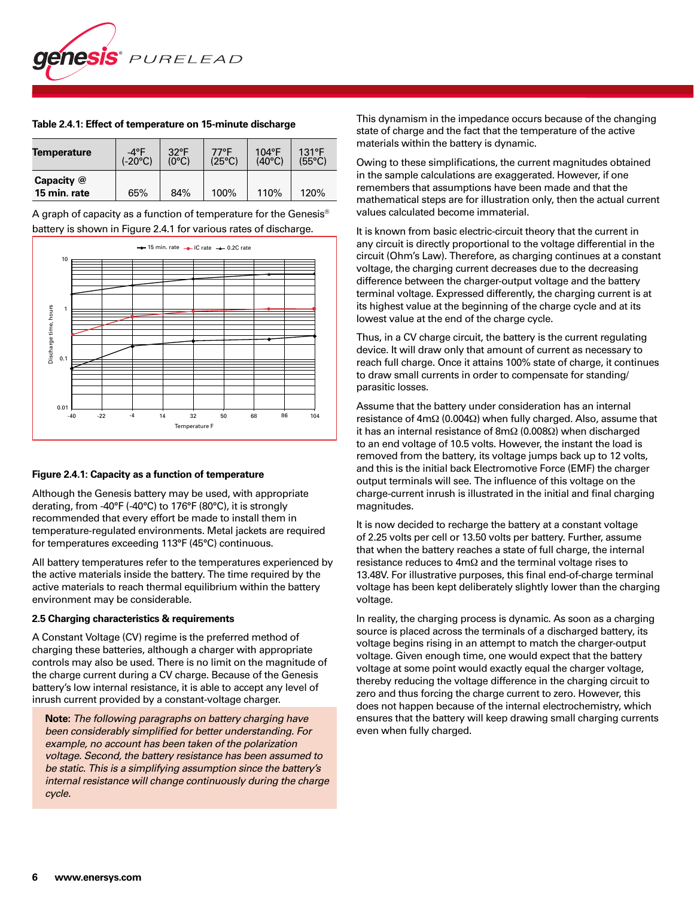

| <b>Temperature</b>         | $-4^{\circ}F$    | $32^{\circ}F$ | 77°F   | 104°F  | 131°F           |
|----------------------------|------------------|---------------|--------|--------|-----------------|
|                            | $(-20^{\circ}C)$ | (0°C)         | (25°C) | (40°C) | $(55^{\circ}C)$ |
| Capacity @<br>15 min. rate | 65%              | 84%           | 100%   | 110%   | 120%            |

#### **Table 2.4.1: Effect of temperature on 15-minute discharge**

A graph of capacity as a function of temperature for the Genesis® battery is shown in Figure 2.4.1 for various rates of discharge.



#### **Figure 2.4.1: Capacity as a function of temperature**

Although the Genesis battery may be used, with appropriate derating, from -40°F (-40°C) to 176°F (80°C), it is strongly recommended that every effort be made to install them in temperature-regulated environments. Metal jackets are required for temperatures exceeding 113°F (45°C) continuous.

All battery temperatures refer to the temperatures experienced by the active materials inside the battery. The time required by the active materials to reach thermal equilibrium within the battery environment may be considerable.

#### **2.5 Charging characteristics & requirements**

A Constant Voltage (CV) regime is the preferred method of charging these batteries, although a charger with appropriate controls may also be used. There is no limit on the magnitude of the charge current during a CV charge. Because of the Genesis battery's low internal resistance, it is able to accept any level of inrush current provided by a constant-voltage charger.

 **Note:** *The following paragraphs on battery charging have been considerably simplified for better understanding. For example, no account has been taken of the polarization voltage. Second, the battery resistance has been assumed to be static. This is a simplifying assumption since the battery's internal resistance will change continuously during the charge cycle.*

This dynamism in the impedance occurs because of the changing state of charge and the fact that the temperature of the active materials within the battery is dynamic.

Owing to these simplifications, the current magnitudes obtained in the sample calculations are exaggerated. However, if one remembers that assumptions have been made and that the mathematical steps are for illustration only, then the actual current values calculated become immaterial.

It is known from basic electric-circuit theory that the current in any circuit is directly proportional to the voltage differential in the circuit (Ohm's Law). Therefore, as charging continues at a constant voltage, the charging current decreases due to the decreasing difference between the charger-output voltage and the battery terminal voltage. Expressed differently, the charging current is at its highest value at the beginning of the charge cycle and at its lowest value at the end of the charge cycle.

Thus, in a CV charge circuit, the battery is the current regulating device. It will draw only that amount of current as necessary to reach full charge. Once it attains 100% state of charge, it continues to draw small currents in order to compensate for standing/ parasitic losses.

Assume that the battery under consideration has an internal resistance of 4mΩ (0.004Ω) when fully charged. Also, assume that it has an internal resistance of 8mΩ (0.008Ω) when discharged to an end voltage of 10.5 volts. However, the instant the load is removed from the battery, its voltage jumps back up to 12 volts, and this is the initial back Electromotive Force (EMF) the charger output terminals will see. The influence of this voltage on the charge-current inrush is illustrated in the initial and final charging magnitudes.

It is now decided to recharge the battery at a constant voltage of 2.25 volts per cell or 13.50 volts per battery. Further, assume that when the battery reaches a state of full charge, the internal resistance reduces to 4mΩ and the terminal voltage rises to 13.48V. For illustrative purposes, this final end-of-charge terminal voltage has been kept deliberately slightly lower than the charging voltage.

In reality, the charging process is dynamic. As soon as a charging source is placed across the terminals of a discharged battery, its voltage begins rising in an attempt to match the charger-output voltage. Given enough time, one would expect that the battery voltage at some point would exactly equal the charger voltage, thereby reducing the voltage difference in the charging circuit to zero and thus forcing the charge current to zero. However, this does not happen because of the internal electrochemistry, which ensures that the battery will keep drawing small charging currents even when fully charged.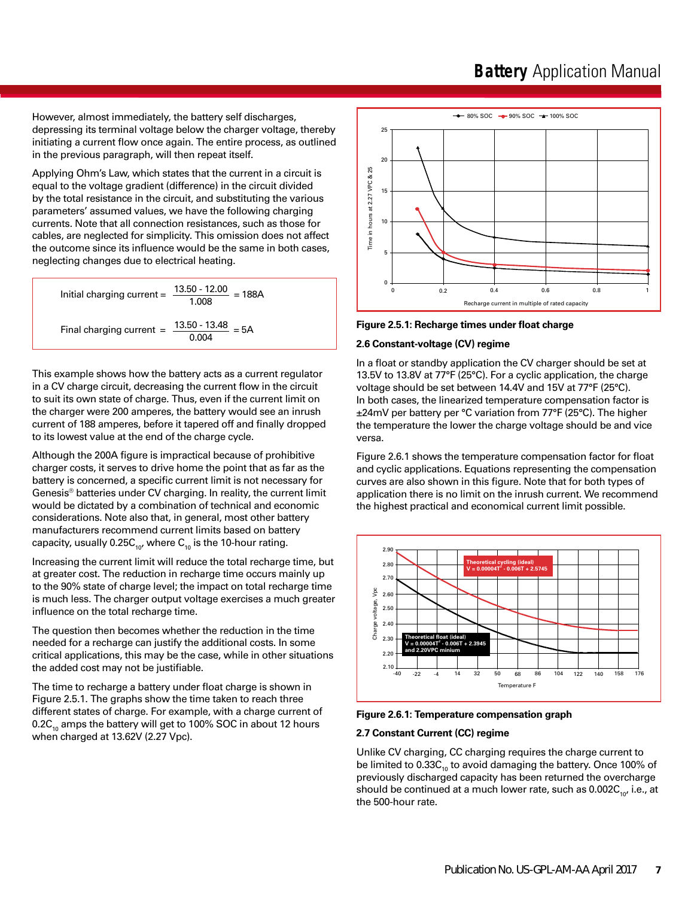However, almost immediately, the battery self discharges, depressing its terminal voltage below the charger voltage, thereby initiating a current flow once again. The entire process, as outlined in the previous paragraph, will then repeat itself.

Applying Ohm's Law, which states that the current in a circuit is equal to the voltage gradient (difference) in the circuit divided by the total resistance in the circuit, and substituting the various parameters' assumed values, we have the following charging currents. Note that all connection resistances, such as those for cables, are neglected for simplicity. This omission does not affect the outcome since its influence would be the same in both cases, neglecting changes due to electrical heating.

Initial charging current = 
$$
\frac{13.50 - 12.00}{1.008} = 188A
$$
  
Final charging current = 
$$
\frac{13.50 - 13.48}{0.004} = 5A
$$

This example shows how the battery acts as a current regulator in a CV charge circuit, decreasing the current flow in the circuit to suit its own state of charge. Thus, even if the current limit on the charger were 200 amperes, the battery would see an inrush current of 188 amperes, before it tapered off and finally dropped to its lowest value at the end of the charge cycle.

Although the 200A figure is impractical because of prohibitive charger costs, it serves to drive home the point that as far as the battery is concerned, a specific current limit is not necessary for Genesis® batteries under CV charging. In reality, the current limit would be dictated by a combination of technical and economic considerations. Note also that, in general, most other battery manufacturers recommend current limits based on battery capacity, usually 0.25 $C_{10}$ , where  $C_{10}$  is the 10-hour rating.

Increasing the current limit will reduce the total recharge time, but at greater cost. The reduction in recharge time occurs mainly up to the 90% state of charge level; the impact on total recharge time is much less. The charger output voltage exercises a much greater influence on the total recharge time.

The question then becomes whether the reduction in the time needed for a recharge can justify the additional costs. In some critical applications, this may be the case, while in other situations the added cost may not be justifiable.

The time to recharge a battery under float charge is shown in Figure 2.5.1. The graphs show the time taken to reach three different states of charge. For example, with a charge current of 0.2 $C_{10}$  amps the battery will get to 100% SOC in about 12 hours when charged at 13.62V (2.27 Vpc).



**Figure 2.5.1: Recharge times under float charge**

#### **2.6 Constant-voltage (CV) regime**

In a float or standby application the CV charger should be set at 13.5V to 13.8V at 77°F (25°C). For a cyclic application, the charge voltage should be set between 14.4V and 15V at 77°F (25°C). In both cases, the linearized temperature compensation factor is ±24mV per battery per °C variation from 77°F (25°C). The higher the temperature the lower the charge voltage should be and vice versa.

Figure 2.6.1 shows the temperature compensation factor for float and cyclic applications. Equations representing the compensation curves are also shown in this figure. Note that for both types of application there is no limit on the inrush current. We recommend the highest practical and economical current limit possible.



**Figure 2.6.1: Temperature compensation graph**

#### **2.7 Constant Current (CC) regime**

Unlike CV charging, CC charging requires the charge current to be limited to  $0.33C_{10}$  to avoid damaging the battery. Once 100% of previously discharged capacity has been returned the overcharge should be continued at a much lower rate, such as  $0.002C_{10}$ , i.e., at the 500-hour rate.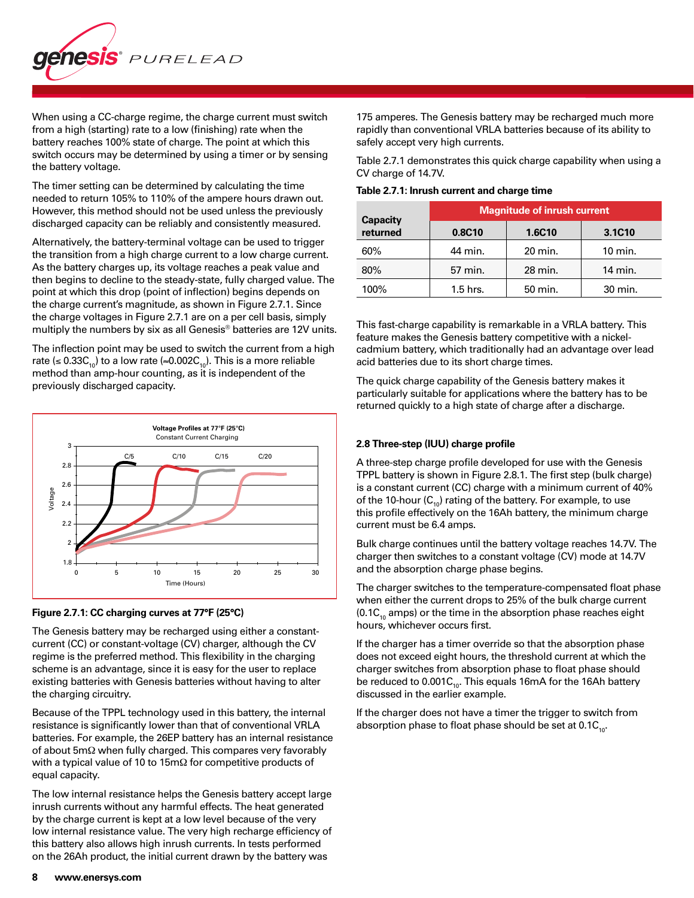

When using a CC-charge regime, the charge current must switch from a high (starting) rate to a low (finishing) rate when the battery reaches 100% state of charge. The point at which this switch occurs may be determined by using a timer or by sensing the battery voltage.

The timer setting can be determined by calculating the time needed to return 105% to 110% of the ampere hours drawn out. However, this method should not be used unless the previously discharged capacity can be reliably and consistently measured.

Alternatively, the battery-terminal voltage can be used to trigger the transition from a high charge current to a low charge current. As the battery charges up, its voltage reaches a peak value and then begins to decline to the steady-state, fully charged value. The point at which this drop (point of inflection) begins depends on the charge current's magnitude, as shown in Figure 2.7.1. Since the charge voltages in Figure 2.7.1 are on a per cell basis, simply multiply the numbers by six as all Genesis® batteries are 12V units.

The inflection point may be used to switch the current from a high rate (≤ 0.33 $C_{10}$ ) to a low rate (≈0.002 $C_{10}$ ). This is a more reliable method than amp-hour counting, as it is independent of the previously discharged capacity.



#### **Figure 2.7.1: CC charging curves at 77°F (25°C)**

The Genesis battery may be recharged using either a constantcurrent (CC) or constant-voltage (CV) charger, although the CV regime is the preferred method. This flexibility in the charging scheme is an advantage, since it is easy for the user to replace existing batteries with Genesis batteries without having to alter the charging circuitry.

Because of the TPPL technology used in this battery, the internal resistance is significantly lower than that of conventional VRLA batteries. For example, the 26EP battery has an internal resistance of about 5mΩ when fully charged. This compares very favorably with a typical value of 10 to 15mΩ for competitive products of equal capacity.

The low internal resistance helps the Genesis battery accept large inrush currents without any harmful effects. The heat generated by the charge current is kept at a low level because of the very low internal resistance value. The very high recharge efficiency of this battery also allows high inrush currents. In tests performed on the 26Ah product, the initial current drawn by the battery was

175 amperes. The Genesis battery may be recharged much more rapidly than conventional VRLA batteries because of its ability to safely accept very high currents.

Table 2.7.1 demonstrates this quick charge capability when using a CV charge of 14.7V.

**Table 2.7.1: Inrush current and charge time**

|                             | <b>Magnitude of inrush current</b> |         |           |  |  |  |  |
|-----------------------------|------------------------------------|---------|-----------|--|--|--|--|
| <b>Capacity</b><br>returned | 0.8C10                             | 1.6C10  | 3.1C10    |  |  |  |  |
| 60%                         | 44 min.                            | 20 min. | $10$ min. |  |  |  |  |
| 80%                         | 57 min.                            | 28 min. | 14 min.   |  |  |  |  |
| 100%                        | $1.5$ hrs.                         | 50 min. | 30 min.   |  |  |  |  |

This fast-charge capability is remarkable in a VRLA battery. This feature makes the Genesis battery competitive with a nickelcadmium battery, which traditionally had an advantage over lead acid batteries due to its short charge times.

The quick charge capability of the Genesis battery makes it particularly suitable for applications where the battery has to be returned quickly to a high state of charge after a discharge.

#### **2.8 Three-step (IUU) charge profile**

A three-step charge profile developed for use with the Genesis TPPL battery is shown in Figure 2.8.1. The first step (bulk charge) is a constant current (CC) charge with a minimum current of 40% of the 10-hour  $(C_{10})$  rating of the battery. For example, to use this profile effectively on the 16Ah battery, the minimum charge current must be 6.4 amps.

Bulk charge continues until the battery voltage reaches 14.7V. The charger then switches to a constant voltage (CV) mode at 14.7V and the absorption charge phase begins.

The charger switches to the temperature-compensated float phase when either the current drops to 25% of the bulk charge current  $(0.1C<sub>10</sub>$  amps) or the time in the absorption phase reaches eight hours, whichever occurs first.

If the charger has a timer override so that the absorption phase does not exceed eight hours, the threshold current at which the charger switches from absorption phase to float phase should be reduced to  $0.001C_{10}$ . This equals 16mA for the 16Ah battery discussed in the earlier example.

If the charger does not have a timer the trigger to switch from absorption phase to float phase should be set at  $0.1C_{10}$ .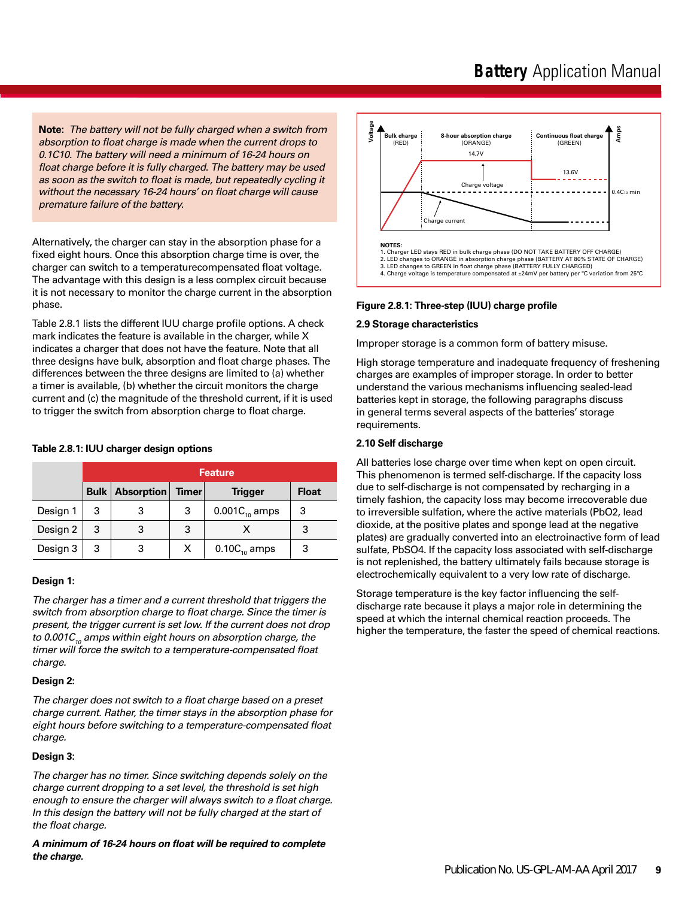**Note:** *The battery will not be fully charged when a switch from absorption to float charge is made when the current drops to 0.1C10. The battery will need a minimum of 16-24 hours on float charge before it is fully charged. The battery may be used as soon as the switch to float is made, but repeatedly cycling it without the necessary 16-24 hours' on float charge will cause premature failure of the battery.*

Alternatively, the charger can stay in the absorption phase for a fixed eight hours. Once this absorption charge time is over, the charger can switch to a temperaturecompensated float voltage. The advantage with this design is a less complex circuit because it is not necessary to monitor the charge current in the absorption phase.

Table 2.8.1 lists the different IUU charge profile options. A check mark indicates the feature is available in the charger, while X indicates a charger that does not have the feature. Note that all three designs have bulk, absorption and float charge phases. The differences between the three designs are limited to (a) whether a timer is available, (b) whether the circuit monitors the charge current and (c) the magnitude of the threshold current, if it is used to trigger the switch from absorption charge to float charge.

#### **Table 2.8.1: IUU charger design options**

|          | <b>Feature</b> |                            |              |                     |              |  |  |
|----------|----------------|----------------------------|--------------|---------------------|--------------|--|--|
|          |                | <b>Bulk   Absorption  </b> | <b>Timer</b> | <b>Trigger</b>      | <b>Float</b> |  |  |
| Design 1 | 3              |                            | 3            | 0.001 $C_{10}$ amps | 3            |  |  |
| Design 2 | 3              | 3                          | 3            |                     | 3            |  |  |
| Design 3 | 3              | 3                          | х            | $0.10C_{10}$ amps   | 3            |  |  |

#### **Design 1:**

*The charger has a timer and a current threshold that triggers the switch from absorption charge to float charge. Since the timer is present, the trigger current is set low. If the current does not drop*  to 0.001C<sub>10</sub> amps within eight hours on absorption charge, the *timer will force the switch to a temperature-compensated float charge.*

#### **Design 2:**

*The charger does not switch to a float charge based on a preset charge current. Rather, the timer stays in the absorption phase for eight hours before switching to a temperature-compensated float charge.*

#### **Design 3:**

*The charger has no timer. Since switching depends solely on the charge current dropping to a set level, the threshold is set high enough to ensure the charger will always switch to a float charge. In this design the battery will not be fully charged at the start of the float charge.*

*A minimum of 16-24 hours on float will be required to complete the charge.*



#### **Figure 2.8.1: Three-step (IUU) charge profile**

#### **2.9 Storage characteristics**

Improper storage is a common form of battery misuse.

High storage temperature and inadequate frequency of freshening charges are examples of improper storage. In order to better understand the various mechanisms influencing sealed-lead batteries kept in storage, the following paragraphs discuss in general terms several aspects of the batteries' storage requirements.

#### **2.10 Self discharge**

All batteries lose charge over time when kept on open circuit. This phenomenon is termed self-discharge. If the capacity loss due to self-discharge is not compensated by recharging in a timely fashion, the capacity loss may become irrecoverable due to irreversible sulfation, where the active materials (PbO2, lead dioxide, at the positive plates and sponge lead at the negative plates) are gradually converted into an electroinactive form of lead sulfate, PbSO4. If the capacity loss associated with self-discharge is not replenished, the battery ultimately fails because storage is electrochemically equivalent to a very low rate of discharge.

Storage temperature is the key factor influencing the selfdischarge rate because it plays a major role in determining the speed at which the internal chemical reaction proceeds. The higher the temperature, the faster the speed of chemical reactions.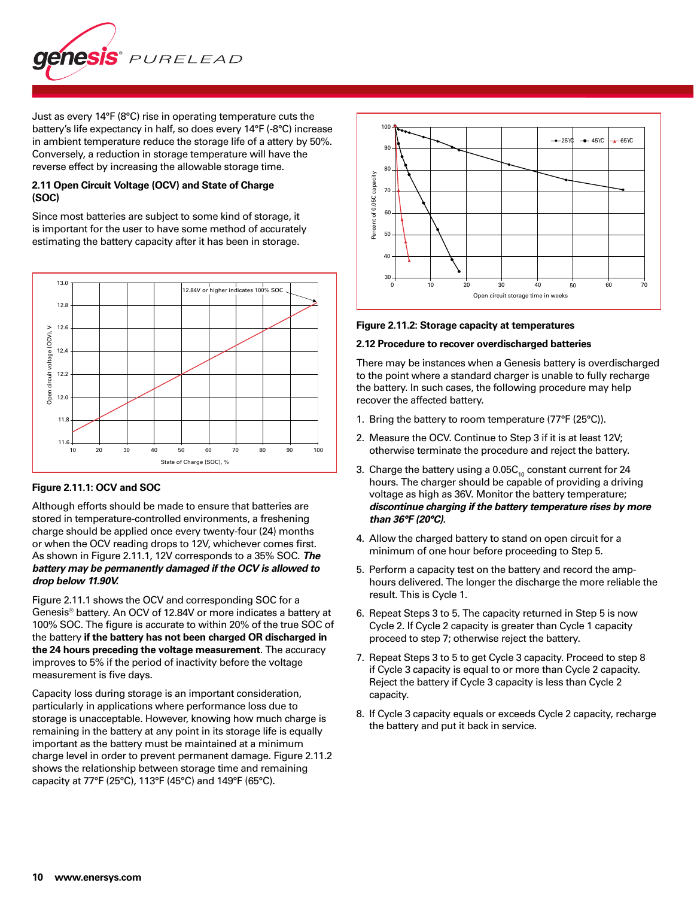

Just as every 14°F (8°C) rise in operating temperature cuts the battery's life expectancy in half, so does every 14°F (-8°C) increase in ambient temperature reduce the storage life of a attery by 50%. Conversely, a reduction in storage temperature will have the reverse effect by increasing the allowable storage time.

# **2.11 Open Circuit Voltage (OCV) and State of Charge (SOC)**

Since most batteries are subject to some kind of storage, it is important for the user to have some method of accurately estimating the battery capacity after it has been in storage.



#### **Figure 2.11.1: OCV and SOC**

Although efforts should be made to ensure that batteries are stored in temperature-controlled environments, a freshening charge should be applied once every twenty-four (24) months or when the OCV reading drops to 12V, whichever comes first. As shown in Figure 2.11.1, 12V corresponds to a 35% SOC. *The battery may be permanently damaged if the OCV is allowed to drop below 11.90V.*

Figure 2.11.1 shows the OCV and corresponding SOC for a Genesis® battery. An OCV of 12.84V or more indicates a battery at 100% SOC. The figure is accurate to within 20% of the true SOC of the battery **if the battery has not been charged OR discharged in the 24 hours preceding the voltage measurement**. The accuracy improves to 5% if the period of inactivity before the voltage measurement is five days.

Capacity loss during storage is an important consideration, particularly in applications where performance loss due to storage is unacceptable. However, knowing how much charge is remaining in the battery at any point in its storage life is equally important as the battery must be maintained at a minimum charge level in order to prevent permanent damage. Figure 2.11.2 shows the relationship between storage time and remaining capacity at 77°F (25°C), 113°F (45°C) and 149°F (65°C).



#### **Figure 2.11.2: Storage capacity at temperatures**

#### **2.12 Procedure to recover overdischarged batteries**

There may be instances when a Genesis battery is overdischarged to the point where a standard charger is unable to fully recharge the battery. In such cases, the following procedure may help recover the affected battery.

- 1. Bring the battery to room temperature (77°F (25°C)).
- 2. Measure the OCV. Continue to Step 3 if it is at least 12V; otherwise terminate the procedure and reject the battery.
- 3. Charge the battery using a  $0.05C_{10}$  constant current for 24 hours. The charger should be capable of providing a driving voltage as high as 36V. Monitor the battery temperature; *discontinue charging if the battery temperature rises by more than 36°F (20°C).*
- 4. Allow the charged battery to stand on open circuit for a minimum of one hour before proceeding to Step 5.
- 5. Perform a capacity test on the battery and record the amphours delivered. The longer the discharge the more reliable the result. This is Cycle 1.
- 6. Repeat Steps 3 to 5. The capacity returned in Step 5 is now Cycle 2. If Cycle 2 capacity is greater than Cycle 1 capacity proceed to step 7; otherwise reject the battery.
- 7. Repeat Steps 3 to 5 to get Cycle 3 capacity. Proceed to step 8 if Cycle 3 capacity is equal to or more than Cycle 2 capacity. Reject the battery if Cycle 3 capacity is less than Cycle 2 capacity.
- 8. If Cycle 3 capacity equals or exceeds Cycle 2 capacity, recharge the battery and put it back in service.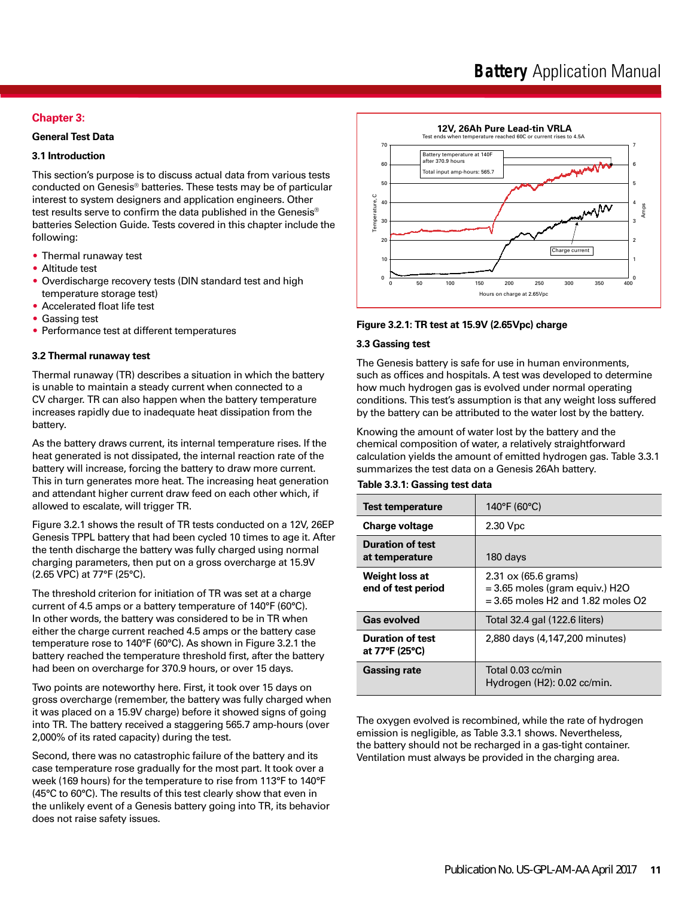# **Chapter 3:**

### **General Test Data**

# **3.1 Introduction**

This section's purpose is to discuss actual data from various tests conducted on Genesis® batteries. These tests may be of particular interest to system designers and application engineers. Other test results serve to confirm the data published in the Genesis® batteries Selection Guide. Tests covered in this chapter include the following:

- Thermal runaway test
- Altitude test
- Overdischarge recovery tests (DIN standard test and high temperature storage test)
- Accelerated float life test
- Gassing test
- Performance test at different temperatures

#### **3.2 Thermal runaway test**

Thermal runaway (TR) describes a situation in which the battery is unable to maintain a steady current when connected to a CV charger. TR can also happen when the battery temperature increases rapidly due to inadequate heat dissipation from the battery.

As the battery draws current, its internal temperature rises. If the heat generated is not dissipated, the internal reaction rate of the battery will increase, forcing the battery to draw more current. This in turn generates more heat. The increasing heat generation and attendant higher current draw feed on each other which, if allowed to escalate, will trigger TR.

Figure 3.2.1 shows the result of TR tests conducted on a 12V, 26EP Genesis TPPL battery that had been cycled 10 times to age it. After the tenth discharge the battery was fully charged using normal charging parameters, then put on a gross overcharge at 15.9V (2.65 VPC) at 77°F (25°C).

The threshold criterion for initiation of TR was set at a charge current of 4.5 amps or a battery temperature of 140°F (60°C). In other words, the battery was considered to be in TR when either the charge current reached 4.5 amps or the battery case temperature rose to 140°F (60°C). As shown in Figure 3.2.1 the battery reached the temperature threshold first, after the battery had been on overcharge for 370.9 hours, or over 15 days.

Two points are noteworthy here. First, it took over 15 days on gross overcharge (remember, the battery was fully charged when it was placed on a 15.9V charge) before it showed signs of going into TR. The battery received a staggering 565.7 amp-hours (over 2,000% of its rated capacity) during the test.

Second, there was no catastrophic failure of the battery and its case temperature rose gradually for the most part. It took over a week (169 hours) for the temperature to rise from 113°F to 140°F (45°C to 60°C). The results of this test clearly show that even in the unlikely event of a Genesis battery going into TR, its behavior does not raise safety issues.



#### **Figure 3.2.1: TR test at 15.9V (2.65Vpc) charge**

#### **3.3 Gassing test**

The Genesis battery is safe for use in human environments, such as offices and hospitals. A test was developed to determine how much hydrogen gas is evolved under normal operating conditions. This test's assumption is that any weight loss suffered by the battery can be attributed to the water lost by the battery.

Knowing the amount of water lost by the battery and the chemical composition of water, a relatively straightforward calculation yields the amount of emitted hydrogen gas. Table 3.3.1 summarizes the test data on a Genesis 26Ah battery.

# **Table 3.3.1: Gassing test data**

| <b>Test temperature</b>                   | 140°F (60°C)                                                                                                                              |
|-------------------------------------------|-------------------------------------------------------------------------------------------------------------------------------------------|
| <b>Charge voltage</b>                     | 2.30 Vpc                                                                                                                                  |
| <b>Duration of test</b><br>at temperature | 180 days                                                                                                                                  |
| Weight loss at<br>end of test period      | $2.31 \text{ ox} (65.6 \text{ grams})$<br>$=$ 3.65 moles (gram equiv.) H2O<br>$= 3.65$ moles H <sub>2</sub> and 1.82 moles O <sub>2</sub> |
| <b>Gas evolved</b>                        | Total 32.4 gal (122.6 liters)                                                                                                             |
| <b>Duration of test</b><br>at 77°F (25°C) | 2,880 days (4,147,200 minutes)                                                                                                            |
| <b>Gassing rate</b>                       | Total 0.03 cc/min<br>Hydrogen (H2): 0.02 cc/min.                                                                                          |

The oxygen evolved is recombined, while the rate of hydrogen emission is negligible, as Table 3.3.1 shows. Nevertheless, the battery should not be recharged in a gas-tight container. Ventilation must always be provided in the charging area.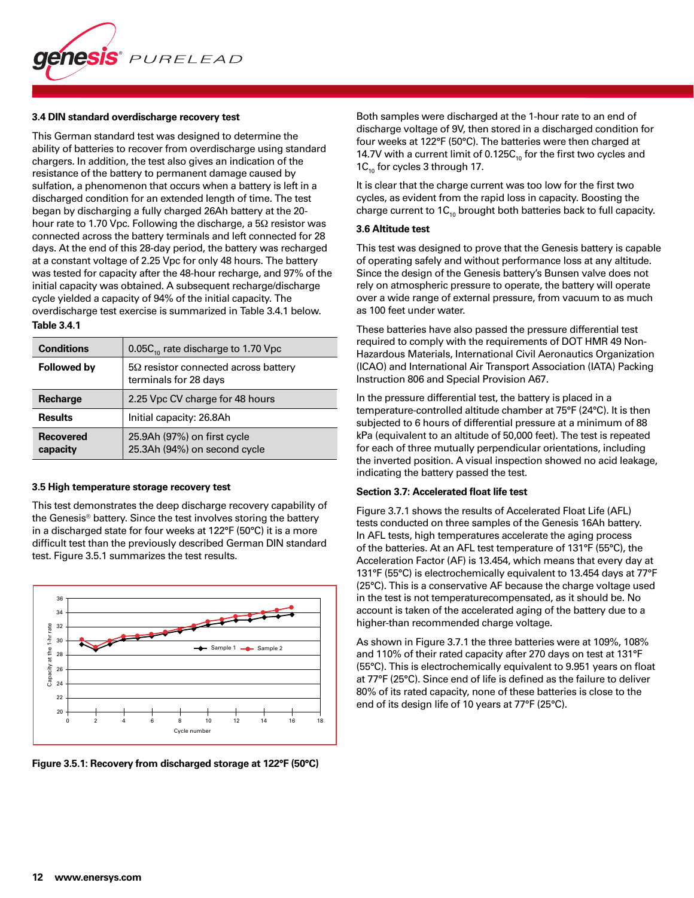

#### **3.4 DIN standard overdischarge recovery test**

This German standard test was designed to determine the ability of batteries to recover from overdischarge using standard chargers. In addition, the test also gives an indication of the resistance of the battery to permanent damage caused by sulfation, a phenomenon that occurs when a battery is left in a discharged condition for an extended length of time. The test began by discharging a fully charged 26Ah battery at the 20 hour rate to 1.70 Vpc. Following the discharge, a 5Ω resistor was connected across the battery terminals and left connected for 28 days. At the end of this 28-day period, the battery was recharged at a constant voltage of 2.25 Vpc for only 48 hours. The battery was tested for capacity after the 48-hour recharge, and 97% of the initial capacity was obtained. A subsequent recharge/discharge cycle yielded a capacity of 94% of the initial capacity. The overdischarge test exercise is summarized in Table 3.4.1 below.

#### **Table 3.4.1**

| <b>Conditions</b>            | 0.05 $C_{10}$ rate discharge to 1.70 Vpc                             |
|------------------------------|----------------------------------------------------------------------|
| <b>Followed by</b>           | $5\Omega$ resistor connected across battery<br>terminals for 28 days |
| Recharge                     | 2.25 Vpc CV charge for 48 hours                                      |
| <b>Results</b>               | Initial capacity: 26.8Ah                                             |
| <b>Recovered</b><br>capacity | 25.9Ah (97%) on first cycle<br>25.3Ah (94%) on second cycle          |

#### **3.5 High temperature storage recovery test**

This test demonstrates the deep discharge recovery capability of the Genesis® battery. Since the test involves storing the battery in a discharged state for four weeks at 122°F (50°C) it is a more difficult test than the previously described German DIN standard test. Figure 3.5.1 summarizes the test results.





Both samples were discharged at the 1-hour rate to an end of discharge voltage of 9V, then stored in a discharged condition for four weeks at 122°F (50°C). The batteries were then charged at 14.7V with a current limit of 0.125 $C_{10}$  for the first two cycles and  $1C_{10}$  for cycles 3 through 17.

It is clear that the charge current was too low for the first two cycles, as evident from the rapid loss in capacity. Boosting the charge current to  $1C_{10}$  brought both batteries back to full capacity.

#### **3.6 Altitude test**

This test was designed to prove that the Genesis battery is capable of operating safely and without performance loss at any altitude. Since the design of the Genesis battery's Bunsen valve does not rely on atmospheric pressure to operate, the battery will operate over a wide range of external pressure, from vacuum to as much as 100 feet under water.

These batteries have also passed the pressure differential test required to comply with the requirements of DOT HMR 49 Non-Hazardous Materials, International Civil Aeronautics Organization (ICAO) and International Air Transport Association (IATA) Packing Instruction 806 and Special Provision A67.

In the pressure differential test, the battery is placed in a temperature-controlled altitude chamber at 75°F (24°C). It is then subjected to 6 hours of differential pressure at a minimum of 88 kPa (equivalent to an altitude of 50,000 feet). The test is repeated for each of three mutually perpendicular orientations, including the inverted position. A visual inspection showed no acid leakage, indicating the battery passed the test.

#### **Section 3.7: Accelerated float life test**

Figure 3.7.1 shows the results of Accelerated Float Life (AFL) tests conducted on three samples of the Genesis 16Ah battery. In AFL tests, high temperatures accelerate the aging process of the batteries. At an AFL test temperature of 131°F (55°C), the Acceleration Factor (AF) is 13.454, which means that every day at 131°F (55°C) is electrochemically equivalent to 13.454 days at 77°F (25°C). This is a conservative AF because the charge voltage used in the test is not temperaturecompensated, as it should be. No account is taken of the accelerated aging of the battery due to a higher-than recommended charge voltage.

As shown in Figure 3.7.1 the three batteries were at 109%, 108% and 110% of their rated capacity after 270 days on test at 131°F (55°C). This is electrochemically equivalent to 9.951 years on float at 77°F (25°C). Since end of life is defined as the failure to deliver 80% of its rated capacity, none of these batteries is close to the end of its design life of 10 years at 77°F (25°C).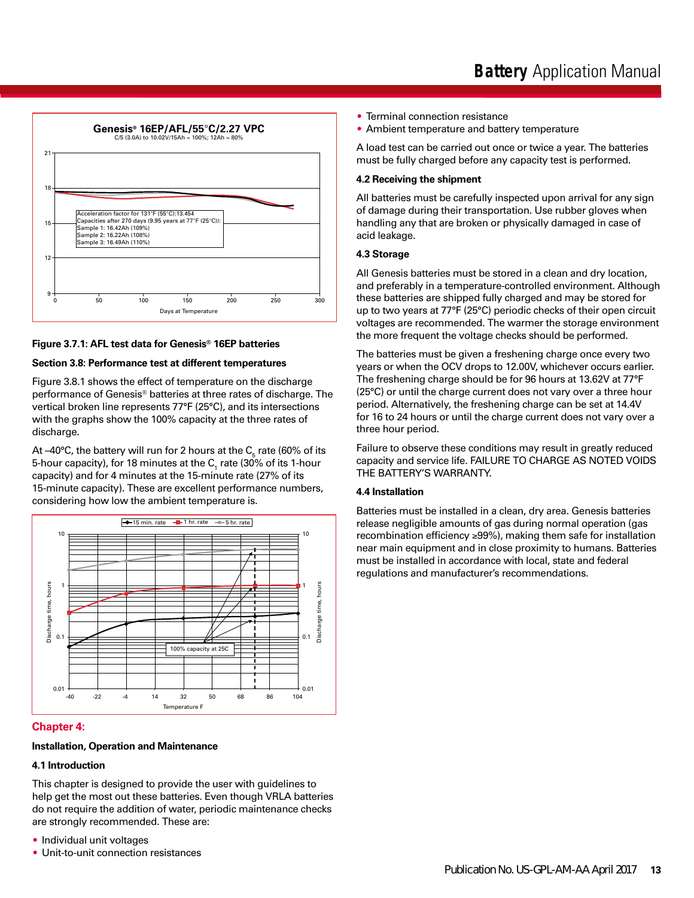



#### **Figure 3.7.1: AFL test data for Genesis® 16EP batteries**

#### **Section 3.8: Performance test at different temperatures**

Figure 3.8.1 shows the effect of temperature on the discharge performance of Genesis® batteries at three rates of discharge. The vertical broken line represents 77°F (25°C), and its intersections with the graphs show the 100% capacity at the three rates of discharge.

At –40°C, the battery will run for 2 hours at the  $\mathsf{C}_\mathsf{s}$  rate (60% of its 5-hour capacity), for 18 minutes at the  $\mathsf{C}_\text{\tiny{1}}$  rate (30% of its 1-hour capacity) and for 4 minutes at the 15-minute rate (27% of its 15-minute capacity). These are excellent performance numbers, considering how low the ambient temperature is.



#### **Chapter 4:**

# **Installation, Operation and Maintenance**

#### **4.1 Introduction**

This chapter is designed to provide the user with guidelines to help get the most out these batteries. Even though VRLA batteries do not require the addition of water, periodic maintenance checks are strongly recommended. These are:

- Individual unit voltages
- Unit-to-unit connection resistances
- Terminal connection resistance
- Ambient temperature and battery temperature

A load test can be carried out once or twice a year. The batteries must be fully charged before any capacity test is performed.

#### **4.2 Receiving the shipment**

All batteries must be carefully inspected upon arrival for any sign of damage during their transportation. Use rubber gloves when handling any that are broken or physically damaged in case of acid leakage.

#### **4.3 Storage**

All Genesis batteries must be stored in a clean and dry location, and preferably in a temperature-controlled environment. Although these batteries are shipped fully charged and may be stored for up to two years at 77°F (25°C) periodic checks of their open circuit voltages are recommended. The warmer the storage environment the more frequent the voltage checks should be performed.

The batteries must be given a freshening charge once every two years or when the OCV drops to 12.00V, whichever occurs earlier. The freshening charge should be for 96 hours at 13.62V at 77°F (25°C) or until the charge current does not vary over a three hour period. Alternatively, the freshening charge can be set at 14.4V for 16 to 24 hours or until the charge current does not vary over a three hour period.

Failure to observe these conditions may result in greatly reduced capacity and service life. FAILURE TO CHARGE AS NOTED VOIDS THE BATTERY'S WARRANTY.

### **4.4 Installation**

Batteries must be installed in a clean, dry area. Genesis batteries release negligible amounts of gas during normal operation (gas recombination efficiency ≥99%), making them safe for installation near main equipment and in close proximity to humans. Batteries must be installed in accordance with local, state and federal regulations and manufacturer's recommendations.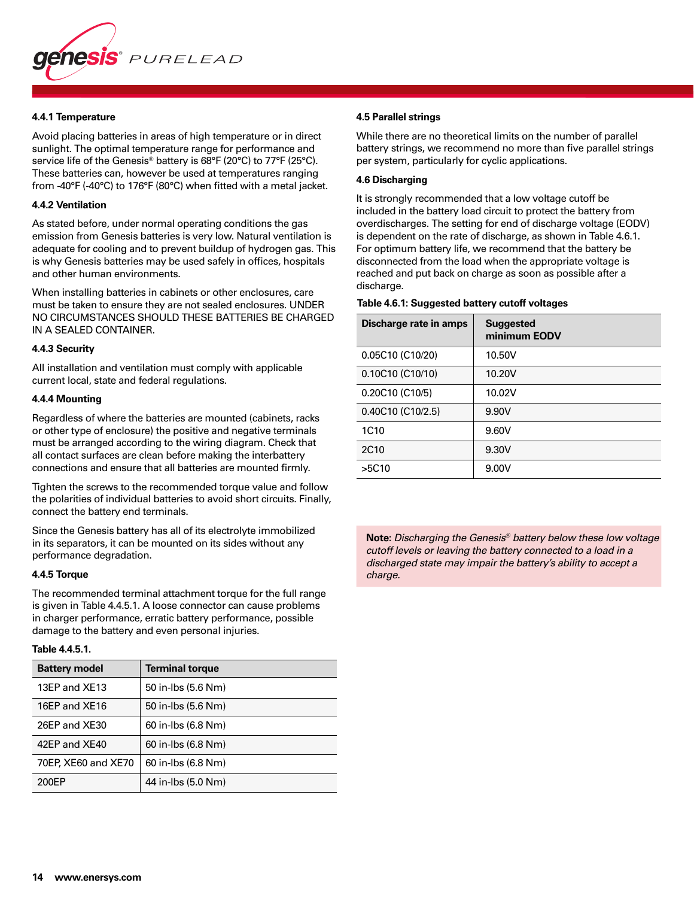

#### **4.4.1 Temperature**

Avoid placing batteries in areas of high temperature or in direct sunlight. The optimal temperature range for performance and service life of the Genesis® battery is 68°F (20°C) to 77°F (25°C). These batteries can, however be used at temperatures ranging from -40°F (-40°C) to 176°F (80°C) when fitted with a metal jacket.

#### **4.4.2 Ventilation**

As stated before, under normal operating conditions the gas emission from Genesis batteries is very low. Natural ventilation is adequate for cooling and to prevent buildup of hydrogen gas. This is why Genesis batteries may be used safely in offices, hospitals and other human environments.

When installing batteries in cabinets or other enclosures, care must be taken to ensure they are not sealed enclosures. UNDER NO CIRCUMSTANCES SHOULD THESE BATTERIES BE CHARGED IN A SEALED CONTAINER.

#### **4.4.3 Security**

All installation and ventilation must comply with applicable current local, state and federal regulations.

#### **4.4.4 Mounting**

Regardless of where the batteries are mounted (cabinets, racks or other type of enclosure) the positive and negative terminals must be arranged according to the wiring diagram. Check that all contact surfaces are clean before making the interbattery connections and ensure that all batteries are mounted firmly.

Tighten the screws to the recommended torque value and follow the polarities of individual batteries to avoid short circuits. Finally, connect the battery end terminals.

Since the Genesis battery has all of its electrolyte immobilized in its separators, it can be mounted on its sides without any performance degradation.

#### **4.4.5 Torque**

The recommended terminal attachment torque for the full range is given in Table 4.4.5.1. A loose connector can cause problems in charger performance, erratic battery performance, possible damage to the battery and even personal injuries.

#### **Table 4.4.5.1.**

| <b>Battery model</b> | <b>Terminal torque</b> |
|----------------------|------------------------|
| 13EP and XE13        | 50 in-lbs (5.6 Nm)     |
| 16EP and XE16        | 50 in-lbs (5.6 Nm)     |
| 26EP and XE30        | 60 in-lbs (6.8 Nm)     |
| 42EP and XE40        | 60 in-lbs (6.8 Nm)     |
| 70EP, XE60 and XE70  | 60 in-lbs (6.8 Nm)     |
| 200EP                | 44 in-lbs (5.0 Nm)     |

#### **4.5 Parallel strings**

While there are no theoretical limits on the number of parallel battery strings, we recommend no more than five parallel strings per system, particularly for cyclic applications.

#### **4.6 Discharging**

It is strongly recommended that a low voltage cutoff be included in the battery load circuit to protect the battery from overdischarges. The setting for end of discharge voltage (EODV) is dependent on the rate of discharge, as shown in Table 4.6.1. For optimum battery life, we recommend that the battery be disconnected from the load when the appropriate voltage is reached and put back on charge as soon as possible after a discharge.

#### **Table 4.6.1: Suggested battery cutoff voltages**

| Discharge rate in amps | <b>Suggested</b><br>minimum EODV |
|------------------------|----------------------------------|
| 0.05C10 (C10/20)       | 10.50V                           |
| $0.10C10$ (C10/10)     | 10.20V                           |
| 0.20C10 (C10/5)        | 10.02V                           |
| $0.40C10$ (C10/2.5)    | 9.90V                            |
| 1C <sub>10</sub>       | 9.60V                            |
| 2C <sub>10</sub>       | 9.30V                            |
| >5C10                  | 9.00V                            |

**Note:** *Discharging the Genesis® battery below these low voltage cutoff levels or leaving the battery connected to a load in a discharged state may impair the battery's ability to accept a charge.*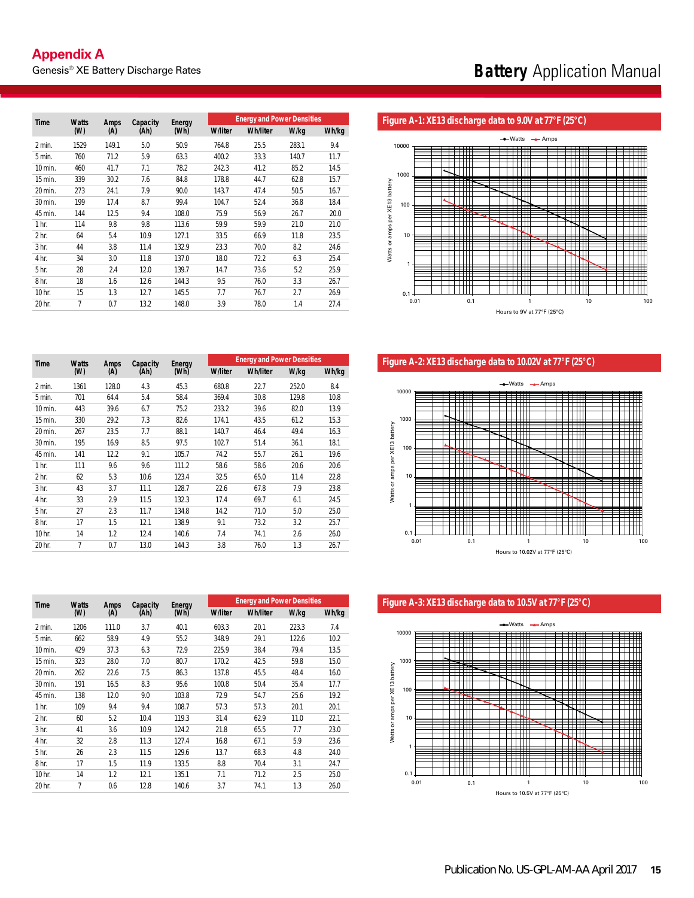| <b>Time</b>      | <b>Watts</b> | <b>Amps</b> |      | Capacity<br>Energy<br>(Ah)<br>(Wh) |                | <b>Energy and Power Densities</b> |       |       |  |
|------------------|--------------|-------------|------|------------------------------------|----------------|-----------------------------------|-------|-------|--|
|                  | (W)          | (A)         |      |                                    | <b>W/liter</b> | <b>Wh/liter</b>                   | W/kg  | Wh/kg |  |
| 2 min.           | 1529         | 149.1       | 5.0  | 50.9                               | 764.8          | 25.5                              | 283.1 | 9.4   |  |
| 5 min.           | 760          | 71.2        | 5.9  | 63.3                               | 400.2          | 33.3                              | 140.7 | 11.7  |  |
| 10 min.          | 460          | 41.7        | 7.1  | 78.2                               | 242.3          | 41.2                              | 85.2  | 14.5  |  |
| 15 min.          | 339          | 30.2        | 7.6  | 84.8                               | 178.8          | 44.7                              | 62.8  | 15.7  |  |
| 20 min.          | 273          | 24.1        | 7.9  | 90.0                               | 143.7          | 47.4                              | 50.5  | 16.7  |  |
| 30 min.          | 199          | 17.4        | 8.7  | 99.4                               | 104.7          | 52.4                              | 36.8  | 18.4  |  |
| 45 min.          | 144          | 12.5        | 9.4  | 108.0                              | 75.9           | 56.9                              | 26.7  | 20.0  |  |
| 1 <sub>hr.</sub> | 114          | 9.8         | 9.8  | 113.6                              | 59.9           | 59.9                              | 21.0  | 21.0  |  |
| 2 <sub>hr.</sub> | 64           | 5.4         | 10.9 | 127.1                              | 33.5           | 66.9                              | 11.8  | 23.5  |  |
| 3 <sub>hr.</sub> | 44           | 3.8         | 11.4 | 132.9                              | 23.3           | 70.0                              | 8.2   | 24.6  |  |
| 4 hr.            | 34           | 3.0         | 11.8 | 137.0                              | 18.0           | 72.2                              | 6.3   | 25.4  |  |
| 5 <sub>hr.</sub> | 28           | 2.4         | 12.0 | 139.7                              | 14.7           | 73.6                              | 5.2   | 25.9  |  |
| 8 <sub>hr.</sub> | 18           | 1.6         | 12.6 | 144.3                              | 9.5            | 76.0                              | 3.3   | 26.7  |  |
| 10 hr.           | 15           | 1.3         | 12.7 | 145.5                              | 7.7            | 76.7                              | 2.7   | 26.9  |  |
| 20 hr.           | 7            | 0.7         | 13.2 | 148.0                              | 3.9            | 78.0                              | 1.4   | 27.4  |  |

#### Figure A-1: XE13 discharge data to 9.0V at 77°F (25°C)



Figure A-2: XE13 discharge data to 10.02V at 77°F (25°C)



### Figure A-3: XE13 discharge data to 10.5V at 77°F (25°C)



| <b>Time</b>      | <b>Watts</b> | <b>Amps</b> |      | Capacity<br>Energy<br>(Ah)<br>(Wh) |                | <b>Energy and Power Densities</b> |       |       |  |
|------------------|--------------|-------------|------|------------------------------------|----------------|-----------------------------------|-------|-------|--|
|                  | (W)          | (A)         |      |                                    | <b>W/liter</b> | <b>Wh/liter</b>                   | W/kg  | Wh/kg |  |
| 2 min.           | 1361         | 128.0       | 4.3  | 45.3                               | 680.8          | 22.7                              | 252.0 | 8.4   |  |
| 5 min.           | 701          | 64.4        | 5.4  | 58.4                               | 369.4          | 30.8                              | 129.8 | 10.8  |  |
| 10 min.          | 443          | 39.6        | 6.7  | 75.2                               | 233.2          | 39.6                              | 82.0  | 13.9  |  |
| 15 min.          | 330          | 29.2        | 7.3  | 82.6                               | 174.1          | 43.5                              | 61.2  | 15.3  |  |
| 20 min.          | 267          | 23.5        | 7.7  | 88.1                               | 140.7          | 46.4                              | 49.4  | 16.3  |  |
| 30 min.          | 195          | 16.9        | 8.5  | 97.5                               | 102.7          | 51.4                              | 36.1  | 18.1  |  |
| 45 min.          | 141          | 12.2        | 9.1  | 105.7                              | 74.2           | 55.7                              | 26.1  | 19.6  |  |
| 1 <sub>hr.</sub> | 111          | 9.6         | 9.6  | 111.2                              | 58.6           | 58.6                              | 20.6  | 20.6  |  |
| 2 <sub>hr.</sub> | 62           | 5.3         | 10.6 | 123.4                              | 32.5           | 65.0                              | 11.4  | 22.8  |  |
| 3 <sub>hr.</sub> | 43           | 3.7         | 11.1 | 128.7                              | 22.6           | 67.8                              | 7.9   | 23.8  |  |
| 4 hr.            | 33           | 2.9         | 11.5 | 132.3                              | 17.4           | 69.7                              | 6.1   | 24.5  |  |
| 5 <sub>hr.</sub> | 27           | 2.3         | 11.7 | 134.8                              | 14.2           | 71.0                              | 5.0   | 25.0  |  |
| 8 <sub>hr.</sub> | 17           | 1.5         | 12.1 | 138.9                              | 9.1            | 73.2                              | 3.2   | 25.7  |  |
| 10 hr.           | 14           | 1.2         | 12.4 | 140.6                              | 7.4            | 74.1                              | 2.6   | 26.0  |  |
| 20 hr.           | 7            | 0.7         | 13.0 | 144.3                              | 3.8            | 76.0                              | 1.3   | 26.7  |  |

| Time             | <b>Watts</b> | Amps  | Capacity | Energy |                | <b>Energy and Power Densities</b> |       |       |
|------------------|--------------|-------|----------|--------|----------------|-----------------------------------|-------|-------|
|                  | (W)          | (A)   | (Ah)     | (Wh)   | <b>W/liter</b> | <b>Wh/liter</b>                   | W/kg  | Wh/kg |
| 2 min.           | 1206         | 111.0 | 3.7      | 40.1   | 603.3          | 20.1                              | 223.3 | 7.4   |
| 5 min.           | 662          | 58.9  | 4.9      | 55.2   | 348.9          | 29.1                              | 122.6 | 10.2  |
| 10 min.          | 429          | 37.3  | 6.3      | 72.9   | 225.9          | 38.4                              | 79.4  | 13.5  |
| 15 min.          | 323          | 28.0  | 7.0      | 80.7   | 170.2          | 42.5                              | 59.8  | 15.0  |
| 20 min.          | 262          | 22.6  | 7.5      | 86.3   | 137.8          | 45.5                              | 48.4  | 16.0  |
| 30 min.          | 191          | 16.5  | 8.3      | 95.6   | 100.8          | 50.4                              | 35.4  | 17.7  |
| 45 min.          | 138          | 12.0  | 9.0      | 103.8  | 72.9           | 54.7                              | 25.6  | 19.2  |
| 1 <sub>hr.</sub> | 109          | 9.4   | 9.4      | 108.7  | 57.3           | 57.3                              | 20.1  | 20.1  |
| 2 <sub>hr.</sub> | 60           | 5.2   | 10.4     | 119.3  | 31.4           | 62.9                              | 11.0  | 22.1  |
| 3 <sub>hr.</sub> | 41           | 3.6   | 10.9     | 124.2  | 21.8           | 65.5                              | 7.7   | 23.0  |
| 4 hr.            | 32           | 2.8   | 11.3     | 127.4  | 16.8           | 67.1                              | 5.9   | 23.6  |
| 5 <sub>hr.</sub> | 26           | 2.3   | 11.5     | 129.6  | 13.7           | 68.3                              | 4.8   | 24.0  |
| 8 <sub>hr.</sub> | 17           | 1.5   | 11.9     | 133.5  | 8.8            | 70.4                              | 3.1   | 24.7  |
| 10 hr.           | 14           | 1.2   | 12.1     | 135.1  | 7.1            | 71.2                              | 2.5   | 25.0  |
| 20 hr.           | 7            | 0.6   | 12.8     | 140.6  | 3.7            | 74.1                              | 1.3   | 26.0  |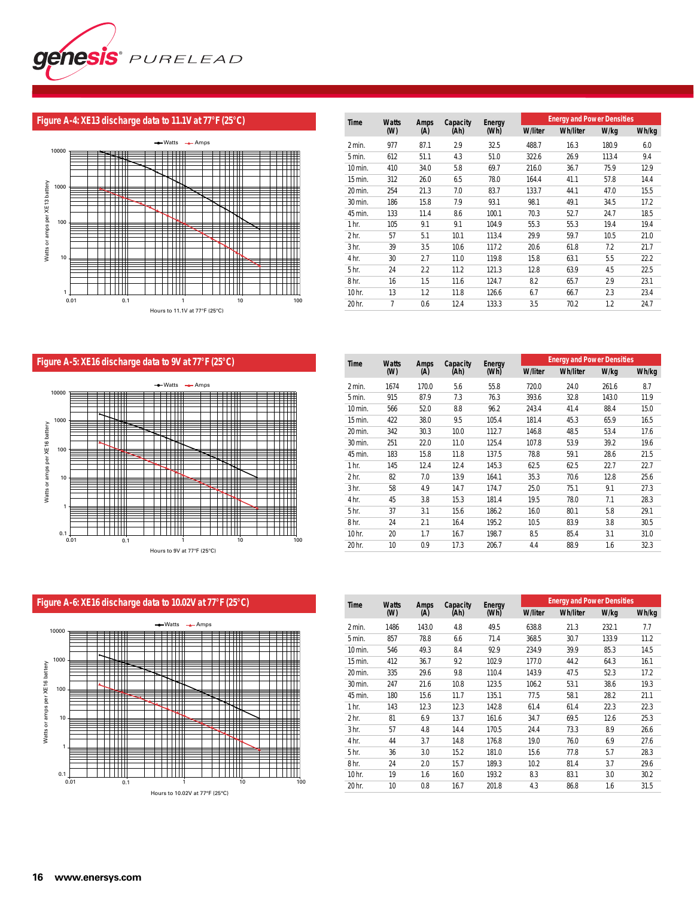

# **Figure A-4: XE13 discharge data to 11.1V at 77°F (25°C)**



| <b>Time</b>      | <b>Watts</b> | Amps | Capacity | Energy |                | <b>Energy and Power Densities</b> |       |       |
|------------------|--------------|------|----------|--------|----------------|-----------------------------------|-------|-------|
|                  | (W)          | (A)  | (Ah)     | (Wh)   | <b>W/liter</b> | <b>Wh/liter</b>                   | W/kg  | Wh/kg |
| 2 min.           | 977          | 87.1 | 2.9      | 32.5   | 488.7          | 16.3                              | 180.9 | 6.0   |
| 5 min.           | 612          | 51.1 | 4.3      | 51.0   | 322.6          | 26.9                              | 113.4 | 9.4   |
| 10 min.          | 410          | 34.0 | 5.8      | 69.7   | 216.0          | 36.7                              | 75.9  | 12.9  |
| 15 min.          | 312          | 26.0 | 6.5      | 78.0   | 164.4          | 41.1                              | 57.8  | 14.4  |
| 20 min.          | 254          | 21.3 | 7.0      | 83.7   | 133.7          | 44.1                              | 47.0  | 15.5  |
| 30 min.          | 186          | 15.8 | 7.9      | 93.1   | 98.1           | 49.1                              | 34.5  | 17.2  |
| 45 min.          | 133          | 11.4 | 8.6      | 100.1  | 70.3           | 52.7                              | 24.7  | 18.5  |
| 1 <sub>hr.</sub> | 105          | 9.1  | 9.1      | 104.9  | 55.3           | 55.3                              | 19.4  | 19.4  |
| 2 <sub>hr.</sub> | 57           | 5.1  | 10.1     | 113.4  | 29.9           | 59.7                              | 10.5  | 21.0  |
| 3 <sub>hr.</sub> | 39           | 3.5  | 10.6     | 117.2  | 20.6           | 61.8                              | 7.2   | 21.7  |
| 4 hr.            | 30           | 2.7  | 11.0     | 119.8  | 15.8           | 63.1                              | 5.5   | 22.2  |
| 5 <sub>hr.</sub> | 24           | 2.2  | 11.2     | 121.3  | 12.8           | 63.9                              | 4.5   | 22.5  |
| 8 <sub>hr.</sub> | 16           | 1.5  | 11.6     | 124.7  | 8.2            | 65.7                              | 2.9   | 23.1  |
| 10 hr.           | 13           | 1.2  | 11.8     | 126.6  | 6.7            | 66.7                              | 2.3   | 23.4  |
| 20 hr.           | 7            | 0.6  | 12.4     | 133.3  | 3.5            | 70.2                              | 1.2   | 24.7  |

# **Figure A-5: XE16 discharge data to 9V at 77°F (25°C)**



| Time             | <b>Watts</b> | Amps  | Capacity | Energy |                | <b>Energy and Power Densities</b> |       | Wh/kg<br>8.7<br>11.9<br>15.0<br>16.5<br>17.6<br>19.6<br>21.5<br>22.7<br>25.6 |  |  |  |
|------------------|--------------|-------|----------|--------|----------------|-----------------------------------|-------|------------------------------------------------------------------------------|--|--|--|
|                  | (W)          | (A)   | (Ah)     | (Wh)   | <b>W/liter</b> | <b>Wh/liter</b>                   | W/kg  |                                                                              |  |  |  |
| 2 min.           | 1674         | 170.0 | 5.6      | 55.8   | 720.0          | 24.0                              | 261.6 |                                                                              |  |  |  |
| 5 min.           | 915          | 87.9  | 7.3      | 76.3   | 393.6          | 32.8                              | 143.0 |                                                                              |  |  |  |
| 10 min.          | 566          | 52.0  | 8.8      | 96.2   | 243.4          | 41.4                              | 88.4  |                                                                              |  |  |  |
| 15 min.          | 422          | 38.0  | 9.5      | 105.4  | 181.4          | 45.3                              | 65.9  |                                                                              |  |  |  |
| 20 min.          | 342          | 30.3  | 10.0     | 112.7  | 146.8          | 48.5                              | 53.4  |                                                                              |  |  |  |
| 30 min.          | 251          | 22.0  | 11.0     | 125.4  | 107.8          | 53.9                              | 39.2  |                                                                              |  |  |  |
| 45 min.          | 183          | 15.8  | 11.8     | 137.5  | 78.8           | 59.1                              | 28.6  |                                                                              |  |  |  |
| 1 <sub>hr.</sub> | 145          | 12.4  | 12.4     | 145.3  | 62.5           | 62.5                              | 22.7  |                                                                              |  |  |  |
| 2 <sub>hr.</sub> | 82           | 7.0   | 13.9     | 164.1  | 35.3           | 70.6                              | 12.8  |                                                                              |  |  |  |
| 3 <sub>hr.</sub> | 58           | 4.9   | 14.7     | 174.7  | 25.0           | 75.1                              | 9.1   | 27.3                                                                         |  |  |  |
| 4 hr.            | 45           | 3.8   | 15.3     | 181.4  | 19.5           | 78.0                              | 7.1   | 28.3                                                                         |  |  |  |
| 5 <sub>hr.</sub> | 37           | 3.1   | 15.6     | 186.2  | 16.0           | 80.1                              | 5.8   | 29.1                                                                         |  |  |  |
| 8 <sub>hr.</sub> | 24           | 2.1   | 16.4     | 195.2  | 10.5           | 83.9                              | 3.8   | 30.5                                                                         |  |  |  |
| 10 hr.           | 20           | 1.7   | 16.7     | 198.7  | 8.5            | 85.4                              | 3.1   | 31.0                                                                         |  |  |  |
| 20 hr.           | 10           | 0.9   | 17.3     | 206.7  | 4.4            | 88.9                              | 1.6   | 32.3                                                                         |  |  |  |



| Time             | <b>Watts</b> | Amps  | Capacity | Energy |                | <b>Energy and Power Densities</b> |       |       |
|------------------|--------------|-------|----------|--------|----------------|-----------------------------------|-------|-------|
|                  | (W)          | (A)   | (Ah)     | (Wh)   | <b>W/liter</b> | <b>Wh/liter</b>                   | W/kg  | Wh/kg |
| 2 min.           | 1486         | 143.0 | 4.8      | 49.5   | 638.8          | 21.3                              | 232.1 | 7.7   |
| 5 min.           | 857          | 78.8  | 6.6      | 71.4   | 368.5          | 30.7                              | 133.9 | 11.2  |
| 10 min.          | 546          | 49.3  | 8.4      | 92.9   | 234.9          | 39.9                              | 85.3  | 14.5  |
| 15 min.          | 412          | 36.7  | 9.2      | 102.9  | 177.0          | 44.2                              | 64.3  | 16.1  |
| 20 min.          | 335          | 29.6  | 9.8      | 110.4  | 143.9          | 47.5                              | 52.3  | 17.2  |
| 30 min.          | 247          | 21.6  | 10.8     | 123.5  | 106.2          | 53.1                              | 38.6  | 19.3  |
| 45 min.          | 180          | 15.6  | 11.7     | 135.1  | 77.5           | 58.1                              | 28.2  | 21.1  |
| 1 <sub>hr.</sub> | 143          | 12.3  | 12.3     | 142.8  | 61.4           | 61.4                              | 22.3  | 22.3  |
| 2 <sub>hr.</sub> | 81           | 6.9   | 13.7     | 161.6  | 34.7           | 69.5                              | 12.6  | 25.3  |
| 3 <sub>hr.</sub> | 57           | 4.8   | 14.4     | 170.5  | 24.4           | 73.3                              | 8.9   | 26.6  |
| 4 hr.            | 44           | 3.7   | 14.8     | 176.8  | 19.0           | 76.0                              | 6.9   | 27.6  |
| 5 hr.            | 36           | 3.0   | 15.2     | 181.0  | 15.6           | 77.8                              | 5.7   | 28.3  |
| 8 <sub>hr.</sub> | 24           | 2.0   | 15.7     | 189.3  | 10.2           | 81.4                              | 3.7   | 29.6  |
| 10 hr.           | 19           | 1.6   | 16.0     | 193.2  | 8.3            | 83.1                              | 3.0   | 30.2  |
| 20 hr.           | 10           | 0.8   | 16.7     | 201.8  | 4.3            | 86.8                              | 1.6   | 31.5  |
|                  |              |       |          |        |                |                                   |       |       |

### **Figure A-6: XE16 discharge data to 10.02V at 77°F (25°C)**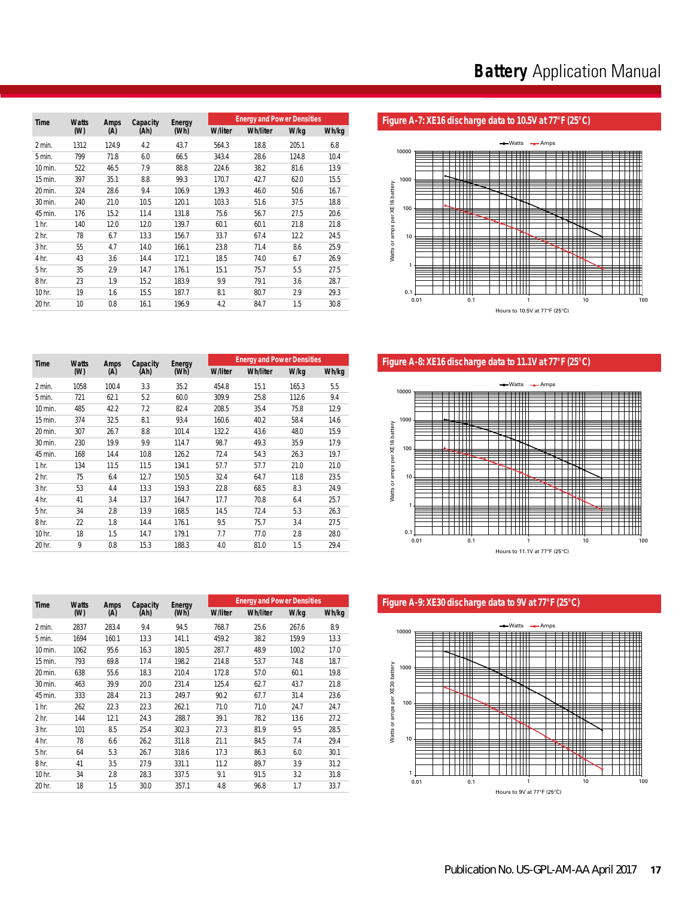| <b>Time</b>      | <b>Watts</b> | Amps  | Capacity | Energy |                | <b>Energy and Power Densities</b> |       |       |
|------------------|--------------|-------|----------|--------|----------------|-----------------------------------|-------|-------|
|                  | (W)          | (A)   | (Ah)     | (Wh)   | <b>W/liter</b> | <b>Wh/liter</b>                   | W/kg  | Wh/kg |
| 2 min.           | 1312         | 124.9 | 4.2      | 43.7   | 564.3          | 18.8                              | 205.1 | 6.8   |
| 5 min.           | 799          | 71.8  | 6.0      | 66.5   | 343.4          | 28.6                              | 124.8 | 10.4  |
| 10 min.          | 522          | 46.5  | 7.9      | 88.8   | 224.6          | 38.2                              | 81.6  | 13.9  |
| 15 min.          | 397          | 35.1  | 8.8      | 99.3   | 170.7          | 42.7                              | 62.0  | 15.5  |
| 20 min.          | 324          | 28.6  | 9.4      | 106.9  | 139.3          | 46.0                              | 50.6  | 16.7  |
| 30 min.          | 240          | 21.0  | 10.5     | 120.1  | 103.3          | 51.6                              | 37.5  | 18.8  |
| 45 min.          | 176          | 15.2  | 11.4     | 131.8  | 75.6           | 56.7                              | 27.5  | 20.6  |
| 1 <sub>hr.</sub> | 140          | 12.0  | 12.0     | 139.7  | 60.1           | 60.1                              | 21.8  | 21.8  |
| 2 <sub>hr.</sub> | 78           | 6.7   | 13.3     | 156.7  | 33.7           | 67.4                              | 12.2  | 24.5  |
| 3 <sub>hr.</sub> | 55           | 4.7   | 14.0     | 166.1  | 23.8           | 71.4                              | 8.6   | 25.9  |
| 4 hr.            | 43           | 3.6   | 14.4     | 172.1  | 18.5           | 74.0                              | 6.7   | 26.9  |
| 5 <sub>hr.</sub> | 35           | 2.9   | 14.7     | 176.1  | 15.1           | 75.7                              | 5.5   | 27.5  |
| 8 <sub>hr.</sub> | 23           | 1.9   | 15.2     | 183.9  | 9.9            | 79.1                              | 3.6   | 28.7  |
| 10 hr.           | 19           | 1.6   | 15.5     | 187.7  | 8.1            | 80.7                              | 2.9   | 29.3  |
| 20 hr.           | 10           | 0.8   | 16.1     | 196.9  | 4.2            | 84.7                              | 1.5   | 30.8  |

# Figure A-7: XE16 discharge data to 10.5V at 77°F (25°C)



Figure A-8: XE16 discharge data to 11.1V at 77°F (25°C)



Figure A-9: XE30 discharge data to 9V at 77°F (25°C)



|                  |              |       |          |        |                | <b>Energy and Power Densities</b> |       |       |
|------------------|--------------|-------|----------|--------|----------------|-----------------------------------|-------|-------|
| Time             | <b>Watts</b> | Amps  | Capacity | Energy |                |                                   |       |       |
|                  | (W)          | (A)   | (Ah)     | (Wh)   | <b>W/liter</b> | <b>Wh/liter</b>                   | W/kg  | Wh/kg |
| 2 min.           | 1312         | 124.9 | 4.2      | 43.7   | 564.3          | 18.8                              | 205.1 | 6.8   |
| 5 min.           | 799          | 71.8  | 6.0      | 66.5   | 343.4          | 28.6                              | 124.8 | 10.4  |
| 10 min.          | 522          | 46.5  | 7.9      | 88.8   | 224.6          | 38.2                              | 81.6  | 13.9  |
| 15 min.          | 397          | 35.1  | 8.8      | 99.3   | 170.7          | 42.7                              | 62.0  | 15.5  |
| 20 min.          | 324          | 28.6  | 9.4      | 106.9  | 139.3          | 46.0                              | 50.6  | 16.7  |
| 30 min.          | 240          | 21.0  | 10.5     | 120.1  | 103.3          | 51.6                              | 37.5  | 18.8  |
| 45 min.          | 176          | 15.2  | 11.4     | 131.8  | 75.6           | 56.7                              | 27.5  | 20.6  |
| 1 <sub>hr.</sub> | 140          | 12.0  | 12.0     | 139.7  | 60.1           | 60.1                              | 21.8  | 21.8  |
| 2 <sub>hr.</sub> | 78           | 6.7   | 13.3     | 156.7  | 33.7           | 67.4                              | 12.2  | 24.5  |
| 3 <sub>hr.</sub> | 55           | 4.7   | 14.0     | 166.1  | 23.8           | 71.4                              | 8.6   | 25.9  |
| 4 hr.            | 43           | 3.6   | 14.4     | 172.1  | 18.5           | 74.0                              | 6.7   | 26.9  |
| 5 hr.            | 35           | 2.9   | 14.7     | 176.1  | 15.1           | 75.7                              | 5.5   | 27.5  |
| 8 hr.            | 23           | 1.9   | 15.2     | 183.9  | 9.9            | 79.1                              | 3.6   | 28.7  |
| 10 hr.           | 19           | 1.6   | 15.5     | 187.7  | 8.1            | 80.7                              | 2.9   | 29.3  |
| 20 <sub>hr</sub> | 10           | n g   | 161      | 1060   | $\Lambda$ 2    | 847                               | 15    | 3U 8  |

| Time             | <b>Watts</b> | <b>Amps</b> | Capacity | Energy |                | <b>Energy and Power Densities</b> |       |       |
|------------------|--------------|-------------|----------|--------|----------------|-----------------------------------|-------|-------|
|                  | (M)          | (A)         | (Ah)     | (Wh)   | <b>W/liter</b> | <b>Wh/liter</b>                   | W/kg  | Wh/kg |
| 2 min.           | 1058         | 100.4       | 3.3      | 35.2   | 454.8          | 15.1                              | 165.3 | 5.5   |
| 5 min.           | 721          | 62.1        | 5.2      | 60.0   | 309.9          | 25.8                              | 112.6 | 9.4   |
| 10 min.          | 485          | 42.2        | 7.2      | 82.4   | 208.5          | 35.4                              | 75.8  | 12.9  |
| 15 min.          | 374          | 32.5        | 8.1      | 93.4   | 160.6          | 40.2                              | 58.4  | 14.6  |
| 20 min.          | 307          | 26.7        | 8.8      | 101.4  | 132.2          | 43.6                              | 48.0  | 15.9  |
| 30 min.          | 230          | 19.9        | 9.9      | 114.7  | 98.7           | 49.3                              | 35.9  | 17.9  |
| 45 min.          | 168          | 14.4        | 10.8     | 126.2  | 72.4           | 54.3                              | 26.3  | 19.7  |
| 1 <sub>hr.</sub> | 134          | 11.5        | 11.5     | 134.1  | 57.7           | 57.7                              | 21.0  | 21.0  |
| 2 <sub>hr.</sub> | 75           | 6.4         | 12.7     | 150.5  | 32.4           | 64.7                              | 11.8  | 23.5  |
| 3 <sub>hr.</sub> | 53           | 4.4         | 13.3     | 159.3  | 22.8           | 68.5                              | 8.3   | 24.9  |
| 4 hr.            | 41           | 3.4         | 13.7     | 164.7  | 17.7           | 70.8                              | 6.4   | 25.7  |
| 5 <sub>hr.</sub> | 34           | 2.8         | 13.9     | 168.5  | 14.5           | 72.4                              | 5.3   | 26.3  |
| 8 <sub>hr.</sub> | 22           | 1.8         | 14.4     | 176.1  | 9.5            | 75.7                              | 3.4   | 27.5  |
| 10 hr.           | 18           | 1.5         | 14.7     | 179.1  | 7.7            | 77.0                              | 2.8   | 28.0  |
| 20 hr.           | 9            | 0.8         | 15.3     | 188.3  | 4.0            | 81.0                              | 1.5   | 29.4  |

| Time             | <b>Watts</b> | <b>Amps</b> | Capacity | Energy | <b>Energy and Power Densities</b><br><b>W/liter</b><br><b>Wh/liter</b><br>W/kg<br>Wh/kg<br>8.9<br>25.6<br>768.7<br>267.6<br>159.9<br>13.3<br>459.2<br>38.2<br>100.2<br>17.0<br>287.7<br>48.9<br>18.7<br>214.8<br>53.7<br>74.8<br>172.8<br>60.1<br>19.8<br>57.0<br>125.4<br>62.7<br>43.7<br>21.8<br>90.2<br>23.6<br>67.7<br>31.4<br>71.0<br>71.0<br>24.7<br>24.7<br>78.2<br>13.6<br>27.2<br>39.1<br>27.3<br>81.9<br>9.5<br>28.5<br>21.1<br>7.4<br>29.4<br>84.5 |      |     |      |
|------------------|--------------|-------------|----------|--------|---------------------------------------------------------------------------------------------------------------------------------------------------------------------------------------------------------------------------------------------------------------------------------------------------------------------------------------------------------------------------------------------------------------------------------------------------------------|------|-----|------|
|                  | (M)          | (A)         | (Ah)     | (Wh)   |                                                                                                                                                                                                                                                                                                                                                                                                                                                               |      |     |      |
| 2 min.           | 2837         | 283.4       | 9.4      | 94.5   |                                                                                                                                                                                                                                                                                                                                                                                                                                                               |      |     |      |
| 5 min.           | 1694         | 160.1       | 13.3     | 141.1  |                                                                                                                                                                                                                                                                                                                                                                                                                                                               |      |     |      |
| 10 min.          | 1062         | 95.6        | 16.3     | 180.5  |                                                                                                                                                                                                                                                                                                                                                                                                                                                               |      |     |      |
| 15 min.          | 793          | 69.8        | 17.4     | 198.2  |                                                                                                                                                                                                                                                                                                                                                                                                                                                               |      |     |      |
| 20 min.          | 638          | 55.6        | 18.3     | 210.4  |                                                                                                                                                                                                                                                                                                                                                                                                                                                               |      |     |      |
| 30 min.          | 463          | 39.9        | 20.0     | 231.4  |                                                                                                                                                                                                                                                                                                                                                                                                                                                               |      |     |      |
| 45 min.          | 333          | 28.4        | 21.3     | 249.7  |                                                                                                                                                                                                                                                                                                                                                                                                                                                               |      |     |      |
| 1 <sub>hr.</sub> | 262          | 22.3        | 22.3     | 262.1  |                                                                                                                                                                                                                                                                                                                                                                                                                                                               |      |     |      |
| 2 <sub>hr.</sub> | 144          | 12.1        | 24.3     | 288.7  |                                                                                                                                                                                                                                                                                                                                                                                                                                                               |      |     |      |
| 3 <sub>hr.</sub> | 101          | 8.5         | 25.4     | 302.3  |                                                                                                                                                                                                                                                                                                                                                                                                                                                               |      |     |      |
| 4 hr.            | 78           | 6.6         | 26.2     | 311.8  |                                                                                                                                                                                                                                                                                                                                                                                                                                                               |      |     |      |
| 5 <sub>hr.</sub> | 64           | 5.3         | 26.7     | 318.6  | 17.3                                                                                                                                                                                                                                                                                                                                                                                                                                                          | 86.3 | 6.0 | 30.1 |
| 8 <sub>hr.</sub> | 41           | 3.5         | 27.9     | 331.1  | 11.2                                                                                                                                                                                                                                                                                                                                                                                                                                                          | 89.7 | 3.9 | 31.2 |
| 10 hr.           | 34           | 2.8         | 28.3     | 337.5  | 9.1                                                                                                                                                                                                                                                                                                                                                                                                                                                           | 91.5 | 3.2 | 31.8 |
| 20 hr.           | 18           | 1.5         | 30.0     | 357.1  | 4.8                                                                                                                                                                                                                                                                                                                                                                                                                                                           | 96.8 | 1.7 | 33.7 |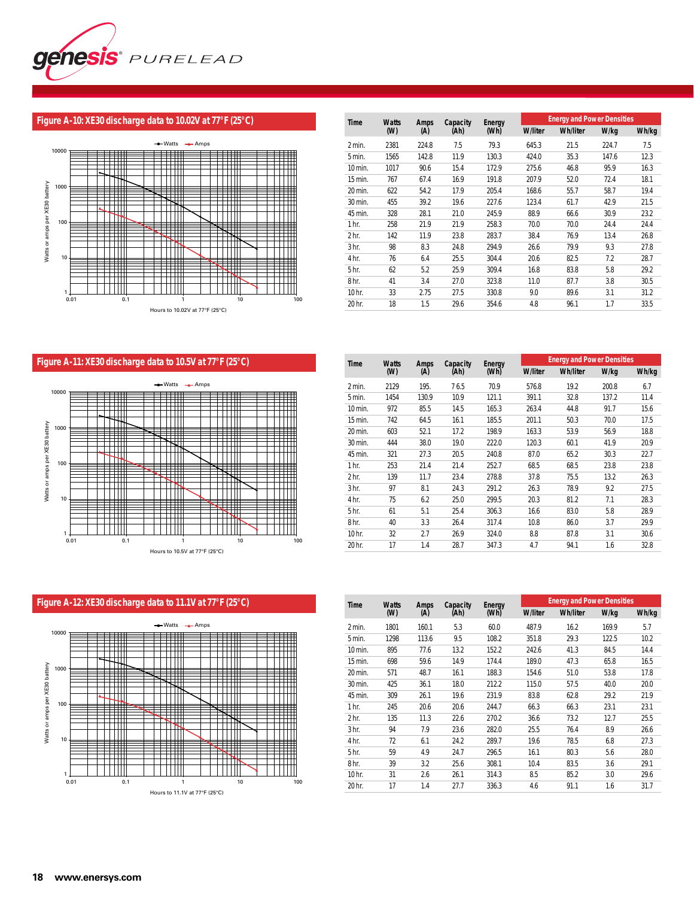

# **Figure A-10: XE30 discharge data to 10.02V at 77°F (25°C)**



| <b>Time</b>      | <b>Watts</b> | <b>Amps</b> | Capacity | Energy |                | <b>Energy and Power Densities</b> |       |       |
|------------------|--------------|-------------|----------|--------|----------------|-----------------------------------|-------|-------|
|                  | (W)          | (A)         | (Ah)     | (Wh)   | <b>W/liter</b> | <b>Wh/liter</b>                   | W/kg  | Wh/kg |
| 2 min.           | 2381         | 224.8       | 7.5      | 79.3   | 645.3          | 21.5                              | 224.7 | 7.5   |
| 5 min.           | 1565         | 142.8       | 11.9     | 130.3  | 424.0          | 35.3                              | 147.6 | 12.3  |
| 10 min.          | 1017         | 90.6        | 15.4     | 172.9  | 275.6          | 46.8                              | 95.9  | 16.3  |
| 15 min.          | 767          | 67.4        | 16.9     | 191.8  | 207.9          | 52.0                              | 72.4  | 18.1  |
| 20 min.          | 622          | 54.2        | 17.9     | 205.4  | 168.6          | 55.7                              | 58.7  | 19.4  |
| 30 min.          | 455          | 39.2        | 19.6     | 227.6  | 123.4          | 61.7                              | 42.9  | 21.5  |
| 45 min.          | 328          | 28.1        | 21.0     | 245.9  | 88.9           | 66.6                              | 30.9  | 23.2  |
| 1 <sub>hr.</sub> | 258          | 21.9        | 21.9     | 258.3  | 70.0           | 70.0                              | 24.4  | 24.4  |
| 2 <sub>hr.</sub> | 142          | 11.9        | 23.8     | 283.7  | 38.4           | 76.9                              | 13.4  | 26.8  |
| 3 <sub>hr.</sub> | 98           | 8.3         | 24.8     | 294.9  | 26.6           | 79.9                              | 9.3   | 27.8  |
| 4 hr.            | 76           | 6.4         | 25.5     | 304.4  | 20.6           | 82.5                              | 7.2   | 28.7  |
| 5 <sub>hr.</sub> | 62           | 5.2         | 25.9     | 309.4  | 16.8           | 83.8                              | 5.8   | 29.2  |
| 8 <sub>hr.</sub> | 41           | 3.4         | 27.0     | 323.8  | 11.0           | 87.7                              | 3.8   | 30.5  |
| 10 hr.           | 33           | 2.75        | 27.5     | 330.8  | 9.0            | 89.6                              | 3.1   | 31.2  |
| 20 hr.           | 18           | 1.5         | 29.6     | 354.6  | 4.8            | 96.1                              | 1.7   | 33.5  |

# **Figure A-11: XE30 discharge data to 10.5V at 77°F (25°C)**



| Time             | <b>Watts</b> | Amps  | Capacity | Energy |                | <b>Energy and Power Densities</b> |       | Wh/kg<br>6.7<br>11.4<br>15.6<br>17.5<br>18.8<br>20.9<br>22.7<br>23.8<br>26.3<br>27.5<br>28.3 |  |  |
|------------------|--------------|-------|----------|--------|----------------|-----------------------------------|-------|----------------------------------------------------------------------------------------------|--|--|
|                  | (W)          | (A)   | (Ah)     | (Wh)   | <b>W/liter</b> | <b>Wh/liter</b>                   | W/kg  |                                                                                              |  |  |
| 2 min.           | 2129         | 195.  | 76.5     | 70.9   | 576.8          | 19.2                              | 200.8 |                                                                                              |  |  |
| 5 min.           | 1454         | 130.9 | 10.9     | 121.1  | 391.1          | 32.8                              | 137.2 |                                                                                              |  |  |
| 10 min.          | 972          | 85.5  | 14.5     | 165.3  | 263.4          | 44.8                              | 91.7  |                                                                                              |  |  |
| 15 min.          | 742          | 64.5  | 16.1     | 185.5  | 201.1          | 50.3                              | 70.0  |                                                                                              |  |  |
| 20 min.          | 603          | 52.1  | 17.2     | 198.9  | 163.3          | 53.9                              | 56.9  |                                                                                              |  |  |
| 30 min.          | 444          | 38.0  | 19.0     | 222.0  | 120.3          | 60.1                              | 41.9  |                                                                                              |  |  |
| 45 min.          | 321          | 27.3  | 20.5     | 240.8  | 87.0           | 65.2                              | 30.3  |                                                                                              |  |  |
| 1 <sub>hr.</sub> | 253          | 21.4  | 21.4     | 252.7  | 68.5           | 68.5                              | 23.8  |                                                                                              |  |  |
| 2 <sub>hr.</sub> | 139          | 11.7  | 23.4     | 278.8  | 37.8           | 75.5                              | 13.2  |                                                                                              |  |  |
| 3 <sub>hr.</sub> | 97           | 8.1   | 24.3     | 291.2  | 26.3           | 78.9                              | 9.2   |                                                                                              |  |  |
| 4 hr.            | 75           | 6.2   | 25.0     | 299.5  | 20.3           | 81.2                              | 7.1   |                                                                                              |  |  |
| 5 hr.            | 61           | 5.1   | 25.4     | 306.3  | 16.6           | 83.0                              | 5.8   | 28.9                                                                                         |  |  |
| 8 <sub>hr.</sub> | 40           | 3.3   | 26.4     | 317.4  | 10.8           | 86.0                              | 3.7   | 29.9                                                                                         |  |  |
| 10 hr.           | 32           | 2.7   | 26.9     | 324.0  | 8.8            | 87.8                              | 3.1   | 30.6                                                                                         |  |  |
| 20 hr.           | 17           | 1.4   | 28.7     | 347.3  | 4.7            | 94.1                              | 1.6   | 32.8                                                                                         |  |  |

#### $-Watts$   $\rightarrow$  Amps 10000  $\overline{\phantom{0}}$ ĦĦ a a shekara <u>ran III</u> Watts or amps per XE30 battery Watts or amps per XE30 battery 1000  $\overline{\phantom{0}}$ E  $\overline{\phantom{a}}$ <u>ran i</u> 100 **TIME** W <u> Timbul S</u> <u>Filipin</u> 10 <u> Timbul</u> <u>s sanni i </u>  $\mathbf{1}$  $1 \n 0.01$ 0.01 0.1 1 10 100 Hours to 11.1V at 77°F (25°C)

| Time             | <b>Watts</b> | Amps  | Capacity | Energy |                | <b>Energy and Power Densities</b> |       | Wh/kg<br>5.7<br>10.2<br>14.4<br>16.5<br>17.8<br>20.0<br>21.9<br>23.1<br>25.5<br>26.6<br>27.3<br>28.0 |  |
|------------------|--------------|-------|----------|--------|----------------|-----------------------------------|-------|------------------------------------------------------------------------------------------------------|--|
|                  | (W)          | (A)   | (Ah)     | (Wh)   | <b>W/liter</b> | <b>Wh/liter</b>                   | W/kg  |                                                                                                      |  |
| 2 min.           | 1801         | 160.1 | 5.3      | 60.0   | 487.9          | 16.2                              | 169.9 |                                                                                                      |  |
| 5 min.           | 1298         | 113.6 | 9.5      | 108.2  | 351.8          | 29.3                              | 122.5 |                                                                                                      |  |
| 10 min.          | 895          | 77.6  | 13.2     | 152.2  | 242.6          | 41.3                              | 84.5  |                                                                                                      |  |
| 15 min.          | 698          | 59.6  | 14.9     | 174.4  | 189.0          | 47.3                              | 65.8  |                                                                                                      |  |
| 20 min.          | 571          | 48.7  | 16.1     | 188.3  | 154.6          | 51.0                              | 53.8  |                                                                                                      |  |
| 30 min.          | 425          | 36.1  | 18.0     | 212.2  | 115.0          | 57.5                              | 40.0  |                                                                                                      |  |
| 45 min.          | 309          | 26.1  | 19.6     | 231.9  | 83.8           | 62.8                              | 29.2  |                                                                                                      |  |
| 1 <sub>hr.</sub> | 245          | 20.6  | 20.6     | 244.7  | 66.3           | 66.3                              | 23.1  |                                                                                                      |  |
| 2 <sub>hr.</sub> | 135          | 11.3  | 22.6     | 270.2  | 36.6           | 73.2                              | 12.7  |                                                                                                      |  |
| 3 <sub>hr.</sub> | 94           | 7.9   | 23.6     | 282.0  | 25.5           | 76.4                              | 8.9   |                                                                                                      |  |
| 4 hr.            | 72           | 6.1   | 24.2     | 289.7  | 19.6           | 78.5                              | 6.8   |                                                                                                      |  |
| 5 hr.            | 59           | 4.9   | 24.7     | 296.5  | 16.1           | 80.3                              | 5.6   |                                                                                                      |  |
| 8 <sub>hr.</sub> | 39           | 3.2   | 25.6     | 308.1  | 10.4           | 83.5                              | 3.6   | 29.1                                                                                                 |  |
| 10 hr.           | 31           | 2.6   | 26.1     | 314.3  | 8.5            | 85.2                              | 3.0   | 29.6                                                                                                 |  |
| 20 hr.           | 17           | 1.4   | 27.7     | 336.3  | 4.6            | 91.1                              | 1.6   | 31.7                                                                                                 |  |

# **Figure A-12: XE30 discharge data to 11.1V at 77°F (25°C)**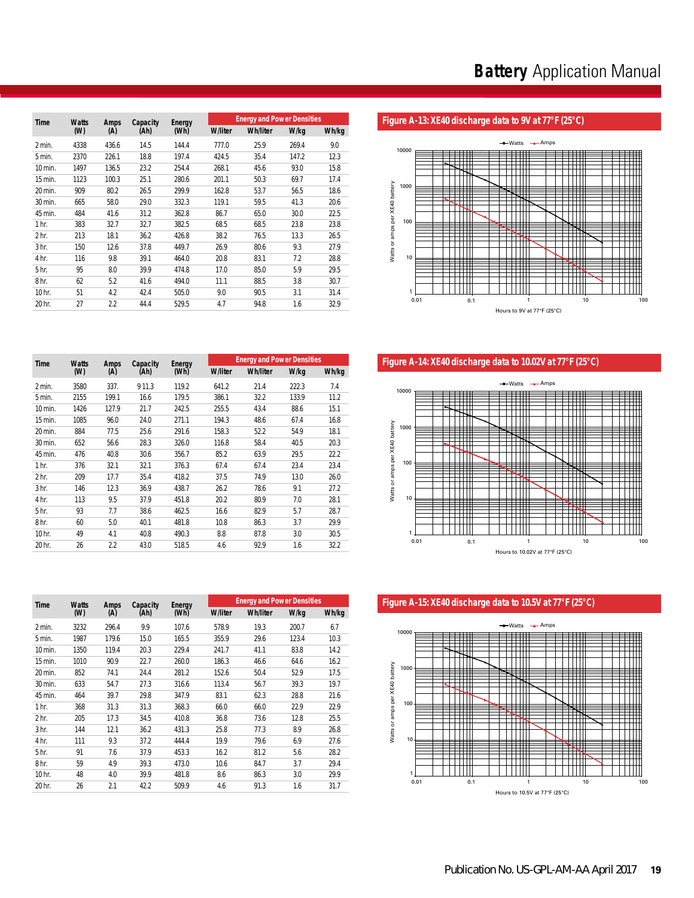| <b>Time</b>      | <b>Watts</b> | Amps  | Capacity | Energy |                | <b>Energy and Power Densities</b> |       |       |
|------------------|--------------|-------|----------|--------|----------------|-----------------------------------|-------|-------|
|                  | (W)          | (A)   | (Ah)     | (Wh)   | <b>W/liter</b> | <b>Wh/liter</b>                   | W/kg  | Wh/kg |
| 2 min.           | 4338         | 436.6 | 14.5     | 144.4  | 777.0          | 25.9                              | 269.4 | 9.0   |
| 5 min.           | 2370         | 226.1 | 18.8     | 197.4  | 424.5          | 35.4                              | 147.2 | 12.3  |
| 10 min.          | 1497         | 136.5 | 23.2     | 254.4  | 268.1          | 45.6                              | 93.0  | 15.8  |
| 15 min.          | 1123         | 100.3 | 25.1     | 280.6  | 201.1          | 50.3                              | 69.7  | 17.4  |
| 20 min.          | 909          | 80.2  | 26.5     | 299.9  | 162.8          | 53.7                              | 56.5  | 18.6  |
| 30 min.          | 665          | 58.0  | 29.0     | 332.3  | 119.1          | 59.5                              | 41.3  | 20.6  |
| 45 min.          | 484          | 41.6  | 31.2     | 362.8  | 86.7           | 65.0                              | 30.0  | 22.5  |
| 1 <sub>hr.</sub> | 383          | 32.7  | 32.7     | 382.5  | 68.5           | 68.5                              | 23.8  | 23.8  |
| 2 <sub>hr.</sub> | 213          | 18.1  | 36.2     | 426.8  | 38.2           | 76.5                              | 13.3  | 26.5  |
| 3 <sub>hr.</sub> | 150          | 12.6  | 37.8     | 449.7  | 26.9           | 80.6                              | 9.3   | 27.9  |
| 4 hr.            | 116          | 9.8   | 39.1     | 464.0  | 20.8           | 83.1                              | 7.2   | 28.8  |
| 5 <sub>hr.</sub> | 95           | 8.0   | 39.9     | 474.8  | 17.0           | 85.0                              | 5.9   | 29.5  |
| 8 <sub>hr.</sub> | 62           | 5.2   | 41.6     | 494.0  | 11.1           | 88.5                              | 3.8   | 30.7  |
| 10 hr.           | 51           | 4.2   | 42.4     | 505.0  | 9.0            | 90.5                              | 3.1   | 31.4  |
| 20 hr.           | 27           | 2.2   | 44.4     | 529.5  | 4.7            | 94.8                              | 1.6   | 32.9  |

# Figure A-13: XE40 discharge data to 9V at 77°F (25°C)



Figure A-14: XE40 discharge data to 10.02V at 77°F (25°C)



Figure A-15: XE40 discharge data to 10.5V at 77°F (25°C)



| <b>Time</b>      | <b>Watts</b> | Amps  | Capacity | Energy |                | <b>Energy and Power Densities</b> |       |       |
|------------------|--------------|-------|----------|--------|----------------|-----------------------------------|-------|-------|
|                  | (W)          | (A)   | (Ah)     | (Wh)   | <b>W/liter</b> | <b>Wh/liter</b>                   | W/kg  | Wh/kg |
| 2 min.           | 3580         | 337.  | 9 1 1.3  | 119.2  | 641.2          | 21.4                              | 222.3 | 7.4   |
| 5 min.           | 2155         | 199.1 | 16.6     | 179.5  | 386.1          | 32.2                              | 133.9 | 11.2  |
| 10 min.          | 1426         | 127.9 | 21.7     | 242.5  | 255.5          | 43.4                              | 88.6  | 15.1  |
| 15 min.          | 1085         | 96.0  | 24.0     | 271.1  | 194.3          | 48.6                              | 67.4  | 16.8  |
| 20 min.          | 884          | 77.5  | 25.6     | 291.6  | 158.3          | 52.2                              | 54.9  | 18.1  |
| 30 min.          | 652          | 56.6  | 28.3     | 326.0  | 116.8          | 58.4                              | 40.5  | 20.3  |
| 45 min.          | 476          | 40.8  | 30.6     | 356.7  | 85.2           | 63.9                              | 29.5  | 22.2  |
| 1 <sub>hr.</sub> | 376          | 32.1  | 32.1     | 376.3  | 67.4           | 67.4                              | 23.4  | 23.4  |
| 2 <sub>hr.</sub> | 209          | 17.7  | 35.4     | 418.2  | 37.5           | 74.9                              | 13.0  | 26.0  |
| 3 <sub>hr.</sub> | 146          | 12.3  | 36.9     | 438.7  | 26.2           | 78.6                              | 9.1   | 27.2  |
| 4 hr.            | 113          | 9.5   | 37.9     | 451.8  | 20.2           | 80.9                              | 7.0   | 28.1  |
| 5 <sub>hr.</sub> | 93           | 7.7   | 38.6     | 462.5  | 16.6           | 82.9                              | 5.7   | 28.7  |
| 8 <sub>hr.</sub> | 60           | 5.0   | 40.1     | 481.8  | 10.8           | 86.3                              | 3.7   | 29.9  |
| 10 hr.           | 49           | 4.1   | 40.8     | 490.3  | 8.8            | 87.8                              | 3.0   | 30.5  |
| 20 hr.           | 26           | 2.2   | 43.0     | 518.5  | 4.6            | 92.9                              | 1.6   | 32.2  |

| <b>Time</b>      | <b>Watts</b> | <b>Amps</b> | Capacity | Energy |                | <b>Energy and Power Densities</b> |       |       |
|------------------|--------------|-------------|----------|--------|----------------|-----------------------------------|-------|-------|
|                  | (W)          | (A)         | (Ah)     | (Wh)   | <b>W/liter</b> | <b>Wh/liter</b>                   | W/kg  | Wh/kg |
| 2 min.           | 3232         | 296.4       | 9.9      | 107.6  | 578.9          | 19.3                              | 200.7 | 6.7   |
| 5 min.           | 1987         | 179.6       | 15.0     | 165.5  | 355.9          | 29.6                              | 123.4 | 10.3  |
| 10 min.          | 1350         | 119.4       | 20.3     | 229.4  | 241.7          | 41.1                              | 83.8  | 14.2  |
| 15 min.          | 1010         | 90.9        | 22.7     | 260.0  | 186.3          | 46.6                              | 64.6  | 16.2  |
| 20 min.          | 852          | 74.1        | 24.4     | 281.2  | 152.6          | 50.4                              | 52.9  | 17.5  |
| 30 min.          | 633          | 54.7        | 27.3     | 316.6  | 113.4          | 56.7                              | 39.3  | 19.7  |
| 45 min.          | 464          | 39.7        | 29.8     | 347.9  | 83.1           | 62.3                              | 28.8  | 21.6  |
| 1 <sub>hr.</sub> | 368          | 31.3        | 31.3     | 368.3  | 66.0           | 66.0                              | 22.9  | 22.9  |
| 2 <sub>hr.</sub> | 205          | 17.3        | 34.5     | 410.8  | 36.8           | 73.6                              | 12.8  | 25.5  |
| 3 <sub>hr.</sub> | 144          | 12.1        | 36.2     | 431.3  | 25.8           | 77.3                              | 8.9   | 26.8  |
| 4 hr.            | 111          | 9.3         | 37.2     | 444.4  | 19.9           | 79.6                              | 6.9   | 27.6  |
| 5 <sub>hr.</sub> | 91           | 7.6         | 37.9     | 453.3  | 16.2           | 81.2                              | 5.6   | 28.2  |
| 8 <sub>hr.</sub> | 59           | 4.9         | 39.3     | 473.0  | 10.6           | 84.7                              | 3.7   | 29.4  |
| 10 hr.           | 48           | 4.0         | 39.9     | 481.8  | 8.6            | 86.3                              | 3.0   | 29.9  |
| 20 hr.           | 26           | 2.1         | 42.2     | 509.9  | 4.6            | 91.3                              | 1.6   | 31.7  |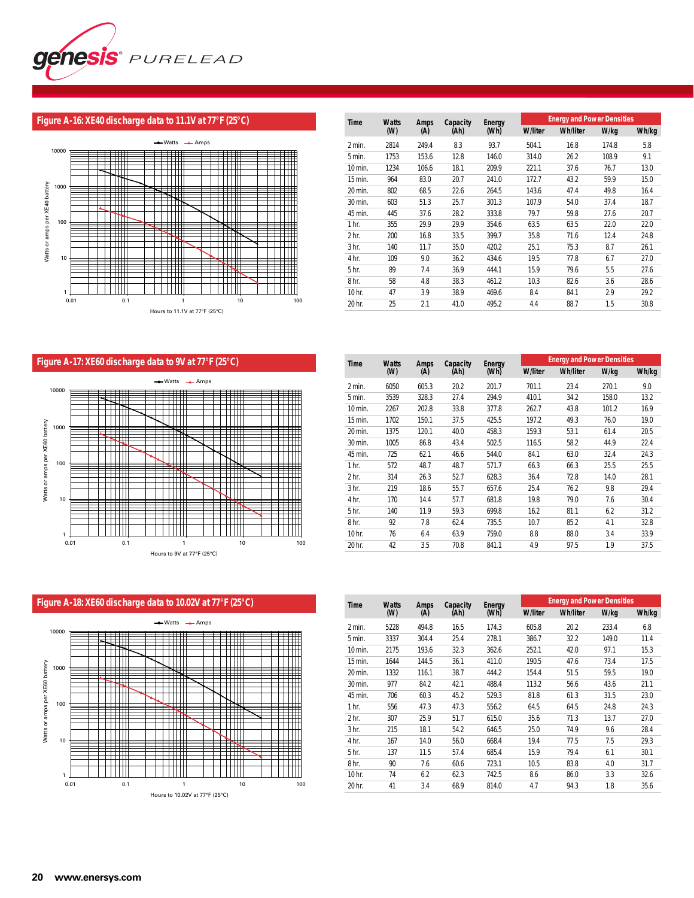

#### **Figure A-16: XE40 discharge data to 11.1V at 77°F (25°C)**



| <b>Time</b>      | <b>Watts</b> | Amps  | Capacity | Energy |                |                 | <b>Energy and Power Densities</b><br>W/kg<br>Wh/kg<br>16.8<br>174.8<br>5.8<br>9.1<br>108.9<br>26.2<br>13.0<br>37.6<br>76.7<br>15.0<br>43.2<br>59.9<br>49.8<br>16.4<br>47.4<br>54.0<br>18.7<br>37.4<br>27.6<br>20.7<br>59.8<br>22.0<br>63.5<br>22.0<br>71.6<br>12.4<br>24.8<br>8.7<br>26.1<br>75.3<br>77.8<br>27.0<br>6.7<br>27.6<br>79.6<br>5.5<br>82.6<br>28.6<br>3.6 |      |  |  |
|------------------|--------------|-------|----------|--------|----------------|-----------------|------------------------------------------------------------------------------------------------------------------------------------------------------------------------------------------------------------------------------------------------------------------------------------------------------------------------------------------------------------------------|------|--|--|
|                  | (W)          | (A)   | (Ah)     | (Wh)   | <b>W/liter</b> | <b>Wh/liter</b> |                                                                                                                                                                                                                                                                                                                                                                        |      |  |  |
| 2 min.           | 2814         | 249.4 | 8.3      | 93.7   | 504.1          |                 |                                                                                                                                                                                                                                                                                                                                                                        |      |  |  |
| 5 min.           | 1753         | 153.6 | 12.8     | 146.0  | 314.0          |                 |                                                                                                                                                                                                                                                                                                                                                                        |      |  |  |
| 10 min.          | 1234         | 106.6 | 18.1     | 209.9  | 221.1          |                 |                                                                                                                                                                                                                                                                                                                                                                        |      |  |  |
| 15 min.          | 964          | 83.0  | 20.7     | 241.0  | 172.7          |                 |                                                                                                                                                                                                                                                                                                                                                                        |      |  |  |
| 20 min.          | 802          | 68.5  | 22.6     | 264.5  | 143.6          |                 |                                                                                                                                                                                                                                                                                                                                                                        |      |  |  |
| 30 min.          | 603          | 51.3  | 25.7     | 301.3  | 107.9          |                 |                                                                                                                                                                                                                                                                                                                                                                        |      |  |  |
| 45 min.          | 445          | 37.6  | 28.2     | 333.8  | 79.7           |                 |                                                                                                                                                                                                                                                                                                                                                                        |      |  |  |
| 1 <sub>hr.</sub> | 355          | 29.9  | 29.9     | 354.6  | 63.5           |                 |                                                                                                                                                                                                                                                                                                                                                                        |      |  |  |
| 2 <sub>hr.</sub> | 200          | 16.8  | 33.5     | 399.7  | 35.8           |                 |                                                                                                                                                                                                                                                                                                                                                                        |      |  |  |
| 3 <sub>hr.</sub> | 140          | 11.7  | 35.0     | 420.2  | 25.1           |                 |                                                                                                                                                                                                                                                                                                                                                                        |      |  |  |
| 4 hr.            | 109          | 9.0   | 36.2     | 434.6  | 19.5           |                 |                                                                                                                                                                                                                                                                                                                                                                        |      |  |  |
| 5 <sub>hr.</sub> | 89           | 7.4   | 36.9     | 444.1  | 15.9           |                 |                                                                                                                                                                                                                                                                                                                                                                        |      |  |  |
| 8 <sub>hr.</sub> | 58           | 4.8   | 38.3     | 461.2  | 10.3           |                 |                                                                                                                                                                                                                                                                                                                                                                        |      |  |  |
| 10 hr.           | 47           | 3.9   | 38.9     | 469.6  | 8.4            | 84.1            | 2.9                                                                                                                                                                                                                                                                                                                                                                    | 29.2 |  |  |
| 20 hr.           | 25           | 2.1   | 41.0     | 495.2  | 4.4            | 88.7            | 1.5                                                                                                                                                                                                                                                                                                                                                                    | 30.8 |  |  |

# **Figure A-17: XE60 discharge data to 9V at 77°F (25°C)**



| Time             | <b>Watts</b> | <b>Amps</b> | Capacity | Energy |                | <b>Energy and Power Densities</b> |       | Wh/kg<br>9.0<br>13.2<br>16.9<br>19.0<br>20.5<br>22.4<br>24.3<br>25.5<br>28.1<br>29.4<br>30.4<br>31.2<br>32.8 |  |  |
|------------------|--------------|-------------|----------|--------|----------------|-----------------------------------|-------|--------------------------------------------------------------------------------------------------------------|--|--|
|                  | (W)          | (A)         | (Ah)     | (Wh)   | <b>W/liter</b> | <b>Wh/liter</b>                   | W/kg  |                                                                                                              |  |  |
| 2 min.           | 6050         | 605.3       | 20.2     | 201.7  | 701.1          | 23.4                              | 270.1 |                                                                                                              |  |  |
| 5 min.           | 3539         | 328.3       | 27.4     | 294.9  | 410.1          | 34.2                              | 158.0 |                                                                                                              |  |  |
| 10 min.          | 2267         | 202.8       | 33.8     | 377.8  | 262.7          | 43.8                              | 101.2 |                                                                                                              |  |  |
| 15 min.          | 1702         | 150.1       | 37.5     | 425.5  | 197.2          | 49.3                              | 76.0  |                                                                                                              |  |  |
| 20 min.          | 1375         | 120.1       | 40.0     | 458.3  | 159.3          | 53.1                              | 61.4  |                                                                                                              |  |  |
| 30 min.          | 1005         | 86.8        | 43.4     | 502.5  | 116.5          | 58.2                              | 44.9  |                                                                                                              |  |  |
| 45 min.          | 725          | 62.1        | 46.6     | 544.0  | 84.1           | 63.0                              | 32.4  |                                                                                                              |  |  |
| 1 <sub>hr.</sub> | 572          | 48.7        | 48.7     | 571.7  | 66.3           | 66.3                              | 25.5  |                                                                                                              |  |  |
| 2 <sub>hr.</sub> | 314          | 26.3        | 52.7     | 628.3  | 36.4           | 72.8                              | 14.0  |                                                                                                              |  |  |
| 3 <sub>hr.</sub> | 219          | 18.6        | 55.7     | 657.6  | 25.4           | 76.2                              | 9.8   |                                                                                                              |  |  |
| 4 hr.            | 170          | 14.4        | 57.7     | 681.8  | 19.8           | 79.0                              | 7.6   |                                                                                                              |  |  |
| 5 <sub>hr.</sub> | 140          | 11.9        | 59.3     | 699.8  | 16.2           | 81.1                              | 6.2   |                                                                                                              |  |  |
| 8 <sub>hr.</sub> | 92           | 7.8         | 62.4     | 735.5  | 10.7           | 85.2                              | 4.1   |                                                                                                              |  |  |
| 10 hr.           | 76           | 6.4         | 63.9     | 759.0  | 8.8            | 88.0                              | 3.4   | 33.9                                                                                                         |  |  |
| 20 hr.           | 42           | 3.5         | 70.8     | 841.1  | 4.9            | 97.5                              | 1.9   | 37.5                                                                                                         |  |  |



| Time             | <b>Watts</b> | Amps  | Capacity | Energy |                | <b>Energy and Power Densities</b> |       | Wh/kg<br>6.8<br>11.4<br>15.3<br>17.5<br>19.0<br>21.1<br>23.0<br>24.3<br>27.0<br>28.4<br>29.3<br>30.1<br>31.7 |  |  |
|------------------|--------------|-------|----------|--------|----------------|-----------------------------------|-------|--------------------------------------------------------------------------------------------------------------|--|--|
|                  | (W)          | (A)   | (Ah)     | (Wh)   | <b>W/liter</b> | <b>Wh/liter</b>                   | W/kg  |                                                                                                              |  |  |
| 2 min.           | 5228         | 494.8 | 16.5     | 174.3  | 605.8          | 20.2                              | 233.4 |                                                                                                              |  |  |
| 5 min.           | 3337         | 304.4 | 25.4     | 278.1  | 386.7          | 32.2                              | 149.0 |                                                                                                              |  |  |
| 10 min.          | 2175         | 193.6 | 32.3     | 362.6  | 252.1          | 42.0                              | 97.1  |                                                                                                              |  |  |
| 15 min.          | 1644         | 144.5 | 36.1     | 411.0  | 190.5          | 47.6                              | 73.4  |                                                                                                              |  |  |
| 20 min.          | 1332         | 116.1 | 38.7     | 444.2  | 154.4          | 51.5                              | 59.5  |                                                                                                              |  |  |
| 30 min.          | 977          | 84.2  | 42.1     | 488.4  | 113.2          | 56.6                              | 43.6  |                                                                                                              |  |  |
| 45 min.          | 706          | 60.3  | 45.2     | 529.3  | 81.8           | 61.3                              | 31.5  |                                                                                                              |  |  |
| 1 <sub>hr.</sub> | 556          | 47.3  | 47.3     | 556.2  | 64.5           | 64.5                              | 24.8  |                                                                                                              |  |  |
| 2 <sub>hr.</sub> | 307          | 25.9  | 51.7     | 615.0  | 35.6           | 71.3                              | 13.7  |                                                                                                              |  |  |
| 3 <sub>hr.</sub> | 215          | 18.1  | 54.2     | 646.5  | 25.0           | 74.9                              | 9.6   |                                                                                                              |  |  |
| 4 hr.            | 167          | 14.0  | 56.0     | 668.4  | 19.4           | 77.5                              | 7.5   |                                                                                                              |  |  |
| 5 hr.            | 137          | 11.5  | 57.4     | 685.4  | 15.9           | 79.4                              | 6.1   |                                                                                                              |  |  |
| 8 <sub>hr.</sub> | 90           | 7.6   | 60.6     | 723.1  | 10.5           | 83.8                              | 4.0   |                                                                                                              |  |  |
| 10 hr.           | 74           | 6.2   | 62.3     | 742.5  | 8.6            | 86.0                              | 3.3   | 32.6                                                                                                         |  |  |
| 20 hr.           | 41           | 3.4   | 68.9     | 814.0  | 4.7            | 94.3                              | 1.8   | 35.6                                                                                                         |  |  |

#### **Figure A-18: XE60 discharge data to 10.02V at 77°F (25°C)**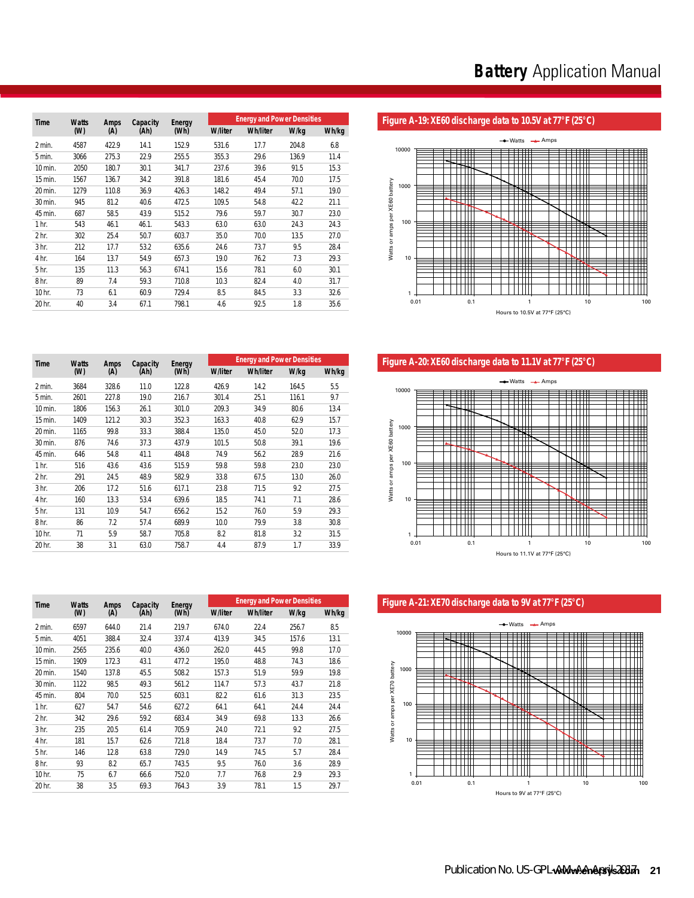|                  |                     |             |                  |                |      | <b>Energy and Power Densities</b><br><b>W/liter</b><br><b>Wh/liter</b><br>W/kg<br>Wh/kg<br>531.6<br>6.8<br>17.7<br>204.8<br>29.6<br>136.9<br>11.4<br>355.3<br>237.6<br>39.6<br>91.5<br>15.3<br>45.4<br>181.6<br>70.0<br>17.5<br>49.4<br>19.0<br>148.2<br>57.1<br>109.5<br>54.8<br>21.1<br>42.2<br>79.6<br>23.0<br>59.7<br>30.7 |      |      |  |  |
|------------------|---------------------|-------------|------------------|----------------|------|--------------------------------------------------------------------------------------------------------------------------------------------------------------------------------------------------------------------------------------------------------------------------------------------------------------------------------|------|------|--|--|
| <b>Time</b>      | <b>Watts</b><br>(W) | Amps<br>(A) | Capacity<br>(Ah) | Energy<br>(Wh) |      |                                                                                                                                                                                                                                                                                                                                |      |      |  |  |
| 2 min.           | 4587                | 422.9       | 14.1             | 152.9          |      |                                                                                                                                                                                                                                                                                                                                |      |      |  |  |
| 5 min.           | 3066                | 275.3       | 22.9             | 255.5          |      |                                                                                                                                                                                                                                                                                                                                |      |      |  |  |
| 10 min.          | 2050                | 180.7       | 30.1             | 341.7          |      |                                                                                                                                                                                                                                                                                                                                |      |      |  |  |
| 15 min.          | 1567                | 136.7       | 34.2             | 391.8          |      |                                                                                                                                                                                                                                                                                                                                |      |      |  |  |
| 20 min.          | 1279                | 110.8       | 36.9             | 426.3          |      |                                                                                                                                                                                                                                                                                                                                |      |      |  |  |
| 30 min.          | 945                 | 81.2        | 40.6             | 472.5          |      |                                                                                                                                                                                                                                                                                                                                |      |      |  |  |
| 45 min.          | 687                 | 58.5        | 43.9             | 515.2          |      |                                                                                                                                                                                                                                                                                                                                |      |      |  |  |
| 1 <sub>hr.</sub> | 543                 | 46.1        | 46.1.            | 543.3          | 63.0 | 63.0                                                                                                                                                                                                                                                                                                                           | 24.3 | 24.3 |  |  |
| 2 <sub>hr.</sub> | 302                 | 25.4        | 50.7             | 603.7          | 35.0 | 70.0                                                                                                                                                                                                                                                                                                                           | 13.5 | 27.0 |  |  |
| 3 <sub>hr.</sub> | 212                 | 17.7        | 53.2             | 635.6          | 24.6 | 73.7                                                                                                                                                                                                                                                                                                                           | 9.5  | 28.4 |  |  |
| 4 hr.            | 164                 | 13.7        | 54.9             | 657.3          | 19.0 | 76.2                                                                                                                                                                                                                                                                                                                           | 7.3  | 29.3 |  |  |
| 5 <sub>hr.</sub> | 135                 | 11.3        | 56.3             | 674.1          | 15.6 | 78.1                                                                                                                                                                                                                                                                                                                           | 6.0  | 30.1 |  |  |
| 8 <sub>hr.</sub> | 89                  | 7.4         | 59.3             | 710.8          | 10.3 | 82.4                                                                                                                                                                                                                                                                                                                           | 4.0  | 31.7 |  |  |
| 10 hr.           | 73                  | 6.1         | 60.9             | 729.4          | 8.5  | 84.5                                                                                                                                                                                                                                                                                                                           | 3.3  | 32.6 |  |  |
| 20 hr.           | 40                  | 3.4         | 67.1             | 798.1          | 4.6  | 92.5                                                                                                                                                                                                                                                                                                                           | 1.8  | 35.6 |  |  |

# Figure A-19: XE60 discharge data to 10.5V at 77°F (25°C)



Figure A-20: XE60 discharge data to 11.1V at 77°F (25°C)



**Figure A-21: XE70 discharge data to 9V at 77°F (25°C)** 



| <b>Time</b>      | <b>Watts</b> | <b>Amps</b> | Capacity | Energy |                | <b>Energy and Power Densities</b> |       |       |
|------------------|--------------|-------------|----------|--------|----------------|-----------------------------------|-------|-------|
|                  | (W)          | (A)         | (Ah)     | (Wh)   | <b>W/liter</b> | <b>Wh/liter</b>                   | W/kg  | Wh/kg |
| 2 min.           | 3684         | 328.6       | 11.0     | 122.8  | 426.9          | 14.2                              | 164.5 | 5.5   |
| 5 min.           | 2601         | 227.8       | 19.0     | 216.7  | 301.4          | 25.1                              | 116.1 | 9.7   |
| 10 min.          | 1806         | 156.3       | 26.1     | 301.0  | 209.3          | 34.9                              | 80.6  | 13.4  |
| 15 min.          | 1409         | 121.2       | 30.3     | 352.3  | 163.3          | 40.8                              | 62.9  | 15.7  |
| 20 min.          | 1165         | 99.8        | 33.3     | 388.4  | 135.0          | 45.0                              | 52.0  | 17.3  |
| 30 min.          | 876          | 74.6        | 37.3     | 437.9  | 101.5          | 50.8                              | 39.1  | 19.6  |
| 45 min.          | 646          | 54.8        | 41.1     | 484.8  | 74.9           | 56.2                              | 28.9  | 21.6  |
| 1 <sub>hr.</sub> | 516          | 43.6        | 43.6     | 515.9  | 59.8           | 59.8                              | 23.0  | 23.0  |
| 2 hr.            | 291          | 24.5        | 48.9     | 582.9  | 33.8           | 67.5                              | 13.0  | 26.0  |
| 3 <sub>hr.</sub> | 206          | 17.2        | 51.6     | 617.1  | 23.8           | 71.5                              | 9.2   | 27.5  |
| 4 hr.            | 160          | 13.3        | 53.4     | 639.6  | 18.5           | 74.1                              | 7.1   | 28.6  |
| 5 hr.            | 131          | 10.9        | 54.7     | 656.2  | 15.2           | 76.0                              | 5.9   | 29.3  |
| 8 <sub>hr.</sub> | 86           | 7.2         | 57.4     | 689.9  | 10.0           | 79.9                              | 3.8   | 30.8  |
| 10 hr.           | 71           | 5.9         | 58.7     | 705.8  | 8.2            | 81.8                              | 3.2   | 31.5  |
| 20 hr.           | 38           | 3.1         | 63.0     | 758.7  | 4.4            | 87.9                              | 1.7   | 33.9  |

| <b>Time</b>      | <b>Watts</b> | <b>Amps</b> | Capacity | Energy |                | <b>Energy and Power Densities</b> |       |       |
|------------------|--------------|-------------|----------|--------|----------------|-----------------------------------|-------|-------|
|                  | (W)          | (A)         | (Ah)     | (Wh)   | <b>W/liter</b> | <b>Wh/liter</b>                   | W/kg  | Wh/kg |
| 2 min.           | 6597         | 644.0       | 21.4     | 219.7  | 674.0          | 22.4                              | 256.7 | 8.5   |
| 5 min.           | 4051         | 388.4       | 32.4     | 337.4  | 413.9          | 34.5                              | 157.6 | 13.1  |
| 10 min.          | 2565         | 235.6       | 40.0     | 436.0  | 262.0          | 44.5                              | 99.8  | 17.0  |
| 15 min.          | 1909         | 172.3       | 43.1     | 477.2  | 195.0          | 48.8                              | 74.3  | 18.6  |
| 20 min.          | 1540         | 137.8       | 45.5     | 508.2  | 157.3          | 51.9                              | 59.9  | 19.8  |
| 30 min.          | 1122         | 98.5        | 49.3     | 561.2  | 114.7          | 57.3                              | 43.7  | 21.8  |
| 45 min.          | 804          | 70.0        | 52.5     | 603.1  | 82.2           | 61.6                              | 31.3  | 23.5  |
| 1 <sub>hr.</sub> | 627          | 54.7        | 54.6     | 627.2  | 64.1           | 64.1                              | 24.4  | 24.4  |
| 2 <sub>hr.</sub> | 342          | 29.6        | 59.2     | 683.4  | 34.9           | 69.8                              | 13.3  | 26.6  |
| 3 <sub>hr.</sub> | 235          | 20.5        | 61.4     | 705.9  | 24.0           | 72.1                              | 9.2   | 27.5  |
| 4 hr.            | 181          | 15.7        | 62.6     | 721.8  | 18.4           | 73.7                              | 7.0   | 28.1  |
| 5 <sub>hr.</sub> | 146          | 12.8        | 63.8     | 729.0  | 14.9           | 74.5                              | 5.7   | 28.4  |
| 8 <sub>hr.</sub> | 93           | 8.2         | 65.7     | 743.5  | 9.5            | 76.0                              | 3.6   | 28.9  |
| 10 hr.           | 75           | 6.7         | 66.6     | 752.0  | 7.7            | 76.8                              | 2.9   | 29.3  |
| 20 hr.           | 38           | 3.5         | 69.3     | 764.3  | 3.9            | 78.1                              | 1.5   | 29.7  |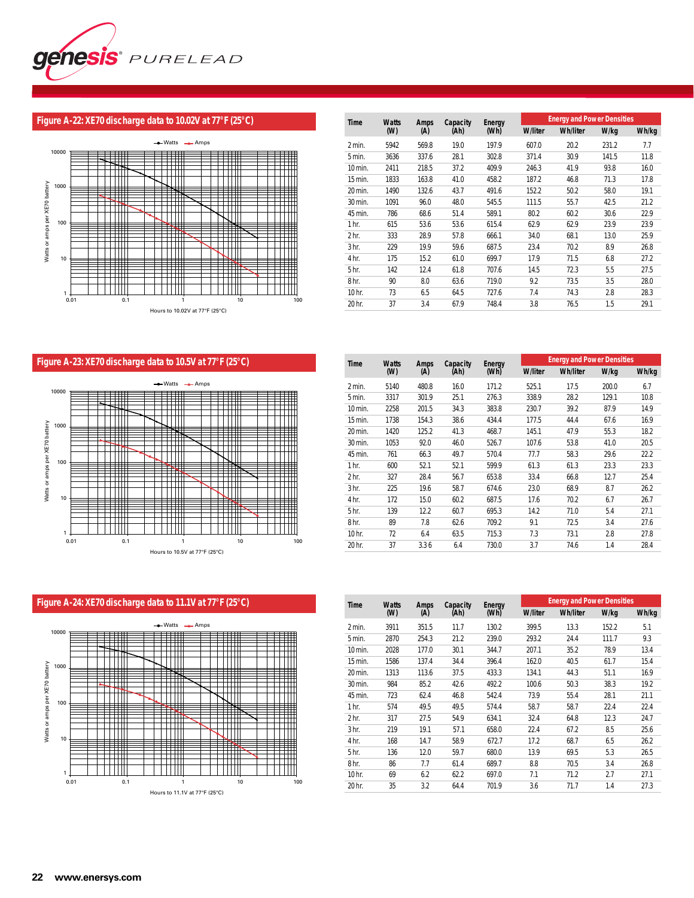

#### **Figure A-22: XE70 discharge data to 10.02V at 77°F (25°C)**



| Time             | <b>Watts</b> | <b>Amps</b> | Capacity | Enerav |                |                 | <b>Energy and Power Densities</b><br>W/kg<br>Wh/kg<br>231.2<br>7.7<br>141.5<br>11.8<br>93.8<br>16.0<br>71.3<br>17.8<br>58.0<br>19.1<br>21.2<br>42.5<br>22.9<br>30.6<br>23.9<br>23.9<br>13.0<br>25.9<br>8.9<br>26.8<br>6.8<br>27.2 |      |  |  |
|------------------|--------------|-------------|----------|--------|----------------|-----------------|-----------------------------------------------------------------------------------------------------------------------------------------------------------------------------------------------------------------------------------|------|--|--|
|                  | (W)          | (A)         | (Ah)     | (Wh)   | <b>W/liter</b> | <b>Wh/liter</b> |                                                                                                                                                                                                                                   |      |  |  |
| 2 min.           | 5942         | 569.8       | 19.0     | 197.9  | 607.0          | 20.2            |                                                                                                                                                                                                                                   |      |  |  |
| 5 min.           | 3636         | 337.6       | 28.1     | 302.8  | 371.4          | 30.9            |                                                                                                                                                                                                                                   |      |  |  |
| 10 min.          | 2411         | 218.5       | 37.2     | 409.9  | 246.3          | 41.9            |                                                                                                                                                                                                                                   |      |  |  |
| 15 min.          | 1833         | 163.8       | 41.0     | 458.2  | 187.2          | 46.8            |                                                                                                                                                                                                                                   |      |  |  |
| 20 min.          | 1490         | 132.6       | 43.7     | 491.6  | 152.2          | 50.2            |                                                                                                                                                                                                                                   |      |  |  |
| 30 min.          | 1091         | 96.0        | 48.0     | 545.5  | 111.5          | 55.7            |                                                                                                                                                                                                                                   |      |  |  |
| 45 min.          | 786          | 68.6        | 51.4     | 589.1  | 80.2           | 60.2            |                                                                                                                                                                                                                                   |      |  |  |
| 1 <sub>hr.</sub> | 615          | 53.6        | 53.6     | 615.4  | 62.9           | 62.9            |                                                                                                                                                                                                                                   |      |  |  |
| 2 <sub>hr.</sub> | 333          | 28.9        | 57.8     | 666.1  | 34.0           | 68.1            |                                                                                                                                                                                                                                   |      |  |  |
| 3 <sub>hr.</sub> | 229          | 19.9        | 59.6     | 687.5  | 23.4           | 70.2            |                                                                                                                                                                                                                                   |      |  |  |
| 4 hr.            | 175          | 15.2        | 61.0     | 699.7  | 17.9           | 71.5            |                                                                                                                                                                                                                                   |      |  |  |
| 5 <sub>hr.</sub> | 142          | 12.4        | 61.8     | 707.6  | 14.5           | 72.3            | 5.5                                                                                                                                                                                                                               | 27.5 |  |  |
| 8 <sub>hr.</sub> | 90           | 8.0         | 63.6     | 719.0  | 9.2            | 73.5            | 3.5                                                                                                                                                                                                                               | 28.0 |  |  |
| 10 hr.           | 73           | 6.5         | 64.5     | 727.6  | 7.4            | 74.3            | 2.8                                                                                                                                                                                                                               | 28.3 |  |  |
| 20 hr.           | 37           | 3.4         | 67.9     | 748.4  | 3.8            | 76.5            | 1.5                                                                                                                                                                                                                               | 29.1 |  |  |

# **Figure A-23: XE70 discharge data to 10.5V at 77°F (25°C)**



| Time             | <b>Watts</b> | Amps  | Capacity | Energy |                | <b>Energy and Power Densities</b> |       | Wh/kg<br>6.7<br>10.8<br>14.9<br>16.9<br>18.2<br>20.5<br>22.2<br>23.3<br>25.4<br>26.2<br>26.7<br>27.1<br>27.6 |  |  |
|------------------|--------------|-------|----------|--------|----------------|-----------------------------------|-------|--------------------------------------------------------------------------------------------------------------|--|--|
|                  | (W)          | (A)   | (Ah)     | (Wh)   | <b>W/liter</b> | <b>Wh/liter</b>                   | W/kg  |                                                                                                              |  |  |
| 2 min.           | 5140         | 480.8 | 16.0     | 171.2  | 525.1          | 17.5                              | 200.0 |                                                                                                              |  |  |
| 5 min.           | 3317         | 301.9 | 25.1     | 276.3  | 338.9          | 28.2                              | 129.1 |                                                                                                              |  |  |
| 10 min.          | 2258         | 201.5 | 34.3     | 383.8  | 230.7          | 39.2                              | 87.9  |                                                                                                              |  |  |
| 15 min.          | 1738         | 154.3 | 38.6     | 434.4  | 177.5          | 44.4                              | 67.6  |                                                                                                              |  |  |
| 20 min.          | 1420         | 125.2 | 41.3     | 468.7  | 145.1          | 47.9                              | 55.3  |                                                                                                              |  |  |
| 30 min.          | 1053         | 92.0  | 46.0     | 526.7  | 107.6          | 53.8                              | 41.0  |                                                                                                              |  |  |
| 45 min.          | 761          | 66.3  | 49.7     | 570.4  | 77.7           | 58.3                              | 29.6  |                                                                                                              |  |  |
| 1 <sub>hr.</sub> | 600          | 52.1  | 52.1     | 599.9  | 61.3           | 61.3                              | 23.3  |                                                                                                              |  |  |
| 2 <sub>hr.</sub> | 327          | 28.4  | 56.7     | 653.8  | 33.4           | 66.8                              | 12.7  |                                                                                                              |  |  |
| 3 <sub>hr.</sub> | 225          | 19.6  | 58.7     | 674.6  | 23.0           | 68.9                              | 8.7   |                                                                                                              |  |  |
| 4 hr.            | 172          | 15.0  | 60.2     | 687.5  | 17.6           | 70.2                              | 6.7   |                                                                                                              |  |  |
| 5 hr.            | 139          | 12.2  | 60.7     | 695.3  | 14.2           | 71.0                              | 5.4   |                                                                                                              |  |  |
| 8 <sub>hr.</sub> | 89           | 7.8   | 62.6     | 709.2  | 9.1            | 72.5                              | 3.4   |                                                                                                              |  |  |
| 10 hr.           | 72           | 6.4   | 63.5     | 715.3  | 7.3            | 73.1                              | 2.8   | 27.8                                                                                                         |  |  |
| 20 hr.           | 37           | 3.36  | 6.4      | 730.0  | 3.7            | 74.6                              | 1.4   | 28.4                                                                                                         |  |  |

# **Figure A-24: XE70 discharge data to 11.1V at 77°F (25°C)**



| Time             | <b>Watts</b> | <b>Amps</b> | Capacity | Energy |                | <b>Energy and Power Densities</b> |       | Wh/kg<br>5.1<br>9.3<br>13.4<br>15.4<br>16.9<br>19.2<br>21.1<br>22.4<br>24.7<br>25.6<br>26.2<br>26.5 |  |  |
|------------------|--------------|-------------|----------|--------|----------------|-----------------------------------|-------|-----------------------------------------------------------------------------------------------------|--|--|
|                  | (W)          | (A)         | (Ah)     | (Wh)   | <b>W/liter</b> | <b>Wh/liter</b>                   | W/kg  |                                                                                                     |  |  |
| 2 min.           | 3911         | 351.5       | 11.7     | 130.2  | 399.5          | 13.3                              | 152.2 |                                                                                                     |  |  |
| 5 min.           | 2870         | 254.3       | 21.2     | 239.0  | 293.2          | 24.4                              | 111.7 |                                                                                                     |  |  |
| 10 min.          | 2028         | 177.0       | 30.1     | 344.7  | 207.1          | 35.2                              | 78.9  |                                                                                                     |  |  |
| 15 min.          | 1586         | 137.4       | 34.4     | 396.4  | 162.0          | 40.5                              | 61.7  |                                                                                                     |  |  |
| 20 min.          | 1313         | 113.6       | 37.5     | 433.3  | 134.1          | 44.3                              | 51.1  |                                                                                                     |  |  |
| 30 min.          | 984          | 85.2        | 42.6     | 492.2  | 100.6          | 50.3                              | 38.3  |                                                                                                     |  |  |
| 45 min.          | 723          | 62.4        | 46.8     | 542.4  | 73.9           | 55.4                              | 28.1  |                                                                                                     |  |  |
| 1 <sub>hr.</sub> | 574          | 49.5        | 49.5     | 574.4  | 58.7           | 58.7                              | 22.4  |                                                                                                     |  |  |
| 2 <sub>hr.</sub> | 317          | 27.5        | 54.9     | 634.1  | 32.4           | 64.8                              | 12.3  |                                                                                                     |  |  |
| 3 <sub>hr.</sub> | 219          | 19.1        | 57.1     | 658.0  | 22.4           | 67.2                              | 8.5   |                                                                                                     |  |  |
| 4 hr.            | 168          | 14.7        | 58.9     | 672.7  | 17.2           | 68.7                              | 6.5   |                                                                                                     |  |  |
| 5 hr.            | 136          | 12.0        | 59.7     | 680.0  | 13.9           | 69.5                              | 5.3   |                                                                                                     |  |  |
| 8 <sub>hr.</sub> | 86           | 7.7         | 61.4     | 689.7  | 8.8            | 70.5                              | 3.4   | 26.8                                                                                                |  |  |
| 10 hr.           | 69           | 6.2         | 62.2     | 697.0  | 7.1            | 71.2                              | 2.7   | 27.1                                                                                                |  |  |
| 20 hr.           | 35           | 3.2         | 64.4     | 701.9  | 3.6            | 71.7                              | 1.4   | 27.3                                                                                                |  |  |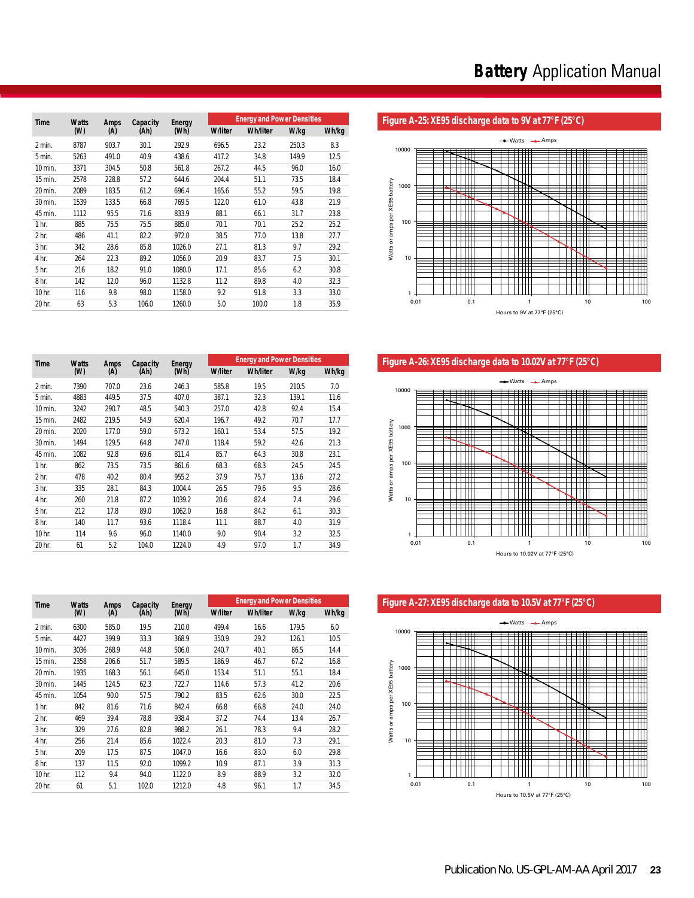| Time             | <b>Watts</b> | <b>Amps</b> | Capacity | Energy |                | <b>Energy and Power Densities</b> |       |       |
|------------------|--------------|-------------|----------|--------|----------------|-----------------------------------|-------|-------|
|                  | (W)          | (A)         | (Ah)     | (Wh)   | <b>W/liter</b> | <b>Wh/liter</b>                   | W/kg  | Wh/kg |
| 2 min.           | 8787         | 903.7       | 30.1     | 292.9  | 696.5          | 23.2                              | 250.3 | 8.3   |
| 5 min.           | 5263         | 491.0       | 40.9     | 438.6  | 417.2          | 34.8                              | 149.9 | 12.5  |
| 10 min.          | 3371         | 304.5       | 50.8     | 561.8  | 267.2          | 44.5                              | 96.0  | 16.0  |
| 15 min.          | 2578         | 228.8       | 57.2     | 644.6  | 204.4          | 51.1                              | 73.5  | 18.4  |
| 20 min.          | 2089         | 183.5       | 61.2     | 696.4  | 165.6          | 55.2                              | 59.5  | 19.8  |
| 30 min.          | 1539         | 133.5       | 66.8     | 769.5  | 122.0          | 61.0                              | 43.8  | 21.9  |
| 45 min.          | 1112         | 95.5        | 71.6     | 833.9  | 88.1           | 66.1                              | 31.7  | 23.8  |
| 1 <sub>hr.</sub> | 885          | 75.5        | 75.5     | 885.0  | 70.1           | 70.1                              | 25.2  | 25.2  |
| 2 <sub>hr.</sub> | 486          | 41.1        | 82.2     | 972.0  | 38.5           | 77.0                              | 13.8  | 27.7  |
| 3 <sub>hr.</sub> | 342          | 28.6        | 85.8     | 1026.0 | 27.1           | 81.3                              | 9.7   | 29.2  |
| 4 hr.            | 264          | 22.3        | 89.2     | 1056.0 | 20.9           | 83.7                              | 7.5   | 30.1  |
| 5 <sub>hr.</sub> | 216          | 18.2        | 91.0     | 1080.0 | 17.1           | 85.6                              | 6.2   | 30.8  |
| 8 <sub>hr.</sub> | 142          | 12.0        | 96.0     | 1132.8 | 11.2           | 89.8                              | 4.0   | 32.3  |
| 10 hr.           | 116          | 9.8         | 98.0     | 1158.0 | 9.2            | 91.8                              | 3.3   | 33.0  |
| 20 hr.           | 63           | 5.3         | 106.0    | 1260.0 | 5.0            | 100.0                             | 1.8   | 35.9  |

# Figure A-25: XE95 discharge data to 9V at 77°F (25°C)



Figure A-26: XE95 discharge data to 10.02V at 77°F (25°C)



Figure A-27: XE95 discharge data to 10.5V at 77°F (25°C)



|                  | (W)          | (A)   | (Ah)     | (Wh)   | <b>W/liter</b> | <b>Wh/liter</b>                   | W/kg | Wh/kg |
|------------------|--------------|-------|----------|--------|----------------|-----------------------------------|------|-------|
| Time             | <b>Watts</b> | Amps  | Capacity | Energy |                | <b>Energy and Power Densities</b> |      |       |
|                  |              |       |          |        |                |                                   |      |       |
| 20 hr.           | 63           | 5.3   | 106.0    | 1260.0 | 5.0            | 100.0                             | 1.8  | 35.9  |
| 10 hr.           | 116          | 9.8   | 98.0     | 1158.0 | 9.2            | 91.8                              | 3.3  | 33.0  |
| 8 hr.            | 142          | 12.0  | 96.0     | 1132.8 | 11.2           | 89.8                              | 4.0  | 32.3  |
| 5 hr.            | 216          | 18.2  | 91.0     | 1080.0 | 17.1           | 85.6                              | 6.2  | 30.8  |
| 4 hr.            | 264          | 22.3  | 89.2     | 1056.0 | 20.9           | 83.7                              | 7.5  | 30.1  |
| 3 <sub>hr.</sub> | 342          | 28.6  | 85.8     | 1026.0 | 27.1           | 81.3                              | 9.7  | 29.2  |
| 2 <sub>hr.</sub> | 486          | 41.1  | 82.2     | 972.0  | 38.5           | 77.0                              | 13.8 | 27.7  |
| 1 <sub>hr.</sub> | 885          | 75.5  | 75.5     | 885.0  | 70.1           | 70.1                              | 25.2 | 25.2  |
| 45 min.          | 1112         | 95.5  | 71.6     | 833.9  | 88.1           | 66.1                              | 31.7 | 23.8  |
| 30 min.          | 1539         | 133.5 | 66.8     | 769.5  | 122.0          | 61.0                              | 43.8 | 21.9  |
| 20 min.          | 2089         | 183.5 | 61.2     | 696.4  | 165.6          | 55.2                              | 59.5 | 19.8  |
| 15 min.          | 2578         | 228.8 | 57.2     | 644.6  | 204.4          | 51.1                              | 73.5 | 18.4  |
| 10 min.          | 3371         | 304.5 | 50.8     | 561.8  | 267.2          | 44.5                              | 96.0 | 16.0  |

|                  | (W)  | (A)   | (Ah)  | (Wh)   | <b>W/liter</b> | <b>Wh/liter</b> | W/kg  | Wh/kg |
|------------------|------|-------|-------|--------|----------------|-----------------|-------|-------|
| 2 min.           | 7390 | 707.0 | 23.6  | 246.3  | 585.8          | 19.5            | 210.5 | 7.0   |
| 5 min.           | 4883 | 449.5 | 37.5  | 407.0  | 387.1          | 32.3            | 139.1 | 11.6  |
| 10 min.          | 3242 | 290.7 | 48.5  | 540.3  | 257.0          | 42.8            | 92.4  | 15.4  |
| 15 min.          | 2482 | 219.5 | 54.9  | 620.4  | 196.7          | 49.2            | 70.7  | 17.7  |
| 20 min.          | 2020 | 177.0 | 59.0  | 673.2  | 160.1          | 53.4            | 57.5  | 19.2  |
| 30 min.          | 1494 | 129.5 | 64.8  | 747.0  | 118.4          | 59.2            | 42.6  | 21.3  |
| 45 min.          | 1082 | 92.8  | 69.6  | 811.4  | 85.7           | 64.3            | 30.8  | 23.1  |
| 1 hr.            | 862  | 73.5  | 73.5  | 861.6  | 68.3           | 68.3            | 24.5  | 24.5  |
| 2 <sub>hr.</sub> | 478  | 40.2  | 80.4  | 955.2  | 37.9           | 75.7            | 13.6  | 27.2  |
| 3 <sub>hr.</sub> | 335  | 28.1  | 84.3  | 1004.4 | 26.5           | 79.6            | 9.5   | 28.6  |
| 4 hr.            | 260  | 21.8  | 87.2  | 1039.2 | 20.6           | 82.4            | 7.4   | 29.6  |
| 5 hr.            | 212  | 17.8  | 89.0  | 1062.0 | 16.8           | 84.2            | 6.1   | 30.3  |
| 8 hr.            | 140  | 11.7  | 93.6  | 1118.4 | 11.1           | 88.7            | 4.0   | 31.9  |
| 10 hr.           | 114  | 9.6   | 96.0  | 1140.0 | 9.0            | 90.4            | 3.2   | 32.5  |
| 20 hr.           | 61   | 5.2   | 104.0 | 1224.0 | 4.9            | 97.0            | 1.7   | 34.9  |

| <b>Time</b>      | <b>Watts</b> | <b>Amps</b> | Capacity | Energy |                | <b>Energy and Power Densities</b> |       |       |
|------------------|--------------|-------------|----------|--------|----------------|-----------------------------------|-------|-------|
|                  | (M)          | (A)         | (Ah)     | (Wh)   | <b>W/liter</b> | <b>Wh/liter</b>                   | W/kg  | Wh/kg |
| 2 min.           | 6300         | 585.0       | 19.5     | 210.0  | 499.4          | 16.6                              | 179.5 | 6.0   |
| 5 min.           | 4427         | 399.9       | 33.3     | 368.9  | 350.9          | 29.2                              | 126.1 | 10.5  |
| 10 min.          | 3036         | 268.9       | 44.8     | 506.0  | 240.7          | 40.1                              | 86.5  | 14.4  |
| 15 min.          | 2358         | 206.6       | 51.7     | 589.5  | 186.9          | 46.7                              | 67.2  | 16.8  |
| 20 min.          | 1935         | 168.3       | 56.1     | 645.0  | 153.4          | 51.1                              | 55.1  | 18.4  |
| 30 min.          | 1445         | 124.5       | 62.3     | 722.7  | 114.6          | 57.3                              | 41.2  | 20.6  |
| 45 min.          | 1054         | 90.0        | 57.5     | 790.2  | 83.5           | 62.6                              | 30.0  | 22.5  |
| 1 <sub>hr.</sub> | 842          | 81.6        | 71.6     | 842.4  | 66.8           | 66.8                              | 24.0  | 24.0  |
| 2 <sub>hr.</sub> | 469          | 39.4        | 78.8     | 938.4  | 37.2           | 74.4                              | 13.4  | 26.7  |
| 3 <sub>hr.</sub> | 329          | 27.6        | 82.8     | 988.2  | 26.1           | 78.3                              | 9.4   | 28.2  |
| 4 hr.            | 256          | 21.4        | 85.6     | 1022.4 | 20.3           | 81.0                              | 7.3   | 29.1  |
| 5 <sub>hr.</sub> | 209          | 17.5        | 87.5     | 1047.0 | 16.6           | 83.0                              | 6.0   | 29.8  |
| 8 <sub>hr.</sub> | 137          | 11.5        | 92.0     | 1099.2 | 10.9           | 87.1                              | 3.9   | 31.3  |
| 10 hr.           | 112          | 9.4         | 94.0     | 1122.0 | 8.9            | 88.9                              | 3.2   | 32.0  |
| 20 hr.           | 61           | 5.1         | 102.0    | 1212.0 | 4.8            | 96.1                              | 1.7   | 34.5  |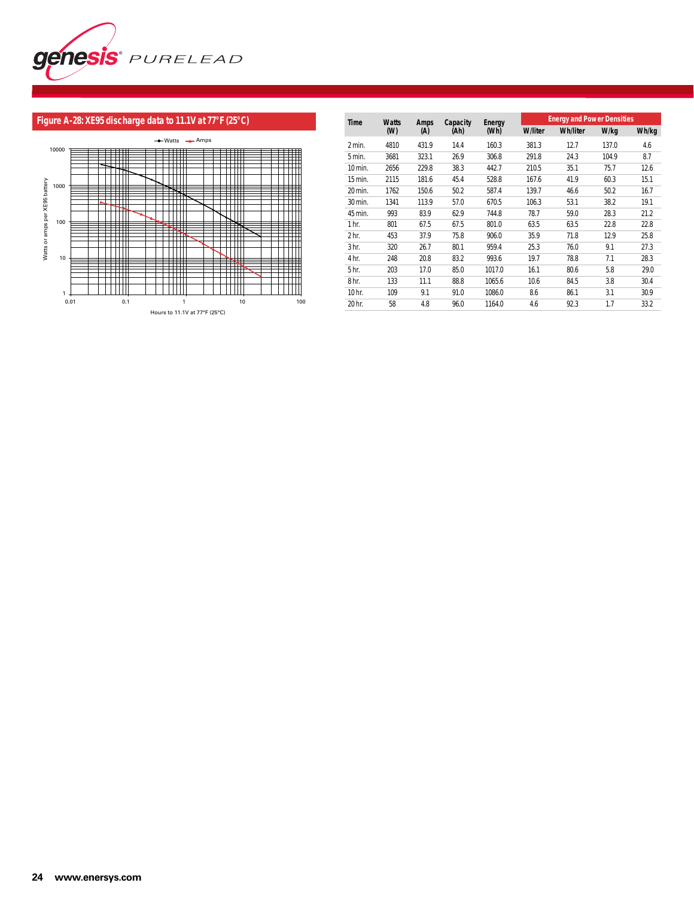

# **Figure A-28: XE95 discharge data to 11.1V at 77°F (25°C)**



| Time             | <b>Watts</b> | <b>Amps</b> | Capacity | Energy |                | <b>Energy and Power Densities</b> |       |       |
|------------------|--------------|-------------|----------|--------|----------------|-----------------------------------|-------|-------|
|                  | (M)          | (A)         | (Ah)     | (Wh)   | <b>W/liter</b> | <b>Wh/liter</b>                   | W/kg  | Wh/kg |
| 2 min.           | 4810         | 431.9       | 14.4     | 160.3  | 381.3          | 12.7                              | 137.0 | 4.6   |
| 5 min.           | 3681         | 323.1       | 26.9     | 306.8  | 291.8          | 24.3                              | 104.9 | 8.7   |
| 10 min.          | 2656         | 229.8       | 38.3     | 442.7  | 210.5          | 35.1                              | 75.7  | 12.6  |
| 15 min.          | 2115         | 181.6       | 45.4     | 528.8  | 167.6          | 41.9                              | 60.3  | 15.1  |
| 20 min.          | 1762         | 150.6       | 50.2     | 587.4  | 139.7          | 46.6                              | 50.2  | 16.7  |
| 30 min.          | 1341         | 113.9       | 57.0     | 670.5  | 106.3          | 53.1                              | 38.2  | 19.1  |
| 45 min.          | 993          | 83.9        | 62.9     | 744.8  | 78.7           | 59.0                              | 28.3  | 21.2  |
| 1 <sub>hr.</sub> | 801          | 67.5        | 67.5     | 801.0  | 63.5           | 63.5                              | 22.8  | 22.8  |
| 2 <sub>hr.</sub> | 453          | 37.9        | 75.8     | 906.0  | 35.9           | 71.8                              | 12.9  | 25.8  |
| 3 <sub>hr.</sub> | 320          | 26.7        | 80.1     | 959.4  | 25.3           | 76.0                              | 9.1   | 27.3  |
| 4 hr.            | 248          | 20.8        | 83.2     | 993.6  | 19.7           | 78.8                              | 7.1   | 28.3  |
| 5 <sub>hr.</sub> | 203          | 17.0        | 85.0     | 1017.0 | 16.1           | 80.6                              | 5.8   | 29.0  |
| 8 <sub>hr.</sub> | 133          | 11.1        | 88.8     | 1065.6 | 10.6           | 84.5                              | 3.8   | 30.4  |
| 10 hr.           | 109          | 9.1         | 91.0     | 1086.0 | 8.6            | 86.1                              | 3.1   | 30.9  |
| 20 hr.           | 58           | 4.8         | 96.0     | 1164.0 | 4.6            | 92.3                              | 1.7   | 33.2  |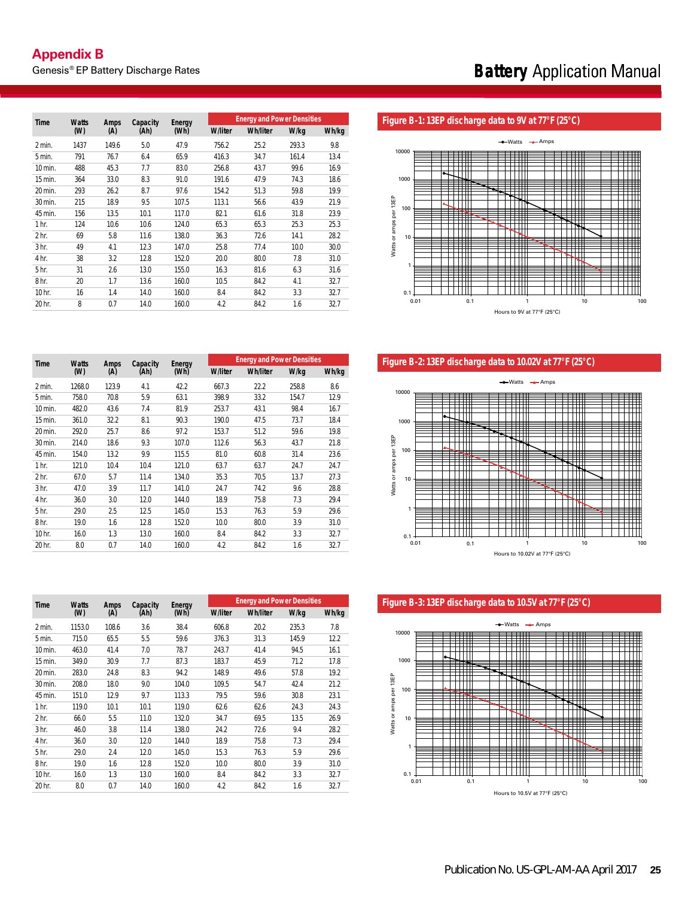| Time             | <b>Watts</b> | <b>Amps</b> | Capacity | Enerav |                | <b>Energy and Power Densities</b> |       |       |
|------------------|--------------|-------------|----------|--------|----------------|-----------------------------------|-------|-------|
|                  | (M)          | (A)         | (Ah)     | (Wh)   | <b>W/liter</b> | <b>Wh/liter</b>                   | W/kg  | Wh/kg |
| 2 min.           | 1437         | 149.6       | 5.0      | 47.9   | 756.2          | 25.2                              | 293.3 | 9.8   |
| 5 min.           | 791          | 76.7        | 6.4      | 65.9   | 416.3          | 34.7                              | 161.4 | 13.4  |
| 10 min.          | 488          | 45.3        | 7.7      | 83.0   | 256.8          | 43.7                              | 99.6  | 16.9  |
| 15 min.          | 364          | 33.0        | 8.3      | 91.0   | 191.6          | 47.9                              | 74.3  | 18.6  |
| 20 min.          | 293          | 26.2        | 8.7      | 97.6   | 154.2          | 51.3                              | 59.8  | 19.9  |
| 30 min.          | 215          | 18.9        | 9.5      | 107.5  | 113.1          | 56.6                              | 43.9  | 21.9  |
| 45 min.          | 156          | 13.5        | 10.1     | 117.0  | 82.1           | 61.6                              | 31.8  | 23.9  |
| 1 <sub>hr.</sub> | 124          | 10.6        | 10.6     | 124.0  | 65.3           | 65.3                              | 25.3  | 25.3  |
| 2 <sub>hr.</sub> | 69           | 5.8         | 11.6     | 138.0  | 36.3           | 72.6                              | 14.1  | 28.2  |
| 3 <sub>hr.</sub> | 49           | 4.1         | 12.3     | 147.0  | 25.8           | 77.4                              | 10.0  | 30.0  |
| 4 hr.            | 38           | 3.2         | 12.8     | 152.0  | 20.0           | 80.0                              | 7.8   | 31.0  |
| 5 <sub>hr.</sub> | 31           | 2.6         | 13.0     | 155.0  | 16.3           | 81.6                              | 6.3   | 31.6  |
| 8 <sub>hr.</sub> | 20           | 1.7         | 13.6     | 160.0  | 10.5           | 84.2                              | 4.1   | 32.7  |
| 10 hr.           | 16           | 1.4         | 14.0     | 160.0  | 8.4            | 84.2                              | 3.3   | 32.7  |
| 20 hr.           | 8            | 0.7         | 14.0     | 160.0  | 4.2            | 84.2                              | 1.6   | 32.7  |

#### Figure B-1: 13EP discharge data to 9V at 77°F (25°C)



Figure B-2: 13EP discharge data to 10.02V at 77°F (25°C)



Figure B-3: 13EP discharge data to 10.5V at 77°F (25°C)



| <b>Time</b>      | <b>Watts</b> | <b>Amps</b> | Capacity | Energy |                | <b>Energy and Power Densities</b> |       |       |
|------------------|--------------|-------------|----------|--------|----------------|-----------------------------------|-------|-------|
|                  | (W)          | (A)         | (Ah)     | (Wh)   | <b>W/liter</b> | <b>Wh/liter</b>                   | W/kg  | Wh/kg |
| 2 min.           | 1268.0       | 123.9       | 4.1      | 42.2   | 667.3          | 22.2                              | 258.8 | 8.6   |
| 5 min.           | 758.0        | 70.8        | 5.9      | 63.1   | 398.9          | 33.2                              | 154.7 | 12.9  |
| 10 min.          | 482.0        | 43.6        | 7.4      | 81.9   | 253.7          | 43.1                              | 98.4  | 16.7  |
| 15 min.          | 361.0        | 32.2        | 8.1      | 90.3   | 190.0          | 47.5                              | 73.7  | 18.4  |
| 20 min.          | 292.0        | 25.7        | 8.6      | 97.2   | 153.7          | 51.2                              | 59.6  | 19.8  |
| 30 min.          | 214.0        | 18.6        | 9.3      | 107.0  | 112.6          | 56.3                              | 43.7  | 21.8  |
| 45 min.          | 154.0        | 13.2        | 9.9      | 115.5  | 81.0           | 60.8                              | 31.4  | 23.6  |
| 1 <sub>hr.</sub> | 121.0        | 10.4        | 10.4     | 121.0  | 63.7           | 63.7                              | 24.7  | 24.7  |
| 2 <sub>hr.</sub> | 67.0         | 5.7         | 11.4     | 134.0  | 35.3           | 70.5                              | 13.7  | 27.3  |
| 3 <sub>hr.</sub> | 47.0         | 3.9         | 11.7     | 141.0  | 24.7           | 74.2                              | 9.6   | 28.8  |
| 4 hr.            | 36.0         | 3.0         | 12.0     | 144.0  | 18.9           | 75.8                              | 7.3   | 29.4  |
| 5 <sub>hr.</sub> | 29.0         | 2.5         | 12.5     | 145.0  | 15.3           | 76.3                              | 5.9   | 29.6  |
| 8 <sub>hr.</sub> | 19.0         | 1.6         | 12.8     | 152.0  | 10.0           | 80.0                              | 3.9   | 31.0  |
| 10 hr.           | 16.0         | 1.3         | 13.0     | 160.0  | 8.4            | 84.2                              | 3.3   | 32.7  |
| 20 hr.           | 8.0          | 0.7         | 14.0     | 160.0  | 4.2            | 84.2                              | 1.6   | 32.7  |

| <b>Time</b>      | <b>Watts</b> | <b>Amps</b> | Capacity | Energy |                | <b>Energy and Power Densities</b> |       |       |
|------------------|--------------|-------------|----------|--------|----------------|-----------------------------------|-------|-------|
|                  | (W)          | (A)         | (Ah)     | (Wh)   | <b>W/liter</b> | <b>Wh/liter</b>                   | W/kg  | Wh/kg |
| 2 min.           | 1153.0       | 108.6       | 3.6      | 38.4   | 606.8          | 20.2                              | 235.3 | 7.8   |
| 5 min.           | 715.0        | 65.5        | 5.5      | 59.6   | 376.3          | 31.3                              | 145.9 | 12.2  |
| 10 min.          | 463.0        | 41.4        | 7.0      | 78.7   | 243.7          | 41.4                              | 94.5  | 16.1  |
| 15 min.          | 349.0        | 30.9        | 7.7      | 87.3   | 183.7          | 45.9                              | 71.2  | 17.8  |
| 20 min.          | 283.0        | 24.8        | 8.3      | 94.2   | 148.9          | 49.6                              | 57.8  | 19.2  |
| 30 min.          | 208.0        | 18.0        | 9.0      | 104.0  | 109.5          | 54.7                              | 42.4  | 21.2  |
| 45 min.          | 151.0        | 12.9        | 9.7      | 113.3  | 79.5           | 59.6                              | 30.8  | 23.1  |
| 1 <sub>hr.</sub> | 119.0        | 10.1        | 10.1     | 119.0  | 62.6           | 62.6                              | 24.3  | 24.3  |
| 2 <sub>hr.</sub> | 66.0         | 5.5         | 11.0     | 132.0  | 34.7           | 69.5                              | 13.5  | 26.9  |
| 3 <sub>hr.</sub> | 46.0         | 3.8         | 11.4     | 138.0  | 24.2           | 72.6                              | 9.4   | 28.2  |
| 4 hr.            | 36.0         | 3.0         | 12.0     | 144.0  | 18.9           | 75.8                              | 7.3   | 29.4  |
| 5 <sub>hr.</sub> | 29.0         | 2.4         | 12.0     | 145.0  | 15.3           | 76.3                              | 5.9   | 29.6  |
| 8 hr.            | 19.0         | 1.6         | 12.8     | 152.0  | 10.0           | 80.0                              | 3.9   | 31.0  |
| 10 hr.           | 16.0         | 1.3         | 13.0     | 160.0  | 8.4            | 84.2                              | 3.3   | 32.7  |
| 20 hr.           | 8.0          | 0.7         | 14.0     | 160.0  | 4.2            | 84.2                              | 1.6   | 32.7  |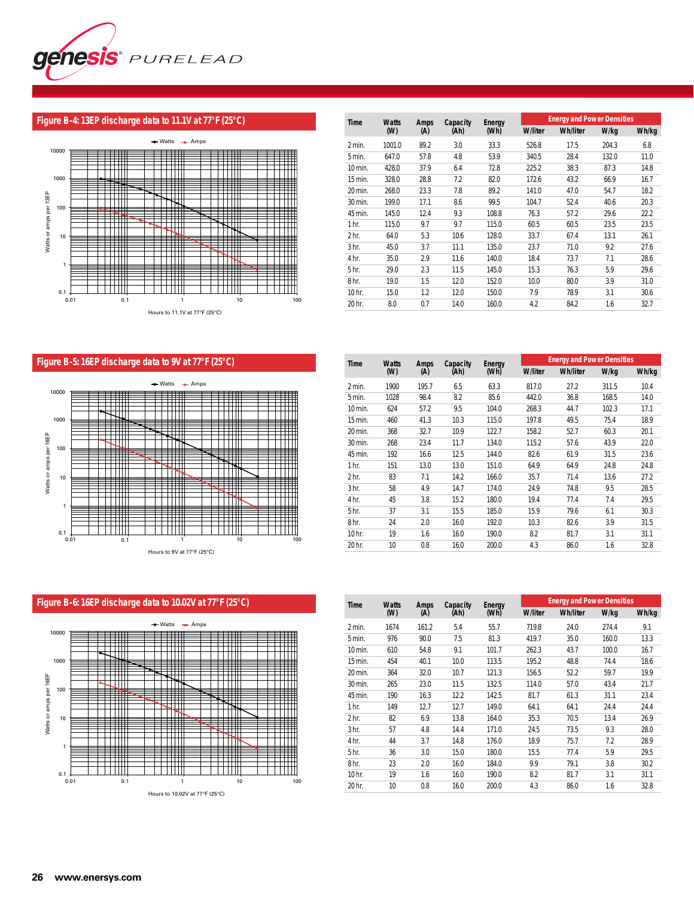

# **Figure B-4: 13EP discharge data to 11.1V at 77°F (25°C)**



| <b>Time</b>      | <b>Watts</b> | Amps | Capacity | Enerav |                | <b>Energy and Power Densities</b> |       |       |
|------------------|--------------|------|----------|--------|----------------|-----------------------------------|-------|-------|
|                  | (W)          | (A)  | (Ah)     | (Wh)   | <b>W/liter</b> | <b>Wh/liter</b>                   | W/kg  | Wh/kg |
| 2 min.           | 1001.0       | 89.2 | 3.0      | 33.3   | 526.8          | 17.5                              | 204.3 | 6.8   |
| 5 min.           | 647.0        | 57.8 | 4.8      | 53.9   | 340.5          | 28.4                              | 132.0 | 11.0  |
| 10 min.          | 428.0        | 37.9 | 6.4      | 72.8   | 225.2          | 38.3                              | 87.3  | 14.8  |
| 15 min.          | 328.0        | 28.8 | 7.2      | 82.0   | 172.6          | 43.2                              | 66.9  | 16.7  |
| 20 min.          | 268.0        | 23.3 | 7.8      | 89.2   | 141.0          | 47.0                              | 54.7  | 18.2  |
| 30 min.          | 199.0        | 17.1 | 8.6      | 99.5   | 104.7          | 52.4                              | 40.6  | 20.3  |
| 45 min.          | 145.0        | 12.4 | 9.3      | 108.8  | 76.3           | 57.2                              | 29.6  | 22.2  |
| 1 <sub>hr.</sub> | 115.0        | 9.7  | 9.7      | 115.0  | 60.5           | 60.5                              | 23.5  | 23.5  |
| 2 <sub>hr.</sub> | 64.0         | 5.3  | 10.6     | 128.0  | 33.7           | 67.4                              | 13.1  | 26.1  |
| 3 <sub>hr.</sub> | 45.0         | 3.7  | 11.1     | 135.0  | 23.7           | 71.0                              | 9.2   | 27.6  |
| 4 hr.            | 35.0         | 2.9  | 11.6     | 140.0  | 18.4           | 73.7                              | 7.1   | 28.6  |
| 5 <sub>hr.</sub> | 29.0         | 2.3  | 11.5     | 145.0  | 15.3           | 76.3                              | 5.9   | 29.6  |
| 8 <sub>hr.</sub> | 19.0         | 1.5  | 12.0     | 152.0  | 10.0           | 80.0                              | 3.9   | 31.0  |
| 10 hr.           | 15.0         | 1.2  | 12.0     | 150.0  | 7.9            | 78.9                              | 3.1   | 30.6  |
| 20 hr.           | 8.0          | 0.7  | 14.0     | 160.0  | 4.2            | 84.2                              | 1.6   | 32.7  |

# **Figure B-5: 16EP discharge data to 9V at 77°F (25°C)**



| Time             | <b>Watts</b> | Amps  | Capacity | Energy |                | <b>Energy and Power Densities</b> |       |       |
|------------------|--------------|-------|----------|--------|----------------|-----------------------------------|-------|-------|
|                  | (W)          | (A)   | (Ah)     | (Wh)   | <b>W/liter</b> | <b>Wh/liter</b>                   | W/kg  | Wh/kg |
| 2 min.           | 1900         | 195.7 | 6.5      | 63.3   | 817.0          | 27.2                              | 311.5 | 10.4  |
| 5 min.           | 1028         | 98.4  | 8.2      | 85.6   | 442.0          | 36.8                              | 168.5 | 14.0  |
| 10 min.          | 624          | 57.2  | 9.5      | 104.0  | 268.3          | 44.7                              | 102.3 | 17.1  |
| 15 min.          | 460          | 41.3  | 10.3     | 115.0  | 197.8          | 49.5                              | 75.4  | 18.9  |
| 20 min.          | 368          | 32.7  | 10.9     | 122.7  | 158.2          | 52.7                              | 60.3  | 20.1  |
| 30 min.          | 268          | 23.4  | 11.7     | 134.0  | 115.2          | 57.6                              | 43.9  | 22.0  |
| 45 min.          | 192          | 16.6  | 12.5     | 144.0  | 82.6           | 61.9                              | 31.5  | 23.6  |
| 1 <sub>hr.</sub> | 151          | 13.0  | 13.0     | 151.0  | 64.9           | 64.9                              | 24.8  | 24.8  |
| 2 <sub>hr.</sub> | 83           | 7.1   | 14.2     | 166.0  | 35.7           | 71.4                              | 13.6  | 27.2  |
| 3 <sub>hr.</sub> | 58           | 4.9   | 14.7     | 174.0  | 24.9           | 74.8                              | 9.5   | 28.5  |
| 4 hr.            | 45           | 3.8   | 15.2     | 180.0  | 19.4           | 77.4                              | 7.4   | 29.5  |
| 5 hr.            | 37           | 3.1   | 15.5     | 185.0  | 15.9           | 79.6                              | 6.1   | 30.3  |
| 8 <sub>hr.</sub> | 24           | 2.0   | 16.0     | 192.0  | 10.3           | 82.6                              | 3.9   | 31.5  |
| 10 hr.           | 19           | 1.6   | 16.0     | 190.0  | 8.2            | 81.7                              | 3.1   | 31.1  |
| 20 hr.           | 10           | 0.8   | 16.0     | 200.0  | 4.3            | 86.0                              | 1.6   | 32.8  |



| Time             | <b>Watts</b> | <b>Amps</b> | Capacity | Energy |                | <b>Energy and Power Densities</b> |       |       |
|------------------|--------------|-------------|----------|--------|----------------|-----------------------------------|-------|-------|
|                  | (M)          | (A)         | (Ah)     | (Wh)   | <b>W/liter</b> | <b>Wh/liter</b>                   | W/kg  | Wh/kg |
| 2 min.           | 1674         | 161.2       | 5.4      | 55.7   | 719.8          | 24.0                              | 274.4 | 9.1   |
| 5 min.           | 976          | 90.0        | 7.5      | 81.3   | 419.7          | 35.0                              | 160.0 | 13.3  |
| 10 min.          | 610          | 54.8        | 9.1      | 101.7  | 262.3          | 43.7                              | 100.0 | 16.7  |
| 15 min.          | 454          | 40.1        | 10.0     | 113.5  | 195.2          | 48.8                              | 74.4  | 18.6  |
| 20 min.          | 364          | 32.0        | 10.7     | 121.3  | 156.5          | 52.2                              | 59.7  | 19.9  |
| 30 min.          | 265          | 23.0        | 11.5     | 132.5  | 114.0          | 57.0                              | 43.4  | 21.7  |
| 45 min.          | 190          | 16.3        | 12.2     | 142.5  | 81.7           | 61.3                              | 31.1  | 23.4  |
| 1 <sub>hr.</sub> | 149          | 12.7        | 12.7     | 149.0  | 64.1           | 64.1                              | 24.4  | 24.4  |
| 2 <sub>hr.</sub> | 82           | 6.9         | 13.8     | 164.0  | 35.3           | 70.5                              | 13.4  | 26.9  |
| 3 <sub>hr.</sub> | 57           | 4.8         | 14.4     | 171.0  | 24.5           | 73.5                              | 9.3   | 28.0  |
| 4 hr.            | 44           | 3.7         | 14.8     | 176.0  | 18.9           | 75.7                              | 7.2   | 28.9  |
| 5 <sub>hr.</sub> | 36           | 3.0         | 15.0     | 180.0  | 15.5           | 77.4                              | 5.9   | 29.5  |
| 8 <sub>hr.</sub> | 23           | 2.0         | 16.0     | 184.0  | 9.9            | 79.1                              | 3.8   | 30.2  |
| 10 hr.           | 19           | 1.6         | 16.0     | 190.0  | 8.2            | 81.7                              | 3.1   | 31.1  |
| 20 hr.           | 10           | 0.8         | 16.0     | 200.0  | 4.3            | 86.0                              | 1.6   | 32.8  |
|                  |              |             |          |        |                |                                   |       |       |

# **Figure B-6: 16EP discharge data to 10.02V at 77°F (25°C)**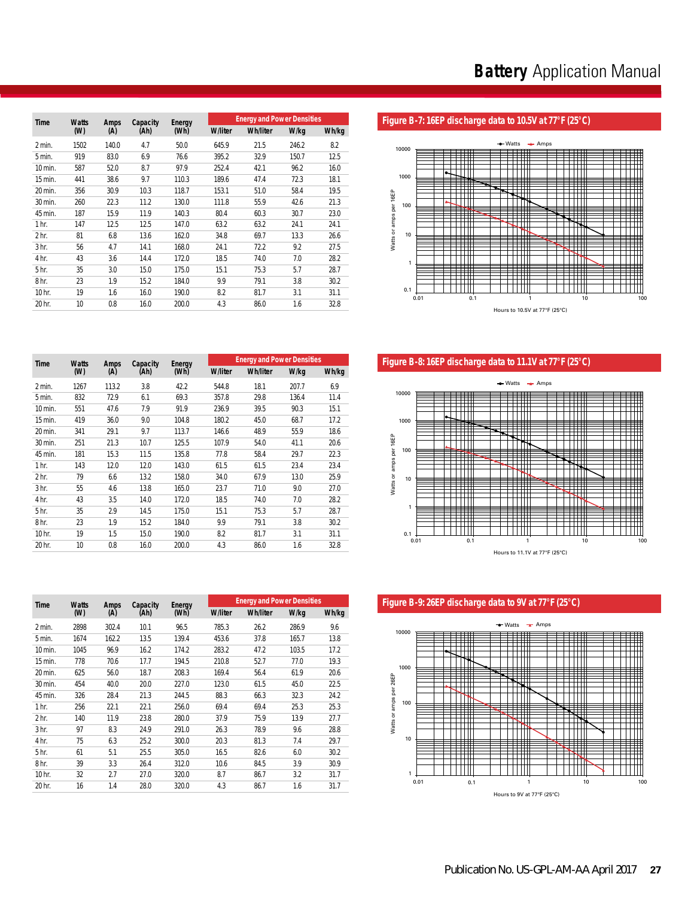|  | Figure B-7: 16EP discharge data to 10.5V at 77°F (25°C) |  |
|--|---------------------------------------------------------|--|
|--|---------------------------------------------------------|--|



Figure B-8: 16EP discharge data to 11.1V at 77°F (25°C)



# Figure B-9: 26EP discharge data to 9V at 77°F (25°C)



| Time             | <b>Watts</b><br>(W) | Amps<br>(A) | Capacity<br>(Ah) | <b>Energy</b><br>(Wh) | <b>W/liter</b> | <b>Energy and Power Densities</b><br><b>Wh/liter</b> | W/kg  | Wh/kg |
|------------------|---------------------|-------------|------------------|-----------------------|----------------|------------------------------------------------------|-------|-------|
|                  |                     |             |                  |                       |                |                                                      |       |       |
| 2 min.           | 1502                | 140.0       | 4.7              | 50.0                  | 645.9          | 21.5                                                 | 246.2 | 8.2   |
| 5 min.           | 919                 | 83.0        | 6.9              | 76.6                  | 395.2          | 32.9                                                 | 150.7 | 12.5  |
| 10 min.          | 587                 | 52.0        | 8.7              | 97.9                  | 252.4          | 42.1                                                 | 96.2  | 16.0  |
| 15 min.          | 441                 | 38.6        | 9.7              | 110.3                 | 189.6          | 47.4                                                 | 72.3  | 18.1  |
| 20 min.          | 356                 | 30.9        | 10.3             | 118.7                 | 153.1          | 51.0                                                 | 58.4  | 19.5  |
| 30 min.          | 260                 | 22.3        | 11.2             | 130.0                 | 111.8          | 55.9                                                 | 42.6  | 21.3  |
| 45 min.          | 187                 | 15.9        | 11.9             | 140.3                 | 80.4           | 60.3                                                 | 30.7  | 23.0  |
| 1 <sub>hr.</sub> | 147                 | 12.5        | 12.5             | 147.0                 | 63.2           | 63.2                                                 | 24.1  | 24.1  |
| 2 <sub>hr.</sub> | 81                  | 6.8         | 13.6             | 162.0                 | 34.8           | 69.7                                                 | 13.3  | 26.6  |
| 3 <sub>hr.</sub> | 56                  | 4.7         | 14.1             | 168.0                 | 24.1           | 72.2                                                 | 9.2   | 27.5  |
| 4 hr.            | 43                  | 3.6         | 14.4             | 172.0                 | 18.5           | 74.0                                                 | 7.0   | 28.2  |
| 5 hr.            | 35                  | 3.0         | 15.0             | 175.0                 | 15.1           | 75.3                                                 | 5.7   | 28.7  |
| 8 hr.            | 23                  | 1.9         | 15.2             | 184.0                 | 9.9            | 79.1                                                 | 3.8   | 30.2  |
| 10 hr.           | 19                  | 1.6         | 16.0             | 190.0                 | 8.2            | 81.7                                                 | 3.1   | 31.1  |
| 20 hr.           | 10 <sup>°</sup>     | 0.8         | 16.0             | 200.0                 | 4.3            | 86.0                                                 | 1.6   | 32.8  |

| Time             | <b>Watts</b> | Amps  | Capacity | Energy |                | <b>Energy and Power Densities</b> |       |       |  |
|------------------|--------------|-------|----------|--------|----------------|-----------------------------------|-------|-------|--|
|                  | (W)          | (A)   | (Ah)     | (Wh)   | <b>W/liter</b> | <b>Wh/liter</b>                   | W/kg  | Wh/kg |  |
| 2 min.           | 1267         | 113.2 | 3.8      | 42.2   | 544.8          | 18.1                              | 207.7 | 6.9   |  |
| 5 min.           | 832          | 72.9  | 6.1      | 69.3   | 357.8          | 29.8                              | 136.4 | 11.4  |  |
| 10 min.          | 551          | 47.6  | 7.9      | 91.9   | 236.9          | 39.5                              | 90.3  | 15.1  |  |
| 15 min.          | 419          | 36.0  | 9.0      | 104.8  | 180.2          | 45.0                              | 68.7  | 17.2  |  |
| 20 min.          | 341          | 29.1  | 9.7      | 113.7  | 146.6          | 48.9                              | 55.9  | 18.6  |  |
| 30 min.          | 251          | 21.3  | 10.7     | 125.5  | 107.9          | 54.0                              | 41.1  | 20.6  |  |
| 45 min.          | 181          | 15.3  | 11.5     | 135.8  | 77.8           | 58.4                              | 29.7  | 22.3  |  |
| 1 <sub>hr.</sub> | 143          | 12.0  | 12.0     | 143.0  | 61.5           | 61.5                              | 23.4  | 23.4  |  |
| 2 <sub>hr.</sub> | 79           | 6.6   | 13.2     | 158.0  | 34.0           | 67.9                              | 13.0  | 25.9  |  |
| 3 <sub>hr.</sub> | 55           | 4.6   | 13.8     | 165.0  | 23.7           | 71.0                              | 9.0   | 27.0  |  |
| 4 hr.            | 43           | 3.5   | 14.0     | 172.0  | 18.5           | 74.0                              | 7.0   | 28.2  |  |
| 5 hr.            | 35           | 2.9   | 14.5     | 175.0  | 15.1           | 75.3                              | 5.7   | 28.7  |  |
| 8 <sub>hr.</sub> | 23           | 1.9   | 15.2     | 184.0  | 9.9            | 79.1                              | 3.8   | 30.2  |  |
| 10 hr.           | 19           | 1.5   | 15.0     | 190.0  | 8.2            | 81.7                              | 3.1   | 31.1  |  |
| 20 hr.           | 10           | 0.8   | 16.0     | 200.0  | 4.3            | 86.0                              | 1.6   | 32.8  |  |

| Time             | <b>Watts</b> | <b>Amps</b> | Capacity | <b>Energy</b> |                | <b>Energy and Power Densities</b> |       |       |
|------------------|--------------|-------------|----------|---------------|----------------|-----------------------------------|-------|-------|
|                  | (W)          | (A)         | (Ah)     | (Wh)          | <b>W/liter</b> | <b>Wh/liter</b>                   | W/kg  | Wh/kg |
| 2 min.           | 2898         | 302.4       | 10.1     | 96.5          | 785.3          | 26.2                              | 286.9 | 9.6   |
| 5 min.           | 1674         | 162.2       | 13.5     | 139.4         | 453.6          | 37.8                              | 165.7 | 13.8  |
| 10 min.          | 1045         | 96.9        | 16.2     | 174.2         | 283.2          | 47.2                              | 103.5 | 17.2  |
| 15 min.          | 778          | 70.6        | 17.7     | 194.5         | 210.8          | 52.7                              | 77.0  | 19.3  |
| 20 min.          | 625          | 56.0        | 18.7     | 208.3         | 169.4          | 56.4                              | 61.9  | 20.6  |
| 30 min.          | 454          | 40.0        | 20.0     | 227.0         | 123.0          | 61.5                              | 45.0  | 22.5  |
| 45 min.          | 326          | 28.4        | 21.3     | 244.5         | 88.3           | 66.3                              | 32.3  | 24.2  |
| 1 <sub>hr.</sub> | 256          | 22.1        | 22.1     | 256.0         | 69.4           | 69.4                              | 25.3  | 25.3  |
| 2 <sub>hr.</sub> | 140          | 11.9        | 23.8     | 280.0         | 37.9           | 75.9                              | 13.9  | 27.7  |
| 3 <sub>hr.</sub> | 97           | 8.3         | 24.9     | 291.0         | 26.3           | 78.9                              | 9.6   | 28.8  |
| 4 hr.            | 75           | 6.3         | 25.2     | 300.0         | 20.3           | 81.3                              | 7.4   | 29.7  |
| 5 <sub>hr.</sub> | 61           | 5.1         | 25.5     | 305.0         | 16.5           | 82.6                              | 6.0   | 30.2  |
| 8 <sub>hr.</sub> | 39           | 3.3         | 26.4     | 312.0         | 10.6           | 84.5                              | 3.9   | 30.9  |
| 10 hr.           | 32           | 2.7         | 27.0     | 320.0         | 8.7            | 86.7                              | 3.2   | 31.7  |
| 20 hr.           | 16           | 1.4         | 28.0     | 320.0         | 4.3            | 86.7                              | 1.6   | 31.7  |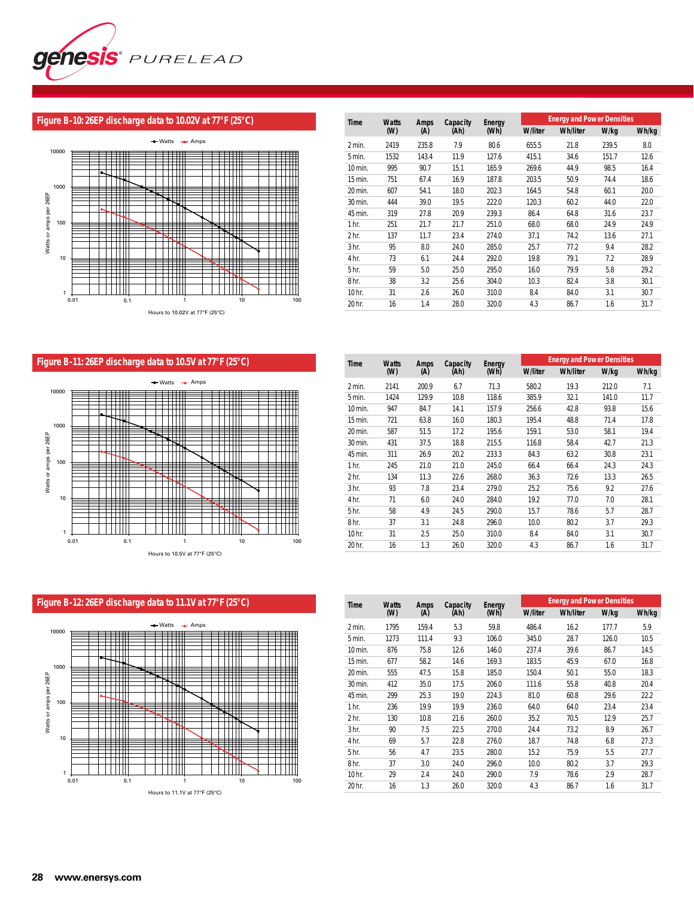

#### **Figure B-10: 26EP discharge data to 10.02V at 77°F (25°C)**



| Time             | <b>Watts</b> | <b>Amps</b> | Capacity | Energy |                | <b>Energy and Power Densities</b> |       |       |  |
|------------------|--------------|-------------|----------|--------|----------------|-----------------------------------|-------|-------|--|
|                  | (W)          | (A)         | (Ah)     | (Wh)   | <b>W/liter</b> | <b>Wh/liter</b>                   | W/kg  | Wh/kg |  |
| $2$ min.         | 2419         | 235.8       | 7.9      | 80.6   | 655.5          | 21.8                              | 239.5 | 8.0   |  |
| 5 min.           | 1532         | 143.4       | 11.9     | 127.6  | 415.1          | 34.6                              | 151.7 | 12.6  |  |
| 10 min.          | 995          | 90.7        | 15.1     | 165.9  | 269.6          | 44.9                              | 98.5  | 16.4  |  |
| 15 min.          | 751          | 67.4        | 16.9     | 187.8  | 203.5          | 50.9                              | 74.4  | 18.6  |  |
| 20 min.          | 607          | 54.1        | 18.0     | 202.3  | 164.5          | 54.8                              | 60.1  | 20.0  |  |
| 30 min.          | 444          | 39.0        | 19.5     | 222.0  | 120.3          | 60.2                              | 44.0  | 22.0  |  |
| 45 min.          | 319          | 27.8        | 20.9     | 239.3  | 86.4           | 64.8                              | 31.6  | 23.7  |  |
| 1 <sub>hr.</sub> | 251          | 21.7        | 21.7     | 251.0  | 68.0           | 68.0                              | 24.9  | 24.9  |  |
| 2 <sub>hr.</sub> | 137          | 11.7        | 23.4     | 274.0  | 37.1           | 74.2                              | 13.6  | 27.1  |  |
| 3 <sub>hr.</sub> | 95           | 8.0         | 24.0     | 285.0  | 25.7           | 77.2                              | 9.4   | 28.2  |  |
| 4 hr.            | 73           | 6.1         | 24.4     | 292.0  | 19.8           | 79.1                              | 7.2   | 28.9  |  |
| 5 hr.            | 59           | 5.0         | 25.0     | 295.0  | 16.0           | 79.9                              | 5.8   | 29.2  |  |
| 8 <sub>hr.</sub> | 38           | 3.2         | 25.6     | 304.0  | 10.3           | 82.4                              | 3.8   | 30.1  |  |
| 10 hr.           | 31           | 2.6         | 26.0     | 310.0  | 8.4            | 84.0                              | 3.1   | 30.7  |  |
| 20 hr.           | 16           | 1.4         | 28.0     | 320.0  | 4.3            | 86.7                              | 1.6   | 31.7  |  |

# **Figure B-11: 26EP discharge data to 10.5V at 77°F (25°C)**



| <b>Time</b>      | <b>Watts</b> | Amps  | Capacity | Energy |                | <b>Energy and Power Densities</b> |       |       |
|------------------|--------------|-------|----------|--------|----------------|-----------------------------------|-------|-------|
|                  | (W)          | (A)   | (Ah)     | (Wh)   | <b>W/liter</b> | <b>Wh/liter</b>                   | W/kg  | Wh/kg |
| 2 min.           | 2141         | 200.9 | 6.7      | 71.3   | 580.2          | 19.3                              | 212.0 | 7.1   |
| 5 min.           | 1424         | 129.9 | 10.8     | 118.6  | 385.9          | 32.1                              | 141.0 | 11.7  |
| 10 min.          | 947          | 84.7  | 14.1     | 157.9  | 256.6          | 42.8                              | 93.8  | 15.6  |
| 15 min.          | 721          | 63.8  | 16.0     | 180.3  | 195.4          | 48.8                              | 71.4  | 17.8  |
| 20 min.          | 587          | 51.5  | 17.2     | 195.6  | 159.1          | 53.0                              | 58.1  | 19.4  |
| 30 min.          | 431          | 37.5  | 18.8     | 215.5  | 116.8          | 58.4                              | 42.7  | 21.3  |
| 45 min.          | 311          | 26.9  | 20.2     | 233.3  | 84.3           | 63.2                              | 30.8  | 23.1  |
| 1 <sub>hr.</sub> | 245          | 21.0  | 21.0     | 245.0  | 66.4           | 66.4                              | 24.3  | 24.3  |
| 2 <sub>hr.</sub> | 134          | 11.3  | 22.6     | 268.0  | 36.3           | 72.6                              | 13.3  | 26.5  |
| 3 <sub>hr.</sub> | 93           | 7.8   | 23.4     | 279.0  | 25.2           | 75.6                              | 9.2   | 27.6  |
| 4 hr.            | 71           | 6.0   | 24.0     | 284.0  | 19.2           | 77.0                              | 7.0   | 28.1  |
| 5 hr.            | 58           | 4.9   | 24.5     | 290.0  | 15.7           | 78.6                              | 5.7   | 28.7  |
| 8 <sub>hr.</sub> | 37           | 3.1   | 24.8     | 296.0  | 10.0           | 80.2                              | 3.7   | 29.3  |
| 10 hr.           | 31           | 2.5   | 25.0     | 310.0  | 8.4            | 84.0                              | 3.1   | 30.7  |
| 20 hr.           | 16           | 1.3   | 26.0     | 320.0  | 4.3            | 86.7                              | 1.6   | 31.7  |



| Time             | <b>Watts</b> | Amps  | Capacity | <b>Energy and Power Densities</b><br>Energy |                |                 |       |       |  |
|------------------|--------------|-------|----------|---------------------------------------------|----------------|-----------------|-------|-------|--|
|                  | (W)          | (A)   | (Ah)     | (Wh)                                        | <b>W/liter</b> | <b>Wh/liter</b> | W/kg  | Wh/kg |  |
| 2 min.           | 1795         | 159.4 | 5.3      | 59.8                                        | 486.4          | 16.2            | 177.7 | 5.9   |  |
| 5 min.           | 1273         | 111.4 | 9.3      | 106.0                                       | 345.0          | 28.7            | 126.0 | 10.5  |  |
| 10 min.          | 876          | 75.8  | 12.6     | 146.0                                       | 237.4          | 39.6            | 86.7  | 14.5  |  |
| 15 min.          | 677          | 58.2  | 14.6     | 169.3                                       | 183.5          | 45.9            | 67.0  | 16.8  |  |
| 20 min.          | 555          | 47.5  | 15.8     | 185.0                                       | 150.4          | 50.1            | 55.0  | 18.3  |  |
| 30 min.          | 412          | 35.0  | 17.5     | 206.0                                       | 111.6          | 55.8            | 40.8  | 20.4  |  |
| 45 min.          | 299          | 25.3  | 19.0     | 224.3                                       | 81.0           | 60.8            | 29.6  | 22.2  |  |
| 1 <sub>hr.</sub> | 236          | 19.9  | 19.9     | 236.0                                       | 64.0           | 64.0            | 23.4  | 23.4  |  |
| 2 <sub>hr.</sub> | 130          | 10.8  | 21.6     | 260.0                                       | 35.2           | 70.5            | 12.9  | 25.7  |  |
| 3 <sub>hr.</sub> | 90           | 7.5   | 22.5     | 270.0                                       | 24.4           | 73.2            | 8.9   | 26.7  |  |
| 4 hr.            | 69           | 5.7   | 22.8     | 276.0                                       | 18.7           | 74.8            | 6.8   | 27.3  |  |
| 5 <sub>hr.</sub> | 56           | 4.7   | 23.5     | 280.0                                       | 15.2           | 75.9            | 5.5   | 27.7  |  |
| 8 <sub>hr.</sub> | 37           | 3.0   | 24.0     | 296.0                                       | 10.0           | 80.2            | 3.7   | 29.3  |  |
| 10 hr.           | 29           | 2.4   | 24.0     | 290.0                                       | 7.9            | 78.6            | 2.9   | 28.7  |  |
| 20 hr.           | 16           | 1.3   | 26.0     | 320.0                                       | 4.3            | 86.7            | 1.6   | 31.7  |  |
|                  |              |       |          |                                             |                |                 |       |       |  |

### **Figure B-12: 26EP discharge data to 11.1V at 77°F (25°C)**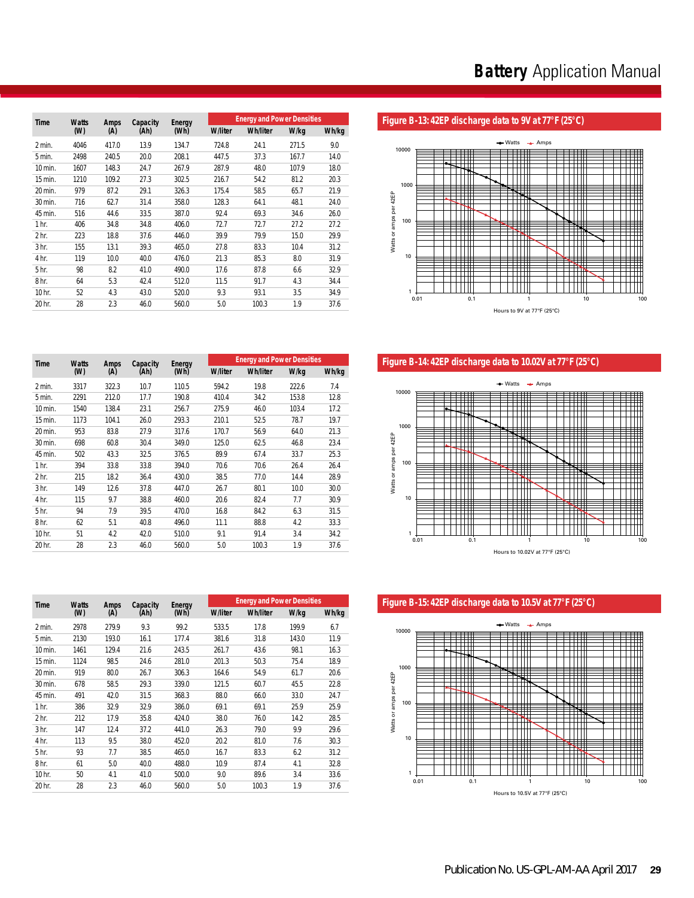|                  |                     |             |                  |                |                | <b>Energy and Power Densities</b> |       |       |
|------------------|---------------------|-------------|------------------|----------------|----------------|-----------------------------------|-------|-------|
| <b>Time</b>      | <b>Watts</b><br>(W) | Amps<br>(A) | Capacity<br>(Ah) | Energy<br>(Wh) | <b>W/liter</b> | <b>Wh/liter</b>                   | W/kg  | Wh/kg |
| 2 min.           | 4046                | 417.0       | 13.9             | 134.7          | 724.8          | 24.1                              | 271.5 | 9.0   |
| 5 min.           | 2498                | 240.5       | 20.0             | 208.1          | 447.5          | 37.3                              | 167.7 | 14.0  |
| 10 min.          | 1607                | 148.3       | 24.7             | 267.9          | 287.9          | 48.0                              | 107.9 | 18.0  |
| 15 min.          | 1210                | 109.2       | 27.3             | 302.5          | 216.7          | 54.2                              | 81.2  | 20.3  |
| 20 min.          | 979                 | 87.2        | 29.1             | 326.3          | 175.4          | 58.5                              | 65.7  | 21.9  |
| 30 min.          | 716                 | 62.7        | 31.4             | 358.0          | 128.3          | 64.1                              | 48.1  | 24.0  |
| 45 min.          | 516                 | 44.6        | 33.5             | 387.0          | 92.4           | 69.3                              | 34.6  | 26.0  |
| 1 <sub>hr.</sub> | 406                 | 34.8        | 34.8             | 406.0          | 72.7           | 72.7                              | 27.2  | 27.2  |
| 2 <sub>hr.</sub> | 223                 | 18.8        | 37.6             | 446.0          | 39.9           | 79.9                              | 15.0  | 29.9  |
| 3 <sub>hr.</sub> | 155                 | 13.1        | 39.3             | 465.0          | 27.8           | 83.3                              | 10.4  | 31.2  |
| 4 hr.            | 119                 | 10.0        | 40.0             | 476.0          | 21.3           | 85.3                              | 8.0   | 31.9  |
| 5 <sub>hr.</sub> | 98                  | 8.2         | 41.0             | 490.0          | 17.6           | 87.8                              | 6.6   | 32.9  |
| 8 <sub>hr.</sub> | 64                  | 5.3         | 42.4             | 512.0          | 11.5           | 91.7                              | 4.3   | 34.4  |
| 10 hr.           | 52                  | 4.3         | 43.0             | 520.0          | 9.3            | 93.1                              | 3.5   | 34.9  |
| 20 hr.           | 28                  | 2.3         | 46.0             | 560.0          | 5.0            | 100.3                             | 1.9   | 37.6  |

### Figure B-13: 42EP discharge data to 9V at 77°F (25°C)



Figure B-14: 42EP discharge data to 10.02V at 77°F (25°C)



Figure B-15: 42EP discharge data to 10.5V at 77°F (25°C)



| Time             | <b>Watts</b> | <b>Amps</b> | Capacity | Energy |                | <b>Energy and Power Densities</b> |       |       |
|------------------|--------------|-------------|----------|--------|----------------|-----------------------------------|-------|-------|
|                  | (W)          | (A)         | (Ah)     | (Wh)   | <b>W/liter</b> | <b>Wh/liter</b>                   | W/kg  | Wh/kg |
| 2 min.           | 3317         | 322.3       | 10.7     | 110.5  | 594.2          | 19.8                              | 222.6 | 7.4   |
| 5 min.           | 2291         | 212.0       | 17.7     | 190.8  | 410.4          | 34.2                              | 153.8 | 12.8  |
| 10 min.          | 1540         | 138.4       | 23.1     | 256.7  | 275.9          | 46.0                              | 103.4 | 17.2  |
| 15 min.          | 1173         | 104.1       | 26.0     | 293.3  | 210.1          | 52.5                              | 78.7  | 19.7  |
| 20 min.          | 953          | 83.8        | 27.9     | 317.6  | 170.7          | 56.9                              | 64.0  | 21.3  |
| 30 min.          | 698          | 60.8        | 30.4     | 349.0  | 125.0          | 62.5                              | 46.8  | 23.4  |
| 45 min.          | 502          | 43.3        | 32.5     | 376.5  | 89.9           | 67.4                              | 33.7  | 25.3  |
| 1 <sub>hr.</sub> | 394          | 33.8        | 33.8     | 394.0  | 70.6           | 70.6                              | 26.4  | 26.4  |
| 2 <sub>hr.</sub> | 215          | 18.2        | 36.4     | 430.0  | 38.5           | 77.0                              | 14.4  | 28.9  |
| 3 <sub>hr.</sub> | 149          | 12.6        | 37.8     | 447.0  | 26.7           | 80.1                              | 10.0  | 30.0  |
| 4 hr.            | 115          | 9.7         | 38.8     | 460.0  | 20.6           | 82.4                              | 7.7   | 30.9  |
| 5 hr.            | 94           | 7.9         | 39.5     | 470.0  | 16.8           | 84.2                              | 6.3   | 31.5  |
| 8 <sub>hr.</sub> | 62           | 5.1         | 40.8     | 496.0  | 11.1           | 88.8                              | 4.2   | 33.3  |
| 10 hr.           | 51           | 4.2         | 42.0     | 510.0  | 9.1            | 91.4                              | 3.4   | 34.2  |
| 20 hr.           | 28           | 2.3         | 46.0     | 560.0  | 5.0            | 100.3                             | 1.9   | 37.6  |

| <b>Time</b>      | <b>Watts</b> | <b>Amps</b> |      | Capacity<br>Energy |                | <b>Energy and Power Densities</b> |       |       |  |
|------------------|--------------|-------------|------|--------------------|----------------|-----------------------------------|-------|-------|--|
|                  | (W)          | (A)         | (Ah) | (Wh)               | <b>W/liter</b> | <b>Wh/liter</b>                   | W/kg  | Wh/kg |  |
| 2 min.           | 2978         | 279.9       | 9.3  | 99.2               | 533.5          | 17.8                              | 199.9 | 6.7   |  |
| 5 min.           | 2130         | 193.0       | 16.1 | 177.4              | 381.6          | 31.8                              | 143.0 | 11.9  |  |
| 10 min.          | 1461         | 129.4       | 21.6 | 243.5              | 261.7          | 43.6                              | 98.1  | 16.3  |  |
| $15$ min.        | 1124         | 98.5        | 24.6 | 281.0              | 201.3          | 50.3                              | 75.4  | 18.9  |  |
| 20 min.          | 919          | 80.0        | 26.7 | 306.3              | 164.6          | 54.9                              | 61.7  | 20.6  |  |
| 30 min.          | 678          | 58.5        | 29.3 | 339.0              | 121.5          | 60.7                              | 45.5  | 22.8  |  |
| 45 min.          | 491          | 42.0        | 31.5 | 368.3              | 88.0           | 66.0                              | 33.0  | 24.7  |  |
| 1 <sub>hr.</sub> | 386          | 32.9        | 32.9 | 386.0              | 69.1           | 69.1                              | 25.9  | 25.9  |  |
| 2 <sub>hr.</sub> | 212          | 17.9        | 35.8 | 424.0              | 38.0           | 76.0                              | 14.2  | 28.5  |  |
| 3 <sub>hr.</sub> | 147          | 12.4        | 37.2 | 441.0              | 26.3           | 79.0                              | 9.9   | 29.6  |  |
| 4 hr.            | 113          | 9.5         | 38.0 | 452.0              | 20.2           | 81.0                              | 7.6   | 30.3  |  |
| 5 <sub>hr.</sub> | 93           | 7.7         | 38.5 | 465.0              | 16.7           | 83.3                              | 6.2   | 31.2  |  |
| 8 <sub>hr.</sub> | 61           | 5.0         | 40.0 | 488.0              | 10.9           | 87.4                              | 4.1   | 32.8  |  |
| 10 hr.           | 50           | 4.1         | 41.0 | 500.0              | 9.0            | 89.6                              | 3.4   | 33.6  |  |
| 20 hr.           | 28           | 2.3         | 46.0 | 560.0              | 5.0            | 100.3                             | 1.9   | 37.6  |  |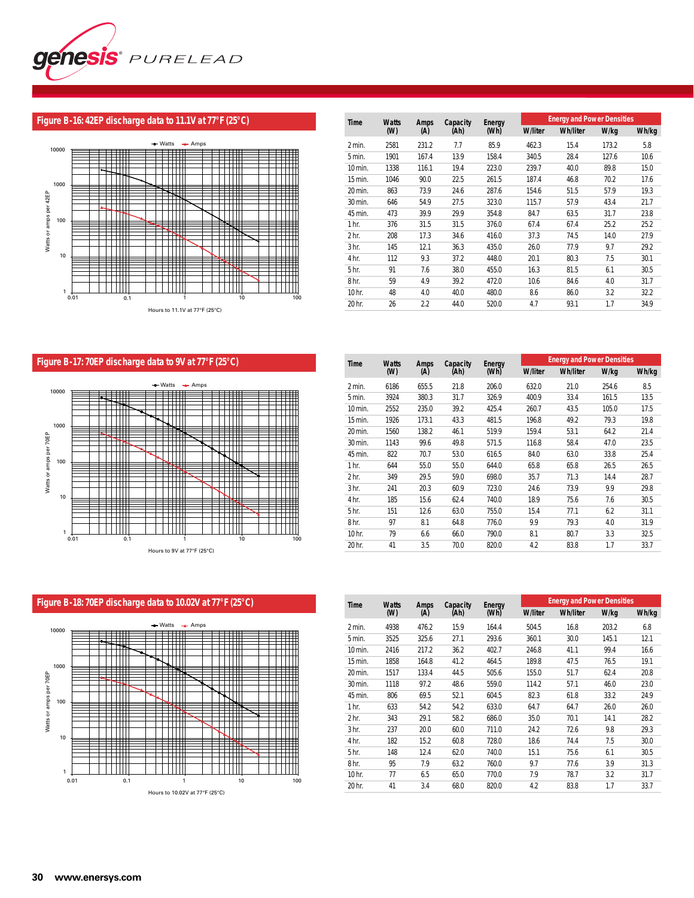

# **Figure B-16: 42EP discharge data to 11.1V at 77°F (25°C)**



| <b>Time</b>      | <b>Watts</b> | <b>Amps</b> | Capacity | Energy |                | <b>Energy and Power Densities</b> |       |       |
|------------------|--------------|-------------|----------|--------|----------------|-----------------------------------|-------|-------|
|                  | (W)          | (A)         | (Ah)     | (Wh)   | <b>W/liter</b> | <b>Wh/liter</b>                   | W/kg  | Wh/kg |
| 2 min.           | 2581         | 231.2       | 7.7      | 85.9   | 462.3          | 15.4                              | 173.2 | 5.8   |
| 5 min.           | 1901         | 167.4       | 13.9     | 158.4  | 340.5          | 28.4                              | 127.6 | 10.6  |
| 10 min.          | 1338         | 116.1       | 19.4     | 223.0  | 239.7          | 40.0                              | 89.8  | 15.0  |
| 15 min.          | 1046         | 90.0        | 22.5     | 261.5  | 187.4          | 46.8                              | 70.2  | 17.6  |
| 20 min.          | 863          | 73.9        | 24.6     | 287.6  | 154.6          | 51.5                              | 57.9  | 19.3  |
| 30 min.          | 646          | 54.9        | 27.5     | 323.0  | 115.7          | 57.9                              | 43.4  | 21.7  |
| 45 min.          | 473          | 39.9        | 29.9     | 354.8  | 84.7           | 63.5                              | 31.7  | 23.8  |
| 1 <sub>hr.</sub> | 376          | 31.5        | 31.5     | 376.0  | 67.4           | 67.4                              | 25.2  | 25.2  |
| 2 <sub>hr.</sub> | 208          | 17.3        | 34.6     | 416.0  | 37.3           | 74.5                              | 14.0  | 27.9  |
| 3 <sub>hr.</sub> | 145          | 12.1        | 36.3     | 435.0  | 26.0           | 77.9                              | 9.7   | 29.2  |
| 4 hr.            | 112          | 9.3         | 37.2     | 448.0  | 20.1           | 80.3                              | 7.5   | 30.1  |
| 5 <sub>hr.</sub> | 91           | 7.6         | 38.0     | 455.0  | 16.3           | 81.5                              | 6.1   | 30.5  |
| 8 <sub>hr.</sub> | 59           | 4.9         | 39.2     | 472.0  | 10.6           | 84.6                              | 4.0   | 31.7  |
| 10 hr.           | 48           | 4.0         | 40.0     | 480.0  | 8.6            | 86.0                              | 3.2   | 32.2  |
| 20 hr.           | 26           | 2.2         | 44.0     | 520.0  | 4.7            | 93.1                              | 1.7   | 34.9  |

# **Figure B-17: 70EP discharge data to 9V at 77°F (25°C)**



| Time             | <b>Watts</b> | Amps  | Capacity | Energy |                | <b>Energy and Power Densities</b> |       |       |  |
|------------------|--------------|-------|----------|--------|----------------|-----------------------------------|-------|-------|--|
|                  | (W)          | (A)   | (Ah)     | (Wh)   | <b>W/liter</b> | <b>Wh/liter</b>                   | W/kg  | Wh/kg |  |
| 2 min.           | 6186         | 655.5 | 21.8     | 206.0  | 632.0          | 21.0                              | 254.6 | 8.5   |  |
| 5 min.           | 3924         | 380.3 | 31.7     | 326.9  | 400.9          | 33.4                              | 161.5 | 13.5  |  |
| 10 min.          | 2552         | 235.0 | 39.2     | 425.4  | 260.7          | 43.5                              | 105.0 | 17.5  |  |
| 15 min.          | 1926         | 173.1 | 43.3     | 481.5  | 196.8          | 49.2                              | 79.3  | 19.8  |  |
| 20 min.          | 1560         | 138.2 | 46.1     | 519.9  | 159.4          | 53.1                              | 64.2  | 21.4  |  |
| 30 min.          | 1143         | 99.6  | 49.8     | 571.5  | 116.8          | 58.4                              | 47.0  | 23.5  |  |
| 45 min.          | 822          | 70.7  | 53.0     | 616.5  | 84.0           | 63.0                              | 33.8  | 25.4  |  |
| 1 <sub>hr.</sub> | 644          | 55.0  | 55.0     | 644.0  | 65.8           | 65.8                              | 26.5  | 26.5  |  |
| 2 <sub>hr.</sub> | 349          | 29.5  | 59.0     | 698.0  | 35.7           | 71.3                              | 14.4  | 28.7  |  |
| 3 <sub>hr.</sub> | 241          | 20.3  | 60.9     | 723.0  | 24.6           | 73.9                              | 9.9   | 29.8  |  |
| 4 hr.            | 185          | 15.6  | 62.4     | 740.0  | 18.9           | 75.6                              | 7.6   | 30.5  |  |
| 5 hr.            | 151          | 12.6  | 63.0     | 755.0  | 15.4           | 77.1                              | 6.2   | 31.1  |  |
| 8 <sub>hr.</sub> | 97           | 8.1   | 64.8     | 776.0  | 9.9            | 79.3                              | 4.0   | 31.9  |  |
| 10 hr.           | 79           | 6.6   | 66.0     | 790.0  | 8.1            | 80.7                              | 3.3   | 32.5  |  |
| 20 hr.           | 41           | 3.5   | 70.0     | 820.0  | 4.2            | 83.8                              | 1.7   | 33.7  |  |

#### $\rightarrow$  Watts  $\rightarrow$  Amps 10000 **THE THE**  $\frac{1}{2}$ ∓  $\overline{\phantom{0}}$  $\overline{\phantom{0}}$ <u>Han</u> en<br>Hil 1000 Щ  $\rightarrow$ H Watts or amps per 70EP Watts or amps per 70EP  $\overline{\phantom{0}}$ 100 e e I  $\searrow$  $\begin{array}{c|c|c|c|c} \hline \multicolumn{1}{|c|}{\multicolumn{1}{c|c|}{\multicolumn{1}{c|c|}{\multicolumn{1}{c|c|}{\multicolumn{1}{c|c|}{\multicolumn{1}{c|c|}{\multicolumn{1}{c|c|}{\multicolumn{1}{c|c|}{\multicolumn{1}{c|c|}{\multicolumn{1}{c|c|}{\multicolumn{1}{c|c|}{\multicolumn{1}{c|c|}{\multicolumn{1}{c|c|}{\multicolumn{1}{c|c|}{\multicolumn{1}{c|c|}{\multicolumn{1}{c|c|}{\multicolumn{1}{c|c|$ 10 ≡ ₩ ĦĦ <u> Hill</u>  $\Box$  $\| \cdot \|$ 1 0.01 0.1 1 10 100 Hours to 10.02V at 77°F (25°C)

| Time             | <b>Watts</b> | Amps  | Capacity | Energy |                | <b>Energy and Power Densities</b> |       |       |
|------------------|--------------|-------|----------|--------|----------------|-----------------------------------|-------|-------|
|                  | (W)          | (A)   | (Ah)     | (Wh)   | <b>W/liter</b> | <b>Wh/liter</b>                   | W/kg  | Wh/kg |
| 2 min.           | 4938         | 476.2 | 15.9     | 164.4  | 504.5          | 16.8                              | 203.2 | 6.8   |
| 5 min.           | 3525         | 325.6 | 27.1     | 293.6  | 360.1          | 30.0                              | 145.1 | 12.1  |
| 10 min.          | 2416         | 217.2 | 36.2     | 402.7  | 246.8          | 41.1                              | 99.4  | 16.6  |
| 15 min.          | 1858         | 164.8 | 41.2     | 464.5  | 189.8          | 47.5                              | 76.5  | 19.1  |
| 20 min.          | 1517         | 133.4 | 44.5     | 505.6  | 155.0          | 51.7                              | 62.4  | 20.8  |
| 30 min.          | 1118         | 97.2  | 48.6     | 559.0  | 114.2          | 57.1                              | 46.0  | 23.0  |
| 45 min.          | 806          | 69.5  | 52.1     | 604.5  | 82.3           | 61.8                              | 33.2  | 24.9  |
| 1 <sub>hr.</sub> | 633          | 54.2  | 54.2     | 633.0  | 64.7           | 64.7                              | 26.0  | 26.0  |
| 2 <sub>hr.</sub> | 343          | 29.1  | 58.2     | 686.0  | 35.0           | 70.1                              | 14.1  | 28.2  |
| 3 <sub>hr.</sub> | 237          | 20.0  | 60.0     | 711.0  | 24.2           | 72.6                              | 9.8   | 29.3  |
| 4 hr.            | 182          | 15.2  | 60.8     | 728.0  | 18.6           | 74.4                              | 7.5   | 30.0  |
| 5 hr.            | 148          | 12.4  | 62.0     | 740.0  | 15.1           | 75.6                              | 6.1   | 30.5  |
| 8 <sub>hr.</sub> | 95           | 7.9   | 63.2     | 760.0  | 9.7            | 77.6                              | 3.9   | 31.3  |
| 10 hr.           | 77           | 6.5   | 65.0     | 770.0  | 7.9            | 78.7                              | 3.2   | 31.7  |
| 20 hr.           | 41           | 3.4   | 68.0     | 820.0  | 4.2            | 83.8                              | 1.7   | 33.7  |

#### **Figure B-18: 70EP discharge data to 10.02V at 77°F (25°C)**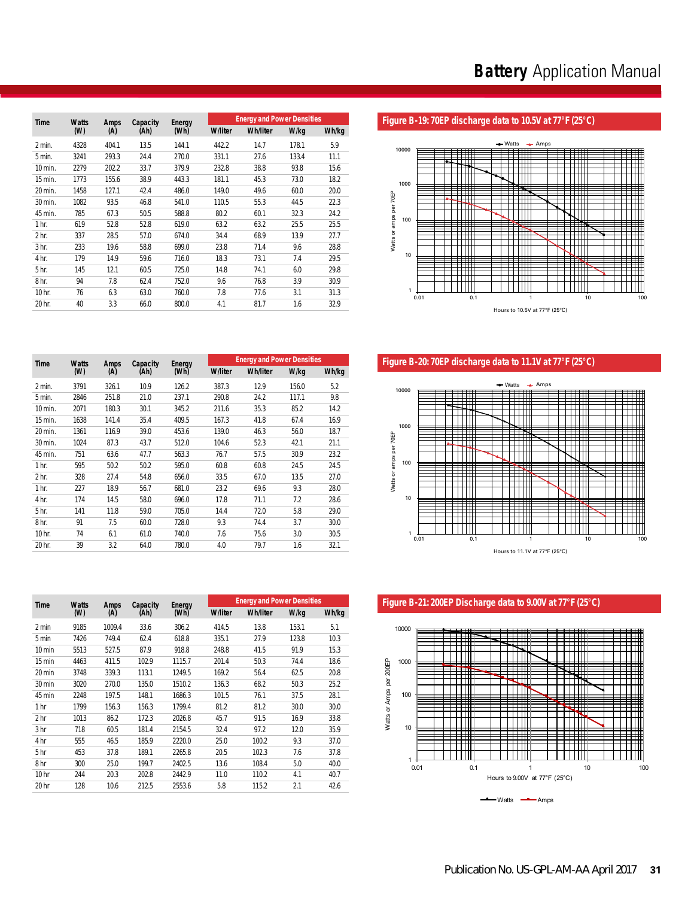|  |  |  | Figure B-19: 70EP discharge data to 10.5V at 77°F (25°C) |  |
|--|--|--|----------------------------------------------------------|--|
|--|--|--|----------------------------------------------------------|--|



Figure B-20: 70EP discharge data to 11.1V at 77°F (25°C)



Figure B-21: 200EP Discharge data to 9.00V at 77°F (25°C)



| Time             | <b>Watts</b> | Amps  | Capacity | Energy |                | <b>Energy and Power Densities</b> |       |       |
|------------------|--------------|-------|----------|--------|----------------|-----------------------------------|-------|-------|
|                  | (W)          | (A)   | (Ah)     | (Wh)   | <b>W/liter</b> | <b>Wh/liter</b>                   | W/kg  | Wh/kg |
| 2 min.           | 4328         | 404.1 | 13.5     | 144.1  | 442.2          | 14.7                              | 178.1 | 5.9   |
| 5 min.           | 3241         | 293.3 | 24.4     | 270.0  | 331.1          | 27.6                              | 133.4 | 11.1  |
| 10 min.          | 2279         | 202.2 | 33.7     | 379.9  | 232.8          | 38.8                              | 93.8  | 15.6  |
| 15 min.          | 1773         | 155.6 | 38.9     | 443.3  | 181.1          | 45.3                              | 73.0  | 18.2  |
| 20 min.          | 1458         | 127.1 | 42.4     | 486.0  | 149.0          | 49.6                              | 60.0  | 20.0  |
| 30 min.          | 1082         | 93.5  | 46.8     | 541.0  | 110.5          | 55.3                              | 44.5  | 22.3  |
| 45 min.          | 785          | 67.3  | 50.5     | 588.8  | 80.2           | 60.1                              | 32.3  | 24.2  |
| 1 <sub>hr.</sub> | 619          | 52.8  | 52.8     | 619.0  | 63.2           | 63.2                              | 25.5  | 25.5  |
| 2 <sub>hr.</sub> | 337          | 28.5  | 57.0     | 674.0  | 34.4           | 68.9                              | 13.9  | 27.7  |
| 3 <sub>hr.</sub> | 233          | 19.6  | 58.8     | 699.0  | 23.8           | 71.4                              | 9.6   | 28.8  |
| 4 hr.            | 179          | 14.9  | 59.6     | 716.0  | 18.3           | 73.1                              | 7.4   | 29.5  |
| 5 hr.            | 145          | 12.1  | 60.5     | 725.0  | 14.8           | 74.1                              | 6.0   | 29.8  |
| 8 <sub>hr.</sub> | 94           | 7.8   | 62.4     | 752.0  | 9.6            | 76.8                              | 3.9   | 30.9  |
| 10 hr.           | 76           | 6.3   | 63.0     | 760.0  | 7.8            | 77.6                              | 3.1   | 31.3  |
| 20 hr.           | 40           | 3.3   | 66.0     | 800.0  | 4.1            | 81.7                              | 1.6   | 32.9  |

| Time             | <b>Watts</b> | Amps  | Capacity<br>(Ah) | Energy<br>(Wh) |                | <b>Energy and Power Densities</b> |       |       |  |  |
|------------------|--------------|-------|------------------|----------------|----------------|-----------------------------------|-------|-------|--|--|
|                  | (W)          | (A)   |                  |                | <b>W/liter</b> | <b>Wh/liter</b>                   | W/kg  | Wh/kg |  |  |
| 2 min.           | 3791         | 326.1 | 10.9             | 126.2          | 387.3          | 12.9                              | 156.0 | 5.2   |  |  |
| 5 min.           | 2846         | 251.8 | 21.0             | 237.1          | 290.8          | 24.2                              | 117.1 | 9.8   |  |  |
| 10 min.          | 2071         | 180.3 | 30.1             | 345.2          | 211.6          | 35.3                              | 85.2  | 14.2  |  |  |
| 15 min.          | 1638         | 141.4 | 35.4             | 409.5          | 167.3          | 41.8                              | 67.4  | 16.9  |  |  |
| 20 min.          | 1361         | 116.9 | 39.0             | 453.6          | 139.0          | 46.3                              | 56.0  | 18.7  |  |  |
| 30 min.          | 1024         | 87.3  | 43.7             | 512.0          | 104.6          | 52.3                              | 42.1  | 21.1  |  |  |
| 45 min.          | 751          | 63.6  | 47.7             | 563.3          | 76.7           | 57.5                              | 30.9  | 23.2  |  |  |
| 1 <sub>hr.</sub> | 595          | 50.2  | 50.2             | 595.0          | 60.8           | 60.8                              | 24.5  | 24.5  |  |  |
| 2 <sub>hr.</sub> | 328          | 27.4  | 54.8             | 656.0          | 33.5           | 67.0                              | 13.5  | 27.0  |  |  |
| 1 <sub>hr.</sub> | 227          | 18.9  | 56.7             | 681.0          | 23.2           | 69.6                              | 9.3   | 28.0  |  |  |
| 4 hr.            | 174          | 14.5  | 58.0             | 696.0          | 17.8           | 71.1                              | 7.2   | 28.6  |  |  |
| 5 <sub>hr.</sub> | 141          | 11.8  | 59.0             | 705.0          | 14.4           | 72.0                              | 5.8   | 29.0  |  |  |
| 8 <sub>hr.</sub> | 91           | 7.5   | 60.0             | 728.0          | 9.3            | 74.4                              | 3.7   | 30.0  |  |  |
| 10 hr.           | 74           | 6.1   | 61.0             | 740.0          | 7.6            | 75.6                              | 3.0   | 30.5  |  |  |
| 20 hr.           | 39           | 3.2   | 64.0             | 780.0          | 4.0            | 79.7                              | 1.6   | 32.1  |  |  |

| <b>Time</b>      | <b>Watts</b> | Amps<br>(A) | Capacity<br>(Ah) | <b>Energy</b><br>(Wh) |                | <b>Energy and Power Densities</b> |       |       |  |
|------------------|--------------|-------------|------------------|-----------------------|----------------|-----------------------------------|-------|-------|--|
|                  | (W)          |             |                  |                       | <b>W/liter</b> | <b>Wh/liter</b>                   | W/kg  | Wh/kg |  |
| 2 min            | 9185         | 1009.4      | 33.6             | 306.2                 | 414.5          | 13.8                              | 153.1 | 5.1   |  |
| 5 min            | 7426         | 749.4       | 62.4             | 618.8                 | 335.1          | 27.9                              | 123.8 | 10.3  |  |
| 10 min           | 5513         | 527.5       | 87.9             | 918.8                 | 248.8          | 41.5                              | 91.9  | 15.3  |  |
| 15 min           | 4463         | 411.5       | 102.9            | 1115.7                | 201.4          | 50.3                              | 74.4  | 18.6  |  |
| 20 min           | 3748         | 339.3       | 113.1            | 1249.5                | 169.2          | 56.4                              | 62.5  | 20.8  |  |
| 30 min           | 3020         | 270.0       | 135.0            | 1510.2                | 136.3          | 68.2                              | 50.3  | 25.2  |  |
| 45 min           | 2248         | 197.5       | 148.1            | 1686.3                | 101.5          | 76.1                              | 37.5  | 28.1  |  |
| 1 hr             | 1799         | 156.3       | 156.3            | 1799.4                | 81.2           | 81.2                              | 30.0  | 30.0  |  |
| 2 <sub>hr</sub>  | 1013         | 86.2        | 172.3            | 2026.8                | 45.7           | 91.5                              | 16.9  | 33.8  |  |
| 3 <sub>hr</sub>  | 718          | 60.5        | 181.4            | 2154.5                | 32.4           | 97.2                              | 12.0  | 35.9  |  |
| 4 hr             | 555          | 46.5        | 185.9            | 2220.0                | 25.0           | 100.2                             | 9.3   | 37.0  |  |
| 5 <sub>hr</sub>  | 453          | 37.8        | 189.1            | 2265.8                | 20.5           | 102.3                             | 7.6   | 37.8  |  |
| 8 hr             | 300          | 25.0        | 199.7            | 2402.5                | 13.6           | 108.4                             | 5.0   | 40.0  |  |
| 10 <sub>hr</sub> | 244          | 20.3        | 202.8            | 2442.9                | 11.0           | 110.2                             | 4.1   | 40.7  |  |
| 20 hr            | 128          | 10.6        | 212.5            | 2553.6                | 5.8            | 115.2                             | 2.1   | 42.6  |  |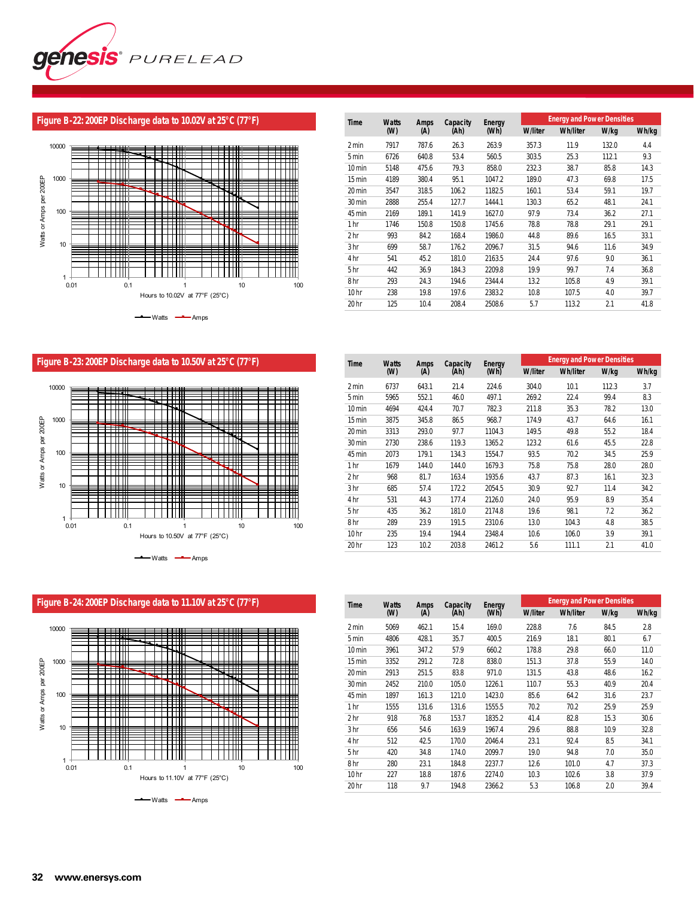

# **Figure B-22: 200EP Discharge data to 10.02V at 25°C (77°F)**



| Time             | <b>Watts</b> | Amps<br>(A) | Capacity<br>(Ah) | Energy |                | <b>Energy and Power Densities</b> |       |       |  |  |
|------------------|--------------|-------------|------------------|--------|----------------|-----------------------------------|-------|-------|--|--|
|                  | (W)          |             |                  | (Wh)   | <b>W/liter</b> | <b>Wh/liter</b>                   | W/kg  | Wh/kg |  |  |
| 2 min            | 7917         | 787.6       | 26.3             | 263.9  | 357.3          | 11.9                              | 132.0 | 4.4   |  |  |
| 5 min            | 6726         | 640.8       | 53.4             | 560.5  | 303.5          | 25.3                              | 112.1 | 9.3   |  |  |
| $10 \text{ min}$ | 5148         | 475.6       | 79.3             | 858.0  | 232.3          | 38.7                              | 85.8  | 14.3  |  |  |
| 15 min           | 4189         | 380.4       | 95.1             | 1047.2 | 189.0          | 47.3                              | 69.8  | 17.5  |  |  |
| 20 min           | 3547         | 318.5       | 106.2            | 1182.5 | 160.1          | 53.4                              | 59.1  | 19.7  |  |  |
| 30 min           | 2888         | 255.4       | 127.7            | 1444.1 | 130.3          | 65.2                              | 48.1  | 24.1  |  |  |
| 45 min           | 2169         | 189.1       | 141.9            | 1627.0 | 97.9           | 73.4                              | 36.2  | 27.1  |  |  |
| 1 hr             | 1746         | 150.8       | 150.8            | 1745.6 | 78.8           | 78.8                              | 29.1  | 29.1  |  |  |
| 2 hr             | 993          | 84.2        | 168.4            | 1986.0 | 44.8           | 89.6                              | 16.5  | 33.1  |  |  |
| 3 hr             | 699          | 58.7        | 176.2            | 2096.7 | 31.5           | 94.6                              | 11.6  | 34.9  |  |  |
| 4 hr             | 541          | 45.2        | 181.0            | 2163.5 | 24.4           | 97.6                              | 9.0   | 36.1  |  |  |
| 5 hr             | 442          | 36.9        | 184.3            | 2209.8 | 19.9           | 99.7                              | 7.4   | 36.8  |  |  |
| 8 <sub>hr</sub>  | 293          | 24.3        | 194.6            | 2344.4 | 13.2           | 105.8                             | 4.9   | 39.1  |  |  |
| 10 <sub>hr</sub> | 238          | 19.8        | 197.6            | 2383.2 | 10.8           | 107.5                             | 4.0   | 39.7  |  |  |
| 20 hr            | 125          | 10.4        | 208.4            | 2508.6 | 5.7            | 113.2                             | 2.1   | 41.8  |  |  |

**Figure B-23: 200EP Discharge data to 10.50V at 25°C (77°F)**



| Time             | <b>Watts</b> | Amps<br>(A) | Capacity<br>(Ah) | Energy |                | <b>Energy and Power Densities</b> |       |       |  |  |
|------------------|--------------|-------------|------------------|--------|----------------|-----------------------------------|-------|-------|--|--|
|                  | (W)          |             |                  | (Wh)   | <b>W/liter</b> | <b>Wh/liter</b>                   | W/kg  | Wh/kg |  |  |
| 2 min            | 6737         | 643.1       | 21.4             | 224.6  | 304.0          | 10.1                              | 112.3 | 3.7   |  |  |
| 5 min            | 5965         | 552.1       | 46.0             | 497.1  | 269.2          | 22.4                              | 99.4  | 8.3   |  |  |
| 10 min           | 4694         | 424.4       | 70.7             | 782.3  | 211.8          | 35.3                              | 78.2  | 13.0  |  |  |
| 15 min           | 3875         | 345.8       | 86.5             | 968.7  | 174.9          | 43.7                              | 64.6  | 16.1  |  |  |
| 20 min           | 3313         | 293.0       | 97.7             | 1104.3 | 149.5          | 49.8                              | 55.2  | 18.4  |  |  |
| 30 min           | 2730         | 238.6       | 119.3            | 1365.2 | 123.2          | 61.6                              | 45.5  | 22.8  |  |  |
| 45 min           | 2073         | 179.1       | 134.3            | 1554.7 | 93.5           | 70.2                              | 34.5  | 25.9  |  |  |
| 1 <sub>hr</sub>  | 1679         | 144.0       | 144.0            | 1679.3 | 75.8           | 75.8                              | 28.0  | 28.0  |  |  |
| 2 <sub>hr</sub>  | 968          | 81.7        | 163.4            | 1935.6 | 43.7           | 87.3                              | 16.1  | 32.3  |  |  |
| 3 <sub>hr</sub>  | 685          | 57.4        | 172.2            | 2054.5 | 30.9           | 92.7                              | 11.4  | 34.2  |  |  |
| 4 hr             | 531          | 44.3        | 177.4            | 2126.0 | 24.0           | 95.9                              | 8.9   | 35.4  |  |  |
| 5 hr             | 435          | 36.2        | 181.0            | 2174.8 | 19.6           | 98.1                              | 7.2   | 36.2  |  |  |
| 8 <sub>hr</sub>  | 289          | 23.9        | 191.5            | 2310.6 | 13.0           | 104.3                             | 4.8   | 38.5  |  |  |
| 10 <sub>hr</sub> | 235          | 19.4        | 194.4            | 2348.4 | 10.6           | 106.0                             | 3.9   | 39.1  |  |  |
| 20 hr            | 123          | 10.2        | 203.8            | 2461.2 | 5.6            | 111.1                             | 2.1   | 41.0  |  |  |

10000 ▀▀ or Amps per 200EP ╪╪╪╬╫ ┯┷╇ TTTM -111 Watts or Amps per 200EP 1000 W Watts or Amps per 200EP ▓ ╪╪╪╬╫ ₩  $\mathbb{H}^*$ 100 ╪╪╪╪╬╬┪ ┿╈╈╈╈ ┯┷╇ ─────────── 10 0.01 0.1 1 10 100  $1 + 0.01$ Hours to 11.10V at 77°F (25°C) 0.01 0.1 1 10 100 Hours to 11.10V at  $77^{\circ}$ F (25 $^{\circ}$ C)  $-Watts$   $\longrightarrow$  Amps

200EP Discharge data to 11.10V at 77°F (25°C)

200EP Discharge data to 11.10V at 77°F (25°C)

**Figure B-24: 200EP Discharge data to 11.10V at 25°C (77°F)** 10000

| <b>Time</b>      | <b>Watts</b> | Amps<br>(A) | Capacity<br>(Ah) | Energy |                | <b>Energy and Power Densities</b> |      |       |  |  |
|------------------|--------------|-------------|------------------|--------|----------------|-----------------------------------|------|-------|--|--|
|                  | (W)          |             |                  | (Wh)   | <b>W/liter</b> | <b>Wh/liter</b>                   | W/kg | Wh/kg |  |  |
| 2 min            | 5069         | 462.1       | 15.4             | 169.0  | 228.8          | 7.6                               | 84.5 | 2.8   |  |  |
| 5 min            | 4806         | 428.1       | 35.7             | 400.5  | 216.9          | 18.1                              | 80.1 | 6.7   |  |  |
| 10 min           | 3961         | 347.2       | 57.9             | 660.2  | 178.8          | 29.8                              | 66.0 | 11.0  |  |  |
| 15 min           | 3352         | 291.2       | 72.8             | 838.0  | 151.3          | 37.8                              | 55.9 | 14.0  |  |  |
| 20 min           | 2913         | 251.5       | 83.8             | 971.0  | 131.5          | 43.8                              | 48.6 | 16.2  |  |  |
| 30 min           | 2452         | 210.0       | 105.0            | 1226.1 | 110.7          | 55.3                              | 40.9 | 20.4  |  |  |
| 45 min           | 1897         | 161.3       | 121.0            | 1423.0 | 85.6           | 64.2                              | 31.6 | 23.7  |  |  |
| 1 hr             | 1555         | 131.6       | 131.6            | 1555.5 | 70.2           | 70.2                              | 25.9 | 25.9  |  |  |
| 2 hr             | 918          | 76.8        | 153.7            | 1835.2 | 41.4           | 82.8                              | 15.3 | 30.6  |  |  |
| 3 hr             | 656          | 54.6        | 163.9            | 1967.4 | 29.6           | 88.8                              | 10.9 | 32.8  |  |  |
| 4 hr             | 512          | 42.5        | 170.0            | 2046.4 | 23.1           | 92.4                              | 8.5  | 34.1  |  |  |
| 5 <sub>hr</sub>  | 420          | 34.8        | 174.0            | 2099.7 | 19.0           | 94.8                              | 7.0  | 35.0  |  |  |
| 8 <sub>hr</sub>  | 280          | 23.1        | 184.8            | 2237.7 | 12.6           | 101.0                             | 4.7  | 37.3  |  |  |
| 10 <sub>hr</sub> | 227          | 18.8        | 187.6            | 2274.0 | 10.3           | 102.6                             | 3.8  | 37.9  |  |  |
| 20 hr            | 118          | 9.7         | 194.8            | 2366.2 | 5.3            | 106.8                             | 2.0  | 39.4  |  |  |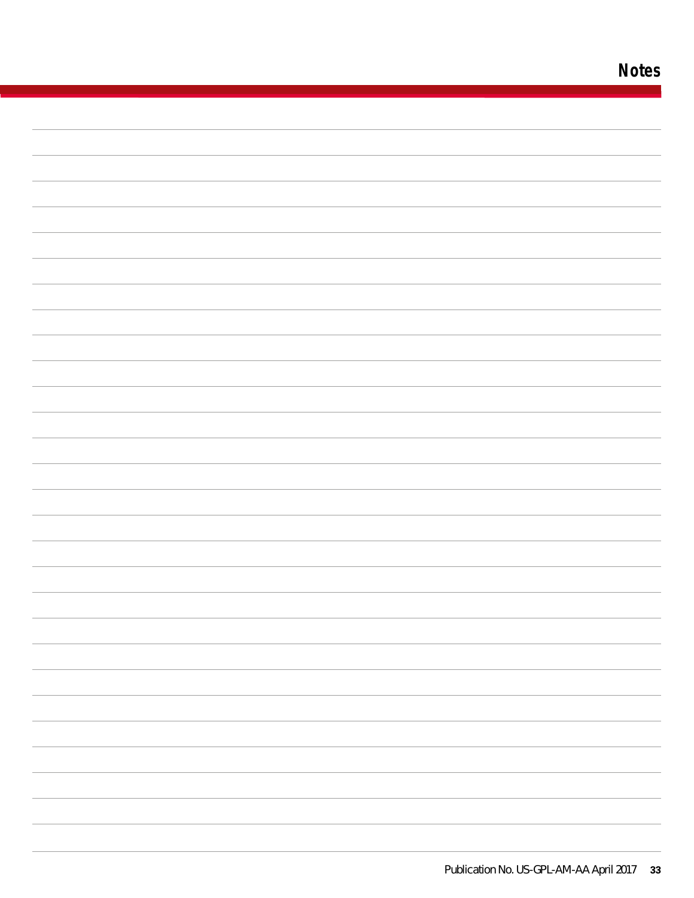# **Notes**